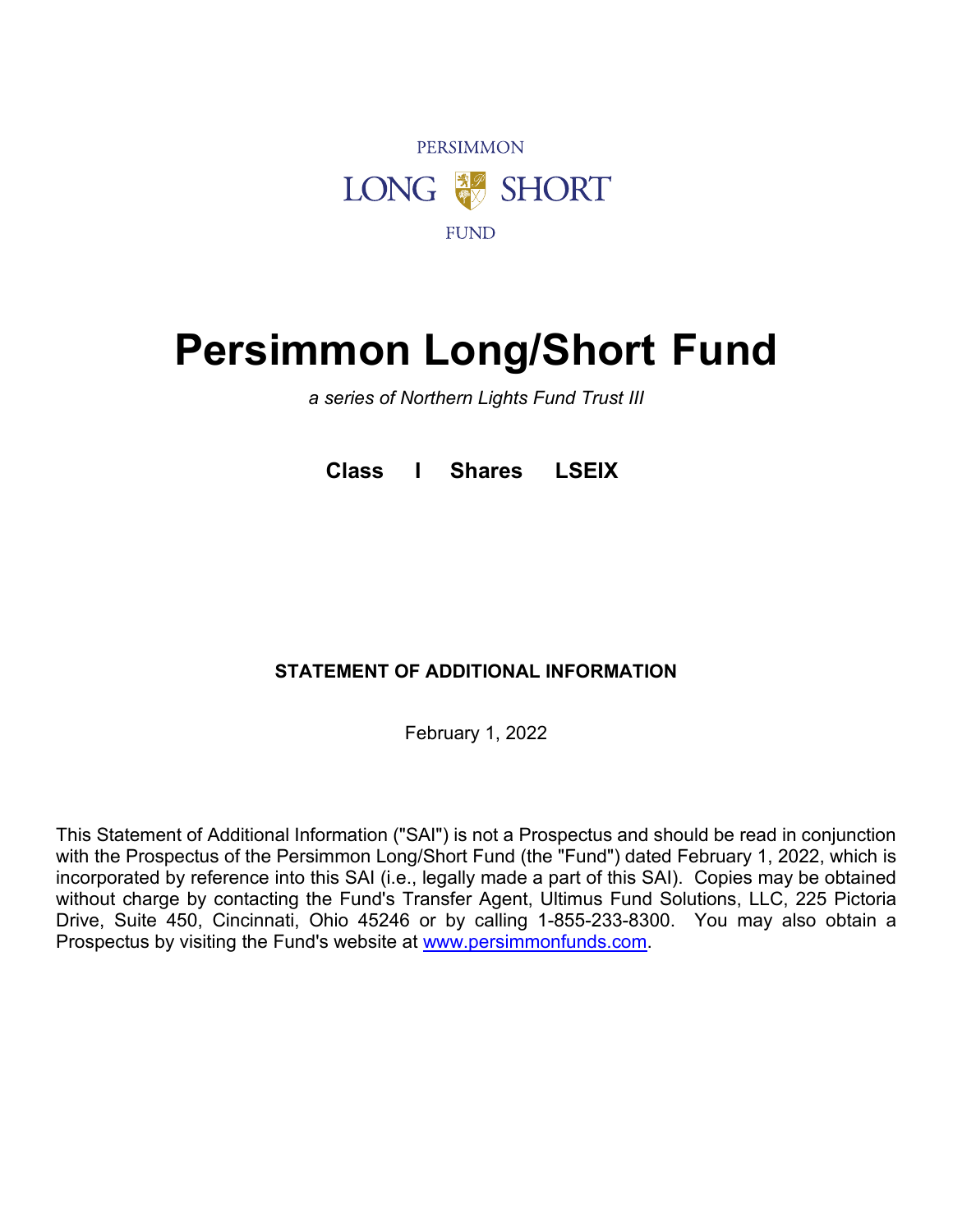

# **Persimmon Long/Short Fund**

*a series of Northern Lights Fund Trust III*

**Class I Shares LSEIX**

# **STATEMENT OF ADDITIONAL INFORMATION**

February 1, 2022

This Statement of Additional Information ("SAI") is not a Prospectus and should be read in conjunction with the Prospectus of the Persimmon Long/Short Fund (the "Fund") dated February 1, 2022, which is incorporated by reference into this SAI (i.e., legally made a part of this SAI). Copies may be obtained without charge by contacting the Fund's Transfer Agent, Ultimus Fund Solutions, LLC, 225 Pictoria Drive, Suite 450, Cincinnati, Ohio 45246 or by calling 1-855-233-8300. You may also obtain a Prospectus by visiting the Fund's website at [www.persimmonfunds.com.](http://www.persimmonfunds.com/)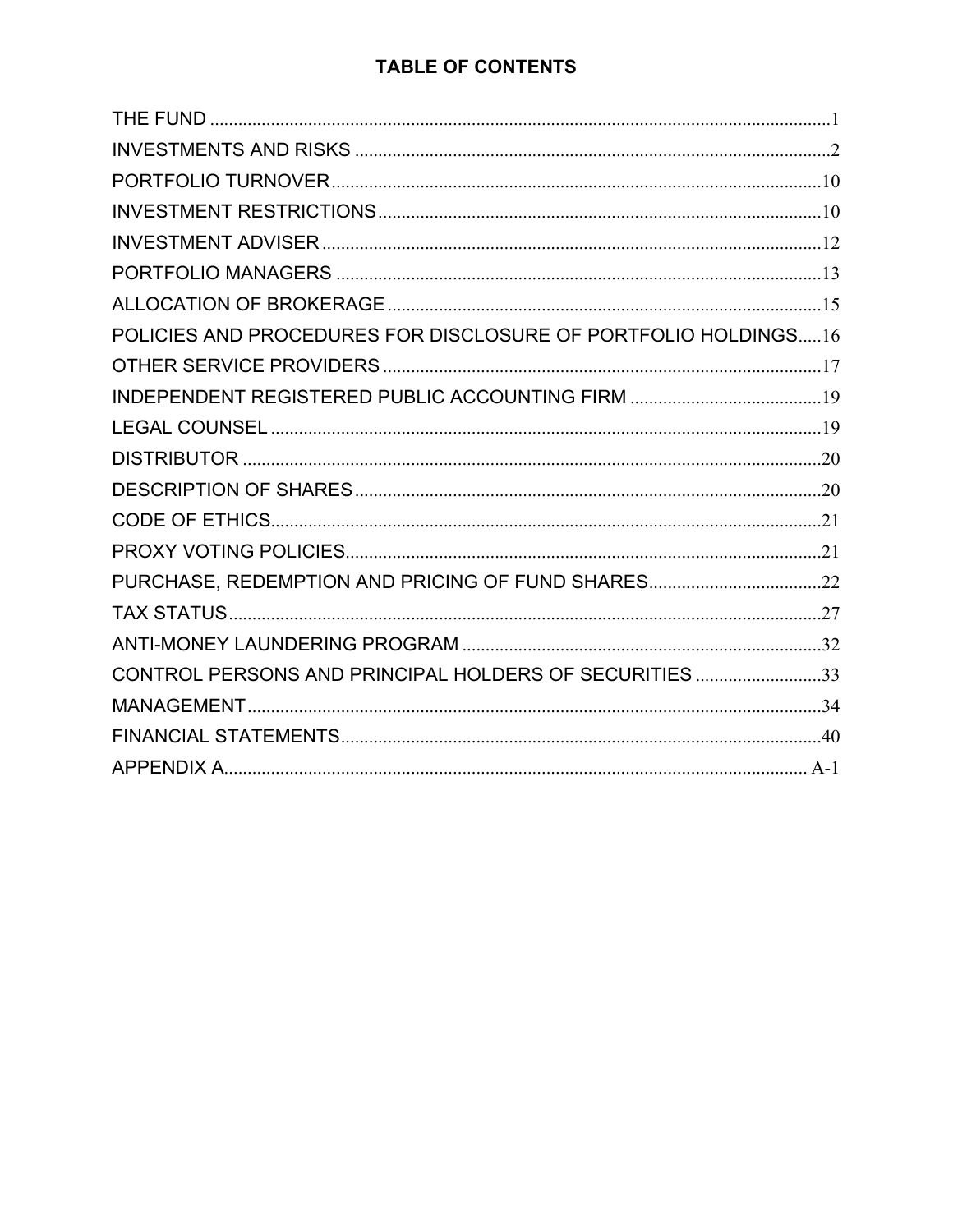# **TABLE OF CONTENTS**

<span id="page-1-0"></span>

| POLICIES AND PROCEDURES FOR DISCLOSURE OF PORTFOLIO HOLDINGS16 |
|----------------------------------------------------------------|
|                                                                |
|                                                                |
|                                                                |
|                                                                |
|                                                                |
|                                                                |
|                                                                |
| PURCHASE, REDEMPTION AND PRICING OF FUND SHARES22              |
|                                                                |
|                                                                |
| CONTROL PERSONS AND PRINCIPAL HOLDERS OF SECURITIES 33         |
|                                                                |
|                                                                |
|                                                                |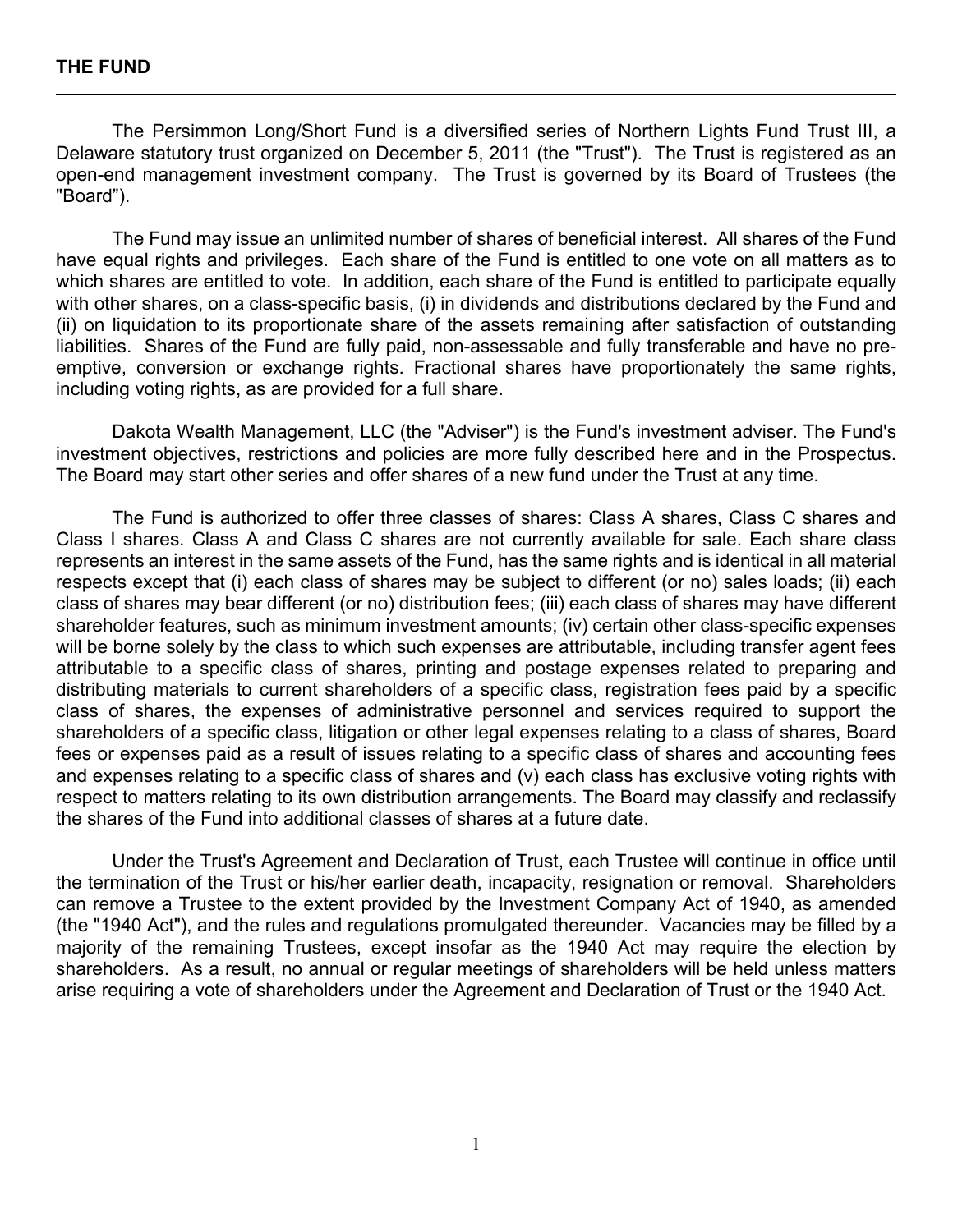The Persimmon Long/Short Fund is a diversified series of Northern Lights Fund Trust III, a Delaware statutory trust organized on December 5, 2011 (the "Trust"). The Trust is registered as an open-end management investment company. The Trust is governed by its Board of Trustees (the "Board").

The Fund may issue an unlimited number of shares of beneficial interest. All shares of the Fund have equal rights and privileges. Each share of the Fund is entitled to one vote on all matters as to which shares are entitled to vote. In addition, each share of the Fund is entitled to participate equally with other shares, on a class-specific basis, (i) in dividends and distributions declared by the Fund and (ii) on liquidation to its proportionate share of the assets remaining after satisfaction of outstanding liabilities. Shares of the Fund are fully paid, non-assessable and fully transferable and have no preemptive, conversion or exchange rights. Fractional shares have proportionately the same rights, including voting rights, as are provided for a full share.

Dakota Wealth Management, LLC (the "Adviser") is the Fund's investment adviser. The Fund's investment objectives, restrictions and policies are more fully described here and in the Prospectus. The Board may start other series and offer shares of a new fund under the Trust at any time.

The Fund is authorized to offer three classes of shares: Class A shares, Class C shares and Class I shares. Class A and Class C shares are not currently available for sale. Each share class represents an interest in the same assets of the Fund, has the same rights and is identical in all material respects except that (i) each class of shares may be subject to different (or no) sales loads; (ii) each class of shares may bear different (or no) distribution fees; (iii) each class of shares may have different shareholder features, such as minimum investment amounts; (iv) certain other class-specific expenses will be borne solely by the class to which such expenses are attributable, including transfer agent fees attributable to a specific class of shares, printing and postage expenses related to preparing and distributing materials to current shareholders of a specific class, registration fees paid by a specific class of shares, the expenses of administrative personnel and services required to support the shareholders of a specific class, litigation or other legal expenses relating to a class of shares, Board fees or expenses paid as a result of issues relating to a specific class of shares and accounting fees and expenses relating to a specific class of shares and (v) each class has exclusive voting rights with respect to matters relating to its own distribution arrangements. The Board may classify and reclassify the shares of the Fund into additional classes of shares at a future date.

<span id="page-2-0"></span>Under the Trust's Agreement and Declaration of Trust, each Trustee will continue in office until the termination of the Trust or his/her earlier death, incapacity, resignation or removal. Shareholders can remove a Trustee to the extent provided by the Investment Company Act of 1940, as amended (the "1940 Act"), and the rules and regulations promulgated thereunder. Vacancies may be filled by a majority of the remaining Trustees, except insofar as the 1940 Act may require the election by shareholders. As a result, no annual or regular meetings of shareholders will be held unless matters arise requiring a vote of shareholders under the Agreement and Declaration of Trust or the 1940 Act.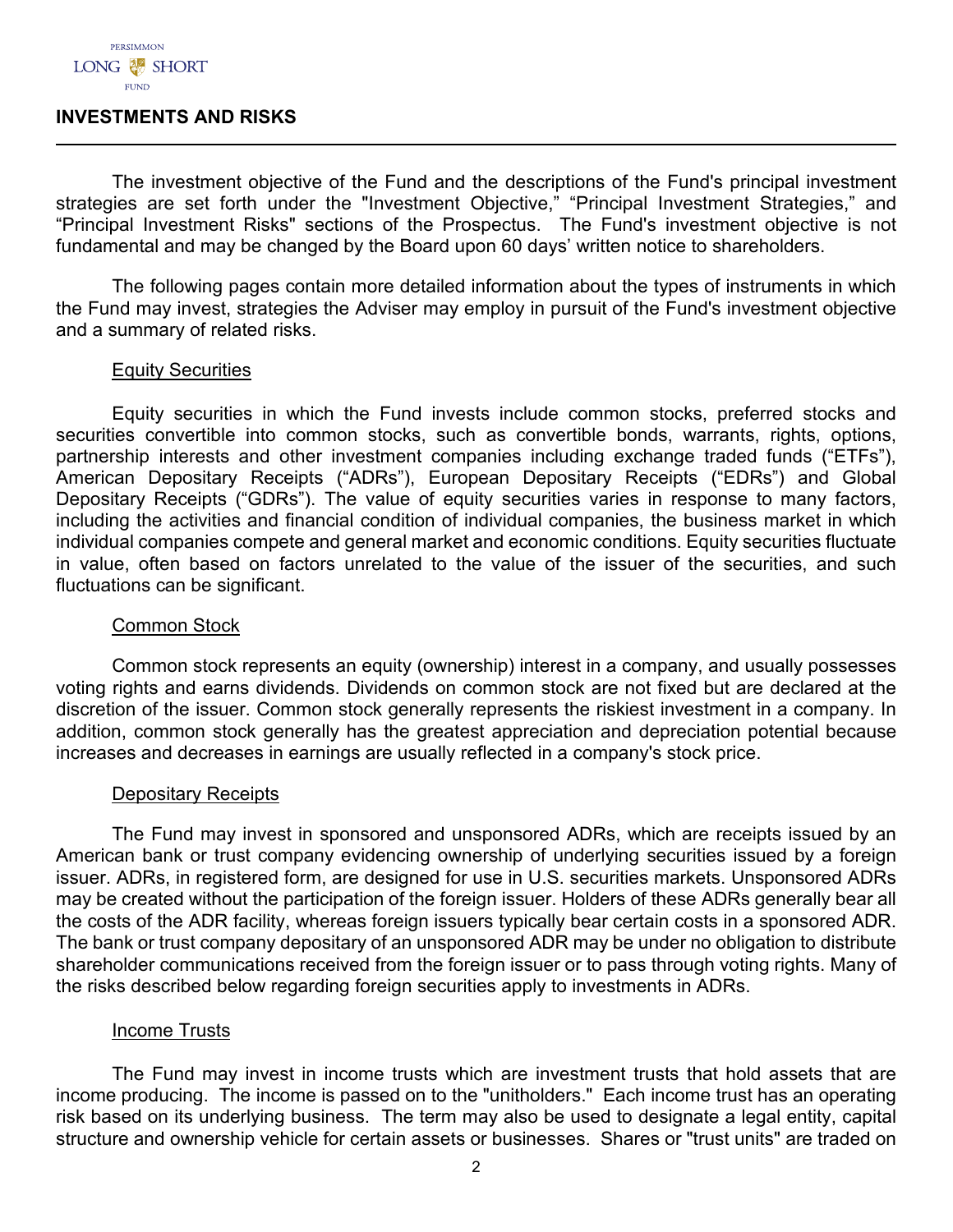#### **INVESTMENTS AND RISKS**

The investment objective of the Fund and the descriptions of the Fund's principal investment strategies are set forth under the "Investment Objective," "Principal Investment Strategies," and "Principal Investment Risks" sections of the Prospectus. The Fund's investment objective is not fundamental and may be changed by the Board upon 60 days' written notice to shareholders.

The following pages contain more detailed information about the types of instruments in which the Fund may invest, strategies the Adviser may employ in pursuit of the Fund's investment objective and a summary of related risks.

#### Equity Securities

Equity securities in which the Fund invests include common stocks, preferred stocks and securities convertible into common stocks, such as convertible bonds, warrants, rights, options, partnership interests and other investment companies including exchange traded funds ("ETFs"), American Depositary Receipts ("ADRs"), European Depositary Receipts ("EDRs") and Global Depositary Receipts ("GDRs"). The value of equity securities varies in response to many factors, including the activities and financial condition of individual companies, the business market in which individual companies compete and general market and economic conditions. Equity securities fluctuate in value, often based on factors unrelated to the value of the issuer of the securities, and such fluctuations can be significant.

#### Common Stock

Common stock represents an equity (ownership) interest in a company, and usually possesses voting rights and earns dividends. Dividends on common stock are not fixed but are declared at the discretion of the issuer. Common stock generally represents the riskiest investment in a company. In addition, common stock generally has the greatest appreciation and depreciation potential because increases and decreases in earnings are usually reflected in a company's stock price.

## Depositary Receipts

The Fund may invest in sponsored and unsponsored ADRs, which are receipts issued by an American bank or trust company evidencing ownership of underlying securities issued by a foreign issuer. ADRs, in registered form, are designed for use in U.S. securities markets. Unsponsored ADRs may be created without the participation of the foreign issuer. Holders of these ADRs generally bear all the costs of the ADR facility, whereas foreign issuers typically bear certain costs in a sponsored ADR. The bank or trust company depositary of an unsponsored ADR may be under no obligation to distribute shareholder communications received from the foreign issuer or to pass through voting rights. Many of the risks described below regarding foreign securities apply to investments in ADRs.

#### Income Trusts

The Fund may invest in income trusts which are investment trusts that hold assets that are income producing. The income is passed on to the "unitholders." Each income trust has an operating risk based on its underlying business. The term may also be used to designate a legal entity, capital structure and ownership vehicle for certain assets or businesses. Shares or "trust units" are traded on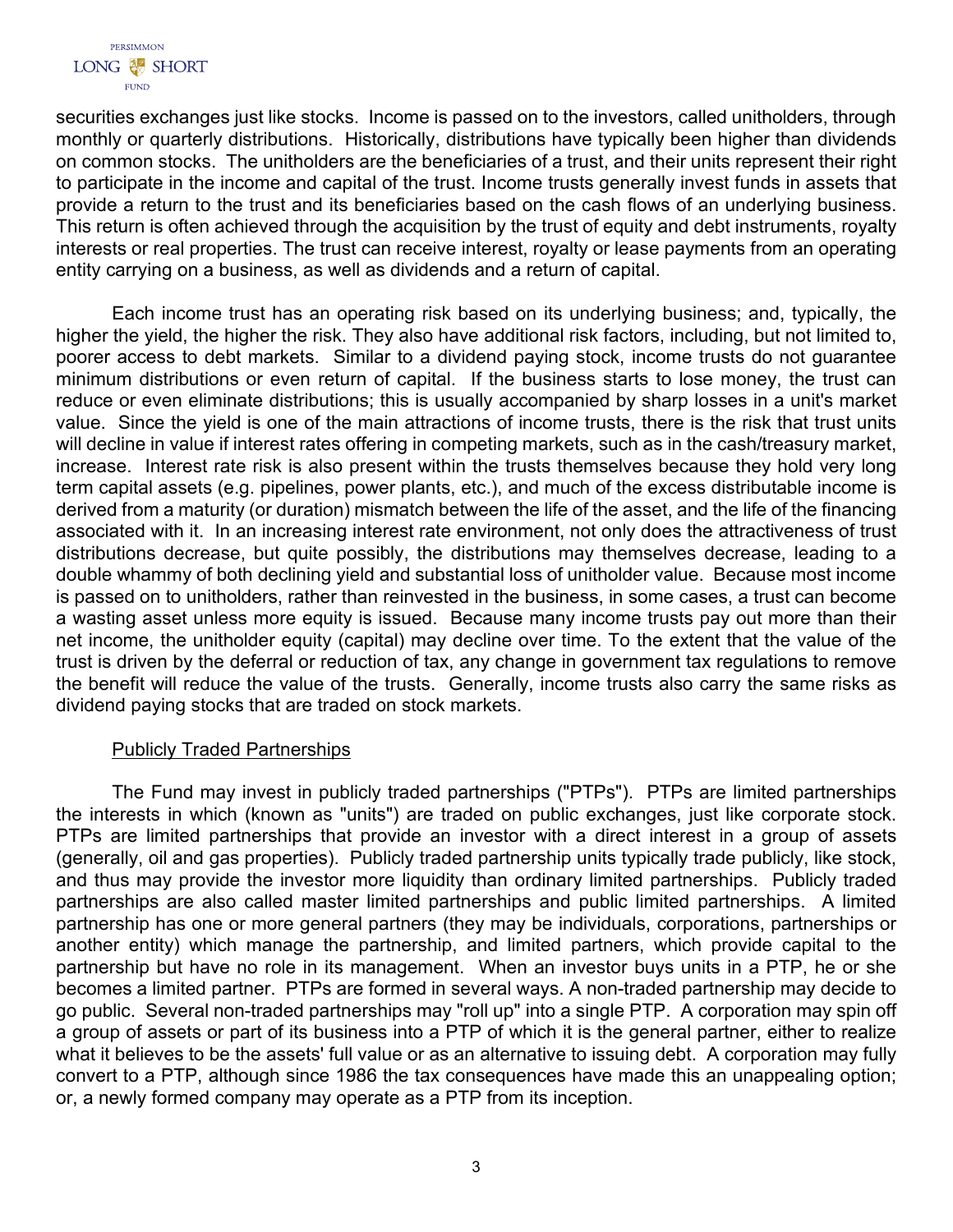

securities exchanges just like stocks. Income is passed on to the investors, called unitholders, through monthly or quarterly distributions. Historically, distributions have typically been higher than dividends on common stocks. The unitholders are the beneficiaries of a trust, and their units represent their right to participate in the income and capital of the trust. Income trusts generally invest funds in assets that provide a return to the trust and its beneficiaries based on the cash flows of an underlying business. This return is often achieved through the acquisition by the trust of equity and debt instruments, royalty interests or real properties. The trust can receive interest, royalty or lease payments from an operating entity carrying on a business, as well as dividends and a return of capital.

Each income trust has an operating risk based on its underlying business; and, typically, the higher the yield, the higher the risk. They also have additional risk factors, including, but not limited to, poorer access to debt markets. Similar to a dividend paying stock, income trusts do not guarantee minimum distributions or even return of capital. If the business starts to lose money, the trust can reduce or even eliminate distributions; this is usually accompanied by sharp losses in a unit's market value. Since the yield is one of the main attractions of income trusts, there is the risk that trust units will decline in value if interest rates offering in competing markets, such as in the cash/treasury market, increase. Interest rate risk is also present within the trusts themselves because they hold very long term capital assets (e.g. pipelines, power plants, etc.), and much of the excess distributable income is derived from a maturity (or duration) mismatch between the life of the asset, and the life of the financing associated with it. In an increasing interest rate environment, not only does the attractiveness of trust distributions decrease, but quite possibly, the distributions may themselves decrease, leading to a double whammy of both declining yield and substantial loss of unitholder value. Because most income is passed on to unitholders, rather than reinvested in the business, in some cases, a trust can become a wasting asset unless more equity is issued. Because many income trusts pay out more than their net income, the unitholder equity (capital) may decline over time. To the extent that the value of the trust is driven by the deferral or reduction of tax, any change in government tax regulations to remove the benefit will reduce the value of the trusts. Generally, income trusts also carry the same risks as dividend paying stocks that are traded on stock markets.

## Publicly Traded Partnerships

The Fund may invest in publicly traded partnerships ("PTPs"). PTPs are limited partnerships the interests in which (known as "units") are traded on public exchanges, just like corporate stock. PTPs are limited partnerships that provide an investor with a direct interest in a group of assets (generally, oil and gas properties). Publicly traded partnership units typically trade publicly, like stock, and thus may provide the investor more liquidity than ordinary limited partnerships. Publicly traded partnerships are also called master limited partnerships and public limited partnerships. A limited partnership has one or more general partners (they may be individuals, corporations, partnerships or another entity) which manage the partnership, and limited partners, which provide capital to the partnership but have no role in its management. When an investor buys units in a PTP, he or she becomes a limited partner. PTPs are formed in several ways. A non-traded partnership may decide to go public. Several non-traded partnerships may "roll up" into a single PTP. A corporation may spin off a group of assets or part of its business into a PTP of which it is the general partner, either to realize what it believes to be the assets' full value or as an alternative to issuing debt. A corporation may fully convert to a PTP, although since 1986 the tax consequences have made this an unappealing option; or, a newly formed company may operate as a PTP from its inception.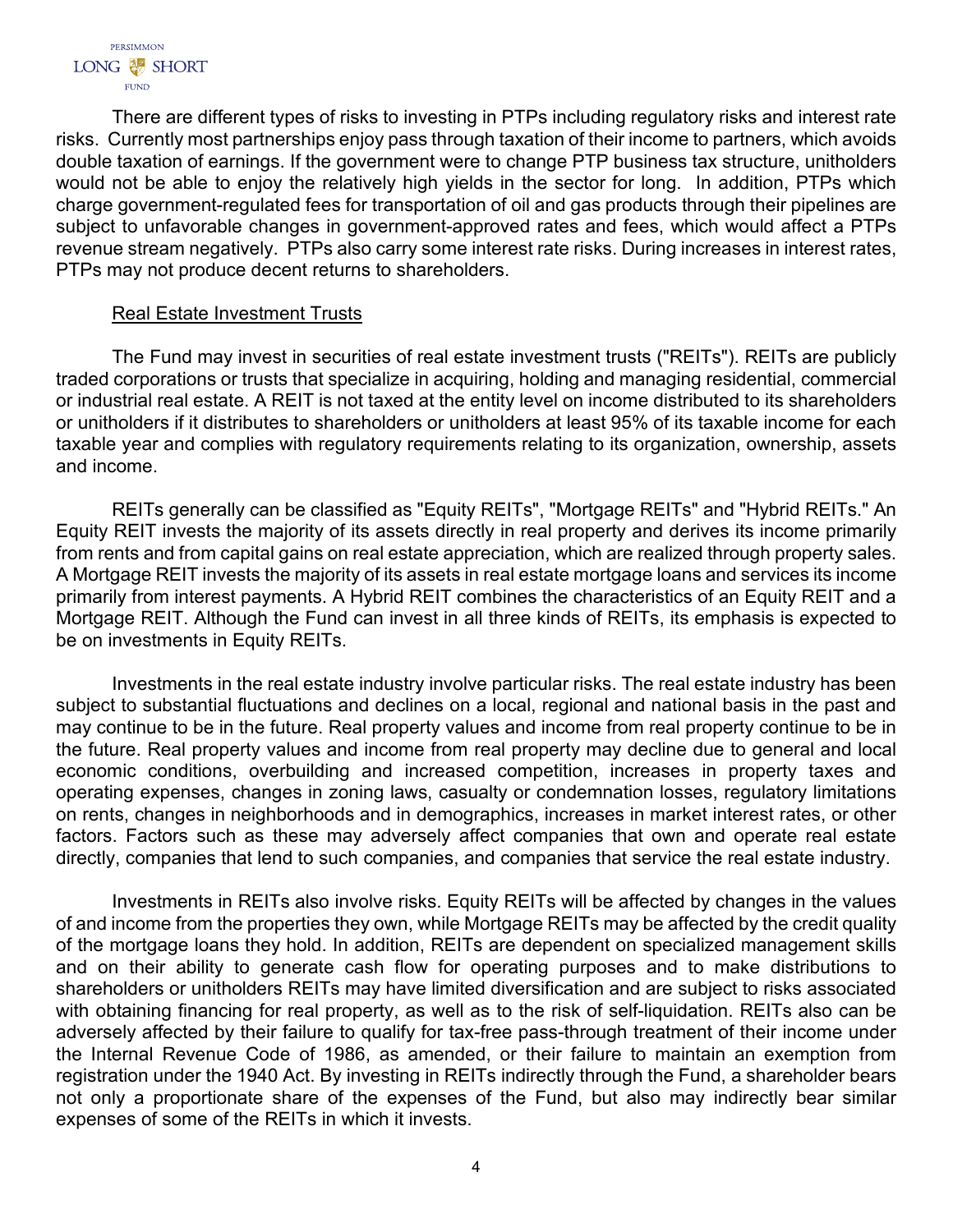There are different types of risks to investing in PTPs including regulatory risks and interest rate risks. Currently most partnerships enjoy pass through taxation of their income to partners, which avoids double taxation of earnings. If the government were to change PTP business tax structure, unitholders would not be able to enjoy the relatively high yields in the sector for long. In addition, PTPs which charge government-regulated fees for transportation of oil and gas products through their pipelines are subject to unfavorable changes in government-approved rates and fees, which would affect a PTPs revenue stream negatively. PTPs also carry some interest rate risks. During increases in interest rates, PTPs may not produce decent returns to shareholders.

# Real Estate Investment Trusts

The Fund may invest in securities of real estate investment trusts ("REITs"). REITs are publicly traded corporations or trusts that specialize in acquiring, holding and managing residential, commercial or industrial real estate. A REIT is not taxed at the entity level on income distributed to its shareholders or unitholders if it distributes to shareholders or unitholders at least 95% of its taxable income for each taxable year and complies with regulatory requirements relating to its organization, ownership, assets and income.

REITs generally can be classified as "Equity REITs", "Mortgage REITs" and "Hybrid REITs." An Equity REIT invests the majority of its assets directly in real property and derives its income primarily from rents and from capital gains on real estate appreciation, which are realized through property sales. A Mortgage REIT invests the majority of its assets in real estate mortgage loans and services its income primarily from interest payments. A Hybrid REIT combines the characteristics of an Equity REIT and a Mortgage REIT. Although the Fund can invest in all three kinds of REITs, its emphasis is expected to be on investments in Equity REITs.

Investments in the real estate industry involve particular risks. The real estate industry has been subject to substantial fluctuations and declines on a local, regional and national basis in the past and may continue to be in the future. Real property values and income from real property continue to be in the future. Real property values and income from real property may decline due to general and local economic conditions, overbuilding and increased competition, increases in property taxes and operating expenses, changes in zoning laws, casualty or condemnation losses, regulatory limitations on rents, changes in neighborhoods and in demographics, increases in market interest rates, or other factors. Factors such as these may adversely affect companies that own and operate real estate directly, companies that lend to such companies, and companies that service the real estate industry.

Investments in REITs also involve risks. Equity REITs will be affected by changes in the values of and income from the properties they own, while Mortgage REITs may be affected by the credit quality of the mortgage loans they hold. In addition, REITs are dependent on specialized management skills and on their ability to generate cash flow for operating purposes and to make distributions to shareholders or unitholders REITs may have limited diversification and are subject to risks associated with obtaining financing for real property, as well as to the risk of self-liquidation. REITs also can be adversely affected by their failure to qualify for tax-free pass-through treatment of their income under the Internal Revenue Code of 1986, as amended, or their failure to maintain an exemption from registration under the 1940 Act. By investing in REITs indirectly through the Fund, a shareholder bears not only a proportionate share of the expenses of the Fund, but also may indirectly bear similar expenses of some of the REITs in which it invests.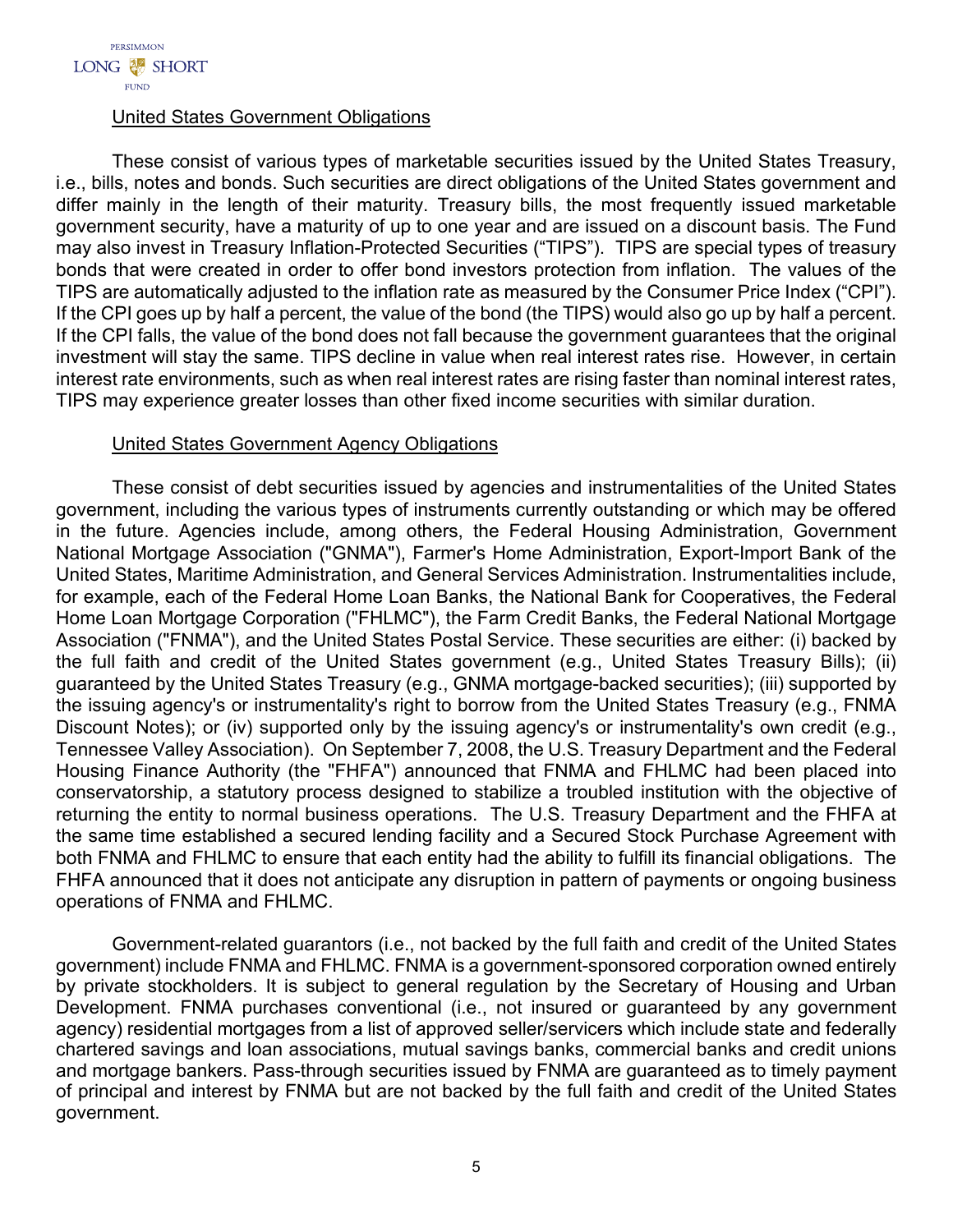## United States Government Obligations

These consist of various types of marketable securities issued by the United States Treasury, i.e., bills, notes and bonds. Such securities are direct obligations of the United States government and differ mainly in the length of their maturity. Treasury bills, the most frequently issued marketable government security, have a maturity of up to one year and are issued on a discount basis. The Fund may also invest in Treasury Inflation-Protected Securities ("TIPS"). TIPS are special types of treasury bonds that were created in order to offer bond investors protection from inflation. The values of the TIPS are automatically adjusted to the inflation rate as measured by the Consumer Price Index ("CPI"). If the CPI goes up by half a percent, the value of the bond (the TIPS) would also go up by half a percent. If the CPI falls, the value of the bond does not fall because the government guarantees that the original investment will stay the same. TIPS decline in value when real interest rates rise. However, in certain interest rate environments, such as when real interest rates are rising faster than nominal interest rates, TIPS may experience greater losses than other fixed income securities with similar duration.

## United States Government Agency Obligations

These consist of debt securities issued by agencies and instrumentalities of the United States government, including the various types of instruments currently outstanding or which may be offered in the future. Agencies include, among others, the Federal Housing Administration, Government National Mortgage Association ("GNMA"), Farmer's Home Administration, Export-Import Bank of the United States, Maritime Administration, and General Services Administration. Instrumentalities include, for example, each of the Federal Home Loan Banks, the National Bank for Cooperatives, the Federal Home Loan Mortgage Corporation ("FHLMC"), the Farm Credit Banks, the Federal National Mortgage Association ("FNMA"), and the United States Postal Service. These securities are either: (i) backed by the full faith and credit of the United States government (e.g., United States Treasury Bills); (ii) guaranteed by the United States Treasury (e.g., GNMA mortgage-backed securities); (iii) supported by the issuing agency's or instrumentality's right to borrow from the United States Treasury (e.g., FNMA Discount Notes); or (iv) supported only by the issuing agency's or instrumentality's own credit (e.g., Tennessee Valley Association). On September 7, 2008, the U.S. Treasury Department and the Federal Housing Finance Authority (the "FHFA") announced that FNMA and FHLMC had been placed into conservatorship, a statutory process designed to stabilize a troubled institution with the objective of returning the entity to normal business operations. The U.S. Treasury Department and the FHFA at the same time established a secured lending facility and a Secured Stock Purchase Agreement with both FNMA and FHLMC to ensure that each entity had the ability to fulfill its financial obligations. The FHFA announced that it does not anticipate any disruption in pattern of payments or ongoing business operations of FNMA and FHLMC.

Government-related guarantors (i.e., not backed by the full faith and credit of the United States government) include FNMA and FHLMC. FNMA is a government-sponsored corporation owned entirely by private stockholders. It is subject to general regulation by the Secretary of Housing and Urban Development. FNMA purchases conventional (i.e., not insured or guaranteed by any government agency) residential mortgages from a list of approved seller/servicers which include state and federally chartered savings and loan associations, mutual savings banks, commercial banks and credit unions and mortgage bankers. Pass-through securities issued by FNMA are guaranteed as to timely payment of principal and interest by FNMA but are not backed by the full faith and credit of the United States government.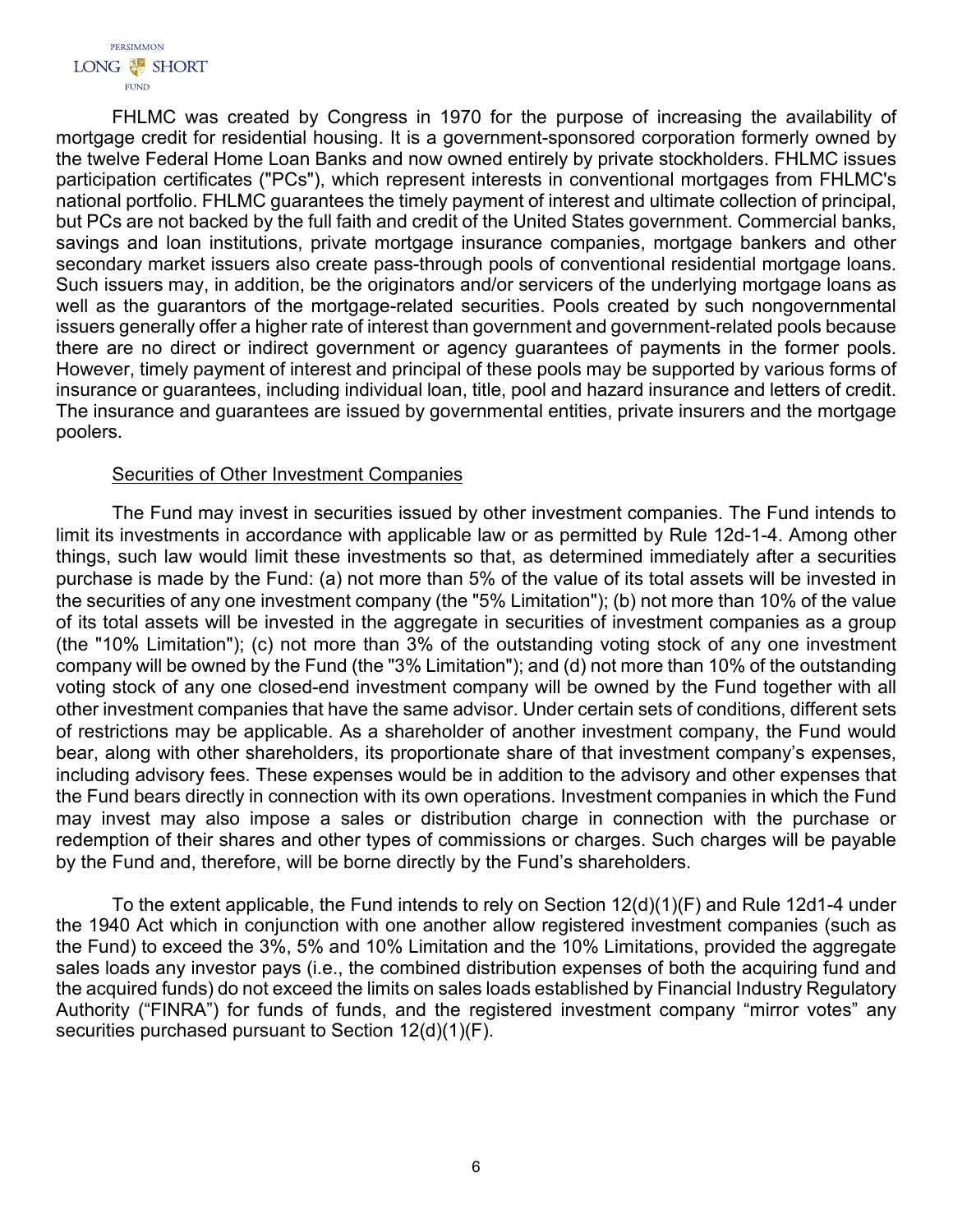FHLMC was created by Congress in 1970 for the purpose of increasing the availability of mortgage credit for residential housing. It is a government-sponsored corporation formerly owned by the twelve Federal Home Loan Banks and now owned entirely by private stockholders. FHLMC issues participation certificates ("PCs"), which represent interests in conventional mortgages from FHLMC's national portfolio. FHLMC guarantees the timely payment of interest and ultimate collection of principal, but PCs are not backed by the full faith and credit of the United States government. Commercial banks, savings and loan institutions, private mortgage insurance companies, mortgage bankers and other secondary market issuers also create pass-through pools of conventional residential mortgage loans. Such issuers may, in addition, be the originators and/or servicers of the underlying mortgage loans as well as the guarantors of the mortgage-related securities. Pools created by such nongovernmental issuers generally offer a higher rate of interest than government and government-related pools because there are no direct or indirect government or agency guarantees of payments in the former pools. However, timely payment of interest and principal of these pools may be supported by various forms of insurance or guarantees, including individual loan, title, pool and hazard insurance and letters of credit. The insurance and guarantees are issued by governmental entities, private insurers and the mortgage poolers.

# **Securities of Other Investment Companies**

The Fund may invest in securities issued by other investment companies. The Fund intends to limit its investments in accordance with applicable law or as permitted by Rule 12d-1-4. Among other things, such law would limit these investments so that, as determined immediately after a securities purchase is made by the Fund: (a) not more than 5% of the value of its total assets will be invested in the securities of any one investment company (the "5% Limitation"); (b) not more than 10% of the value of its total assets will be invested in the aggregate in securities of investment companies as a group (the "10% Limitation"); (c) not more than 3% of the outstanding voting stock of any one investment company will be owned by the Fund (the "3% Limitation"); and (d) not more than 10% of the outstanding voting stock of any one closed-end investment company will be owned by the Fund together with all other investment companies that have the same advisor. Under certain sets of conditions, different sets of restrictions may be applicable. As a shareholder of another investment company, the Fund would bear, along with other shareholders, its proportionate share of that investment company's expenses, including advisory fees. These expenses would be in addition to the advisory and other expenses that the Fund bears directly in connection with its own operations. Investment companies in which the Fund may invest may also impose a sales or distribution charge in connection with the purchase or redemption of their shares and other types of commissions or charges. Such charges will be payable by the Fund and, therefore, will be borne directly by the Fund's shareholders.

To the extent applicable, the Fund intends to rely on Section 12(d)(1)(F) and Rule 12d1-4 under the 1940 Act which in conjunction with one another allow registered investment companies (such as the Fund) to exceed the 3%, 5% and 10% Limitation and the 10% Limitations, provided the aggregate sales loads any investor pays (i.e., the combined distribution expenses of both the acquiring fund and the acquired funds) do not exceed the limits on sales loads established by Financial Industry Regulatory Authority ("FINRA") for funds of funds, and the registered investment company "mirror votes" any securities purchased pursuant to Section 12(d)(1)(F).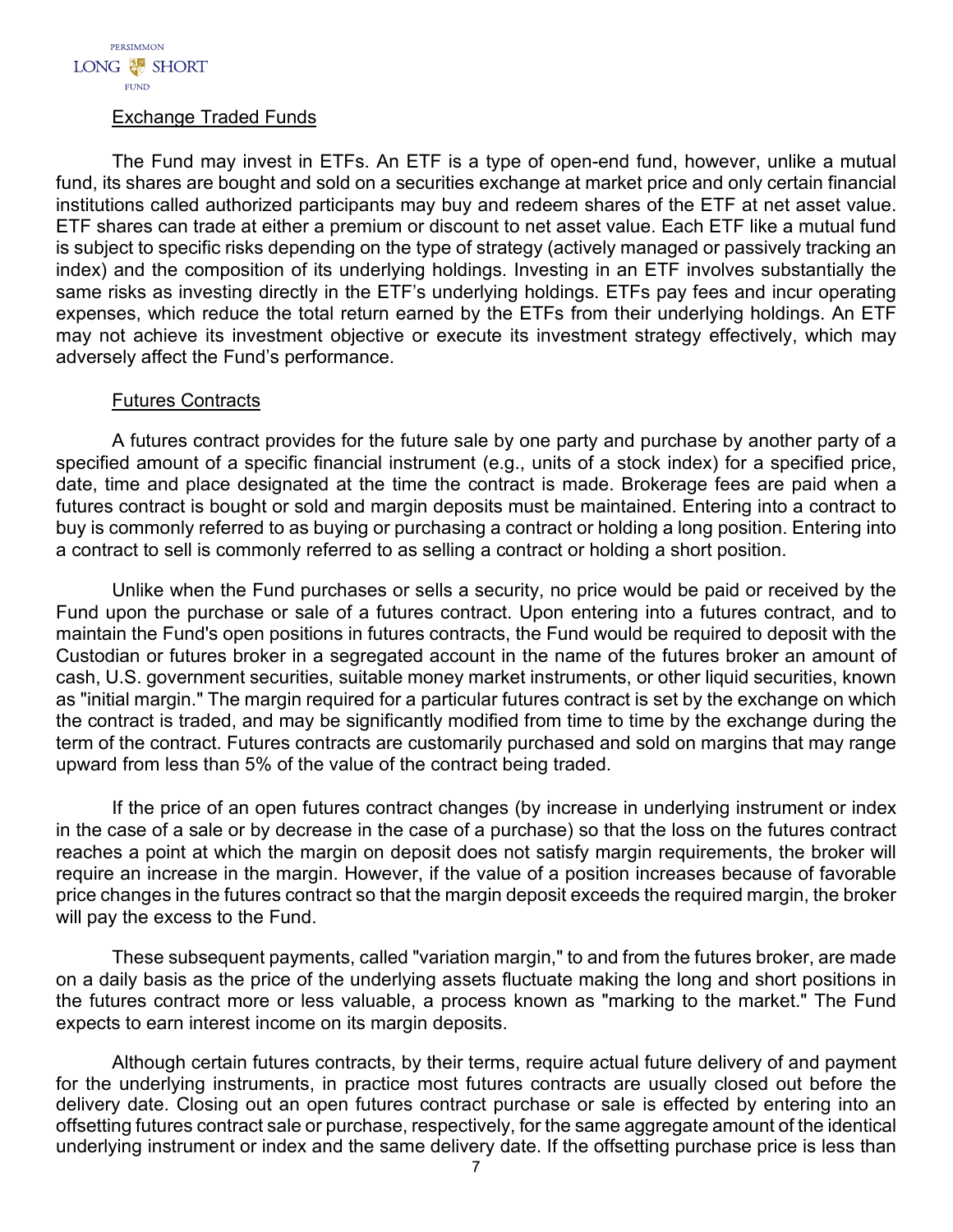# Exchange Traded Funds

The Fund may invest in ETFs. An ETF is a type of open-end fund, however, unlike a mutual fund, its shares are bought and sold on a securities exchange at market price and only certain financial institutions called authorized participants may buy and redeem shares of the ETF at net asset value. ETF shares can trade at either a premium or discount to net asset value. Each ETF like a mutual fund is subject to specific risks depending on the type of strategy (actively managed or passively tracking an index) and the composition of its underlying holdings. Investing in an ETF involves substantially the same risks as investing directly in the ETF's underlying holdings. ETFs pay fees and incur operating expenses, which reduce the total return earned by the ETFs from their underlying holdings. An ETF may not achieve its investment objective or execute its investment strategy effectively, which may adversely affect the Fund's performance.

## Futures Contracts

A futures contract provides for the future sale by one party and purchase by another party of a specified amount of a specific financial instrument (e.g., units of a stock index) for a specified price, date, time and place designated at the time the contract is made. Brokerage fees are paid when a futures contract is bought or sold and margin deposits must be maintained. Entering into a contract to buy is commonly referred to as buying or purchasing a contract or holding a long position. Entering into a contract to sell is commonly referred to as selling a contract or holding a short position.

Unlike when the Fund purchases or sells a security, no price would be paid or received by the Fund upon the purchase or sale of a futures contract. Upon entering into a futures contract, and to maintain the Fund's open positions in futures contracts, the Fund would be required to deposit with the Custodian or futures broker in a segregated account in the name of the futures broker an amount of cash, U.S. government securities, suitable money market instruments, or other liquid securities, known as "initial margin." The margin required for a particular futures contract is set by the exchange on which the contract is traded, and may be significantly modified from time to time by the exchange during the term of the contract. Futures contracts are customarily purchased and sold on margins that may range upward from less than 5% of the value of the contract being traded.

If the price of an open futures contract changes (by increase in underlying instrument or index in the case of a sale or by decrease in the case of a purchase) so that the loss on the futures contract reaches a point at which the margin on deposit does not satisfy margin requirements, the broker will require an increase in the margin. However, if the value of a position increases because of favorable price changes in the futures contract so that the margin deposit exceeds the required margin, the broker will pay the excess to the Fund.

These subsequent payments, called "variation margin," to and from the futures broker, are made on a daily basis as the price of the underlying assets fluctuate making the long and short positions in the futures contract more or less valuable, a process known as "marking to the market." The Fund expects to earn interest income on its margin deposits.

Although certain futures contracts, by their terms, require actual future delivery of and payment for the underlying instruments, in practice most futures contracts are usually closed out before the delivery date. Closing out an open futures contract purchase or sale is effected by entering into an offsetting futures contract sale or purchase, respectively, for the same aggregate amount of the identical underlying instrument or index and the same delivery date. If the offsetting purchase price is less than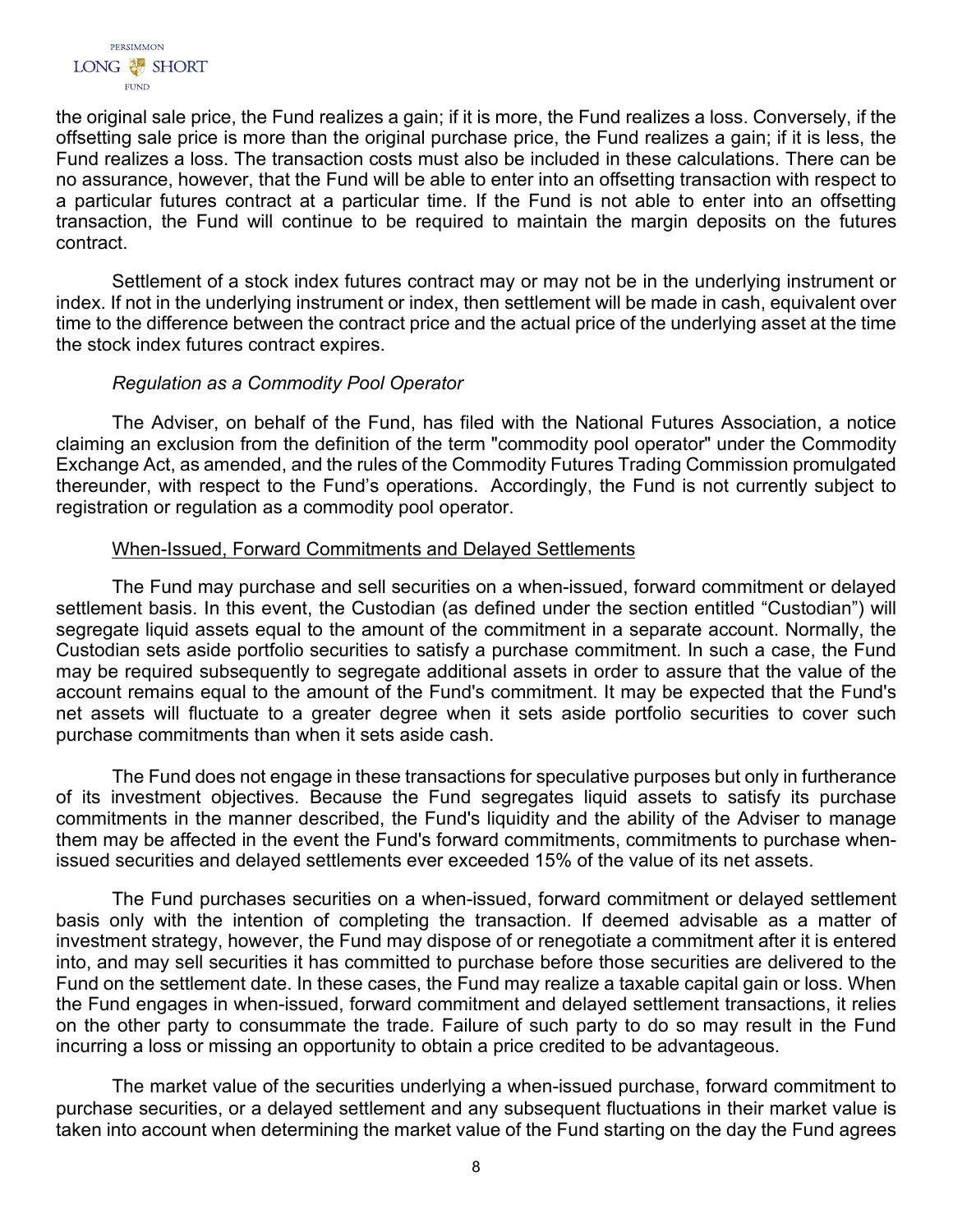the original sale price, the Fund realizes a gain; if it is more, the Fund realizes a loss. Conversely, if the offsetting sale price is more than the original purchase price, the Fund realizes a gain; if it is less, the Fund realizes a loss. The transaction costs must also be included in these calculations. There can be no assurance, however, that the Fund will be able to enter into an offsetting transaction with respect to a particular futures contract at a particular time. If the Fund is not able to enter into an offsetting transaction, the Fund will continue to be required to maintain the margin deposits on the futures contract.

Settlement of a stock index futures contract may or may not be in the underlying instrument or index. If not in the underlying instrument or index, then settlement will be made in cash, equivalent over time to the difference between the contract price and the actual price of the underlying asset at the time the stock index futures contract expires.

# *Regulation as a Commodity Pool Operator*

The Adviser, on behalf of the Fund, has filed with the National Futures Association, a notice claiming an exclusion from the definition of the term "commodity pool operator" under the Commodity Exchange Act, as amended, and the rules of the Commodity Futures Trading Commission promulgated thereunder, with respect to the Fund's operations. Accordingly, the Fund is not currently subject to registration or regulation as a commodity pool operator.

## When-Issued, Forward Commitments and Delayed Settlements

The Fund may purchase and sell securities on a when-issued, forward commitment or delayed settlement basis. In this event, the Custodian (as defined under the section entitled "Custodian") will segregate liquid assets equal to the amount of the commitment in a separate account. Normally, the Custodian sets aside portfolio securities to satisfy a purchase commitment. In such a case, the Fund may be required subsequently to segregate additional assets in order to assure that the value of the account remains equal to the amount of the Fund's commitment. It may be expected that the Fund's net assets will fluctuate to a greater degree when it sets aside portfolio securities to cover such purchase commitments than when it sets aside cash.

The Fund does not engage in these transactions for speculative purposes but only in furtherance of its investment objectives. Because the Fund segregates liquid assets to satisfy its purchase commitments in the manner described, the Fund's liquidity and the ability of the Adviser to manage them may be affected in the event the Fund's forward commitments, commitments to purchase whenissued securities and delayed settlements ever exceeded 15% of the value of its net assets.

The Fund purchases securities on a when-issued, forward commitment or delayed settlement basis only with the intention of completing the transaction. If deemed advisable as a matter of investment strategy, however, the Fund may dispose of or renegotiate a commitment after it is entered into, and may sell securities it has committed to purchase before those securities are delivered to the Fund on the settlement date. In these cases, the Fund may realize a taxable capital gain or loss. When the Fund engages in when-issued, forward commitment and delayed settlement transactions, it relies on the other party to consummate the trade. Failure of such party to do so may result in the Fund incurring a loss or missing an opportunity to obtain a price credited to be advantageous.

The market value of the securities underlying a when-issued purchase, forward commitment to purchase securities, or a delayed settlement and any subsequent fluctuations in their market value is taken into account when determining the market value of the Fund starting on the day the Fund agrees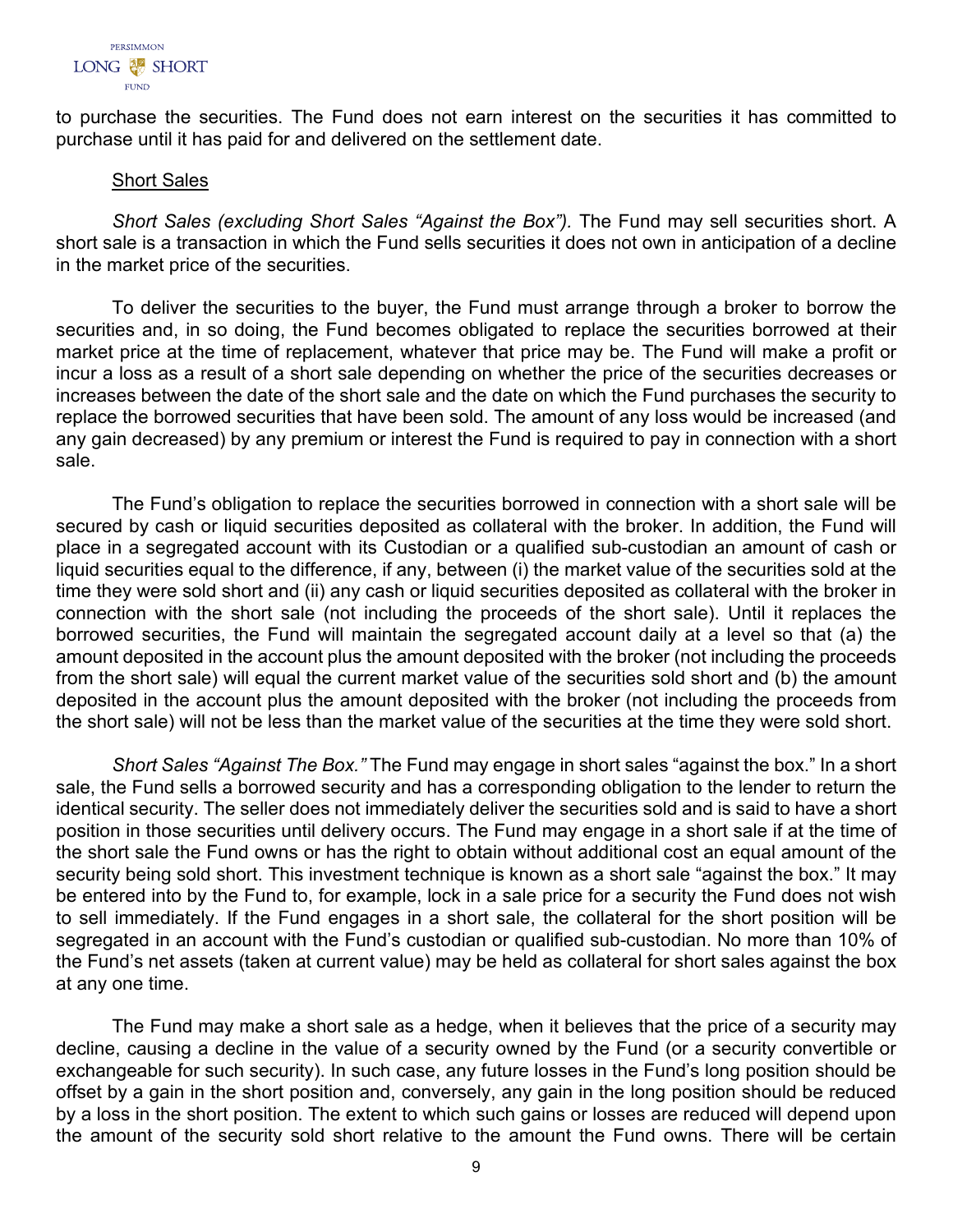

to purchase the securities. The Fund does not earn interest on the securities it has committed to purchase until it has paid for and delivered on the settlement date.

#### Short Sales

*Short Sales (excluding Short Sales "Against the Box").* The Fund may sell securities short. A short sale is a transaction in which the Fund sells securities it does not own in anticipation of a decline in the market price of the securities.

To deliver the securities to the buyer, the Fund must arrange through a broker to borrow the securities and, in so doing, the Fund becomes obligated to replace the securities borrowed at their market price at the time of replacement, whatever that price may be. The Fund will make a profit or incur a loss as a result of a short sale depending on whether the price of the securities decreases or increases between the date of the short sale and the date on which the Fund purchases the security to replace the borrowed securities that have been sold. The amount of any loss would be increased (and any gain decreased) by any premium or interest the Fund is required to pay in connection with a short sale.

The Fund's obligation to replace the securities borrowed in connection with a short sale will be secured by cash or liquid securities deposited as collateral with the broker. In addition, the Fund will place in a segregated account with its Custodian or a qualified sub-custodian an amount of cash or liquid securities equal to the difference, if any, between (i) the market value of the securities sold at the time they were sold short and (ii) any cash or liquid securities deposited as collateral with the broker in connection with the short sale (not including the proceeds of the short sale). Until it replaces the borrowed securities, the Fund will maintain the segregated account daily at a level so that (a) the amount deposited in the account plus the amount deposited with the broker (not including the proceeds from the short sale) will equal the current market value of the securities sold short and (b) the amount deposited in the account plus the amount deposited with the broker (not including the proceeds from the short sale) will not be less than the market value of the securities at the time they were sold short.

*Short Sales "Against The Box."* The Fund may engage in short sales "against the box." In a short sale, the Fund sells a borrowed security and has a corresponding obligation to the lender to return the identical security. The seller does not immediately deliver the securities sold and is said to have a short position in those securities until delivery occurs. The Fund may engage in a short sale if at the time of the short sale the Fund owns or has the right to obtain without additional cost an equal amount of the security being sold short. This investment technique is known as a short sale "against the box." It may be entered into by the Fund to, for example, lock in a sale price for a security the Fund does not wish to sell immediately. If the Fund engages in a short sale, the collateral for the short position will be segregated in an account with the Fund's custodian or qualified sub-custodian. No more than 10% of the Fund's net assets (taken at current value) may be held as collateral for short sales against the box at any one time.

The Fund may make a short sale as a hedge, when it believes that the price of a security may decline, causing a decline in the value of a security owned by the Fund (or a security convertible or exchangeable for such security). In such case, any future losses in the Fund's long position should be offset by a gain in the short position and, conversely, any gain in the long position should be reduced by a loss in the short position. The extent to which such gains or losses are reduced will depend upon the amount of the security sold short relative to the amount the Fund owns. There will be certain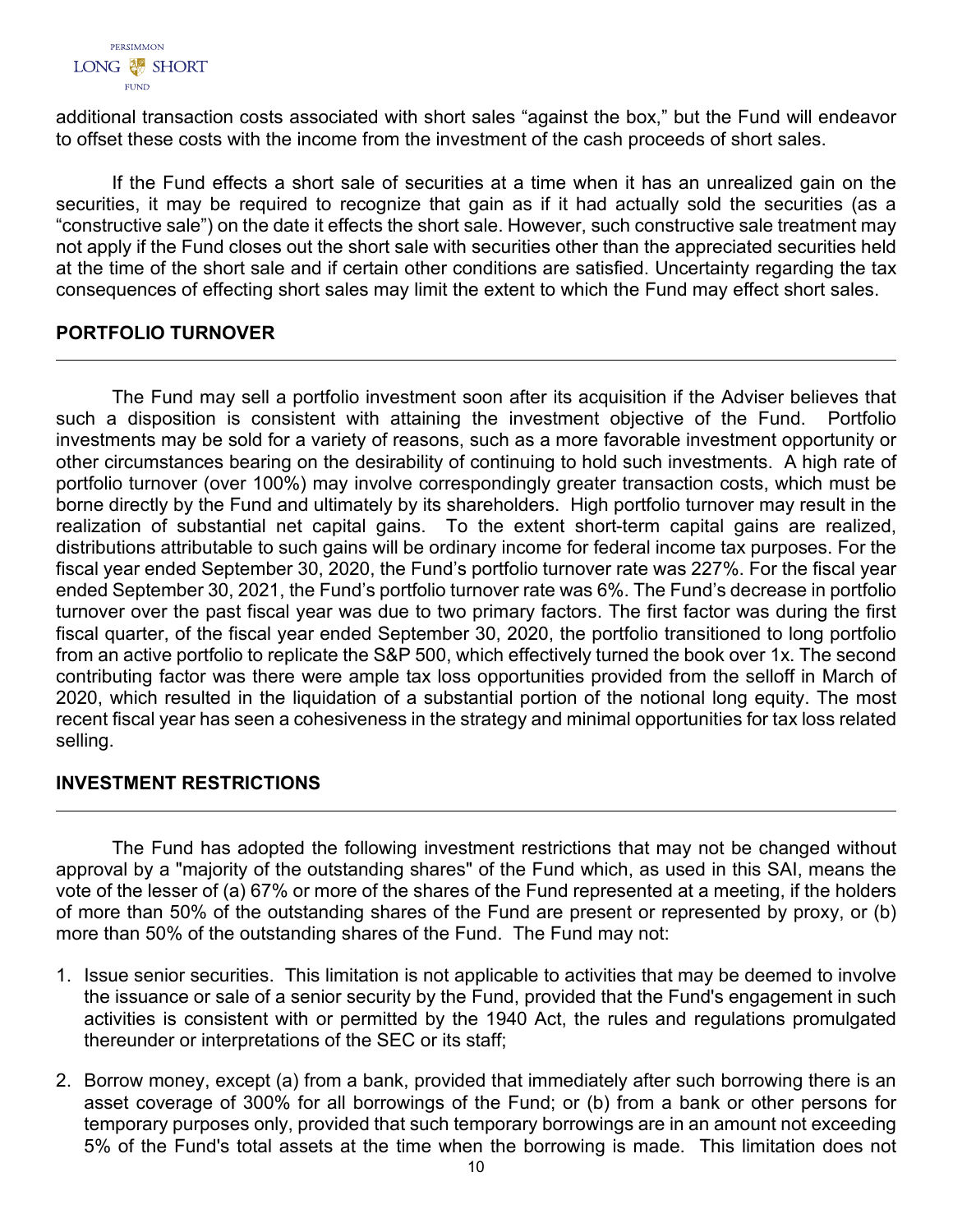

additional transaction costs associated with short sales "against the box," but the Fund will endeavor to offset these costs with the income from the investment of the cash proceeds of short sales.

If the Fund effects a short sale of securities at a time when it has an unrealized gain on the securities, it may be required to recognize that gain as if it had actually sold the securities (as a "constructive sale") on the date it effects the short sale. However, such constructive sale treatment may not apply if the Fund closes out the short sale with securities other than the appreciated securities held at the time of the short sale and if certain other conditions are satisfied. Uncertainty regarding the tax consequences of effecting short sales may limit the extent to which the Fund may effect short sales.

# <span id="page-11-0"></span>**PORTFOLIO TURNOVER**

The Fund may sell a portfolio investment soon after its acquisition if the Adviser believes that such a disposition is consistent with attaining the investment objective of the Fund. Portfolio investments may be sold for a variety of reasons, such as a more favorable investment opportunity or other circumstances bearing on the desirability of continuing to hold such investments. A high rate of portfolio turnover (over 100%) may involve correspondingly greater transaction costs, which must be borne directly by the Fund and ultimately by its shareholders. High portfolio turnover may result in the realization of substantial net capital gains. To the extent short-term capital gains are realized, distributions attributable to such gains will be ordinary income for federal income tax purposes. For the fiscal year ended September 30, 2020, the Fund's portfolio turnover rate was 227%. For the fiscal year ended September 30, 2021, the Fund's portfolio turnover rate was 6%. The Fund's decrease in portfolio turnover over the past fiscal year was due to two primary factors. The first factor was during the first fiscal quarter, of the fiscal year ended September 30, 2020, the portfolio transitioned to long portfolio from an active portfolio to replicate the S&P 500, which effectively turned the book over 1x. The second contributing factor was there were ample tax loss opportunities provided from the selloff in March of 2020, which resulted in the liquidation of a substantial portion of the notional long equity. The most recent fiscal year has seen a cohesiveness in the strategy and minimal opportunities for tax loss related selling.

# <span id="page-11-1"></span>**INVESTMENT RESTRICTIONS**

The Fund has adopted the following investment restrictions that may not be changed without approval by a "majority of the outstanding shares" of the Fund which, as used in this SAI, means the vote of the lesser of (a) 67% or more of the shares of the Fund represented at a meeting, if the holders of more than 50% of the outstanding shares of the Fund are present or represented by proxy, or (b) more than 50% of the outstanding shares of the Fund. The Fund may not:

- 1. Issue senior securities. This limitation is not applicable to activities that may be deemed to involve the issuance or sale of a senior security by the Fund, provided that the Fund's engagement in such activities is consistent with or permitted by the 1940 Act, the rules and regulations promulgated thereunder or interpretations of the SEC or its staff;
- 2. Borrow money, except (a) from a bank, provided that immediately after such borrowing there is an asset coverage of 300% for all borrowings of the Fund; or (b) from a bank or other persons for temporary purposes only, provided that such temporary borrowings are in an amount not exceeding 5% of the Fund's total assets at the time when the borrowing is made. This limitation does not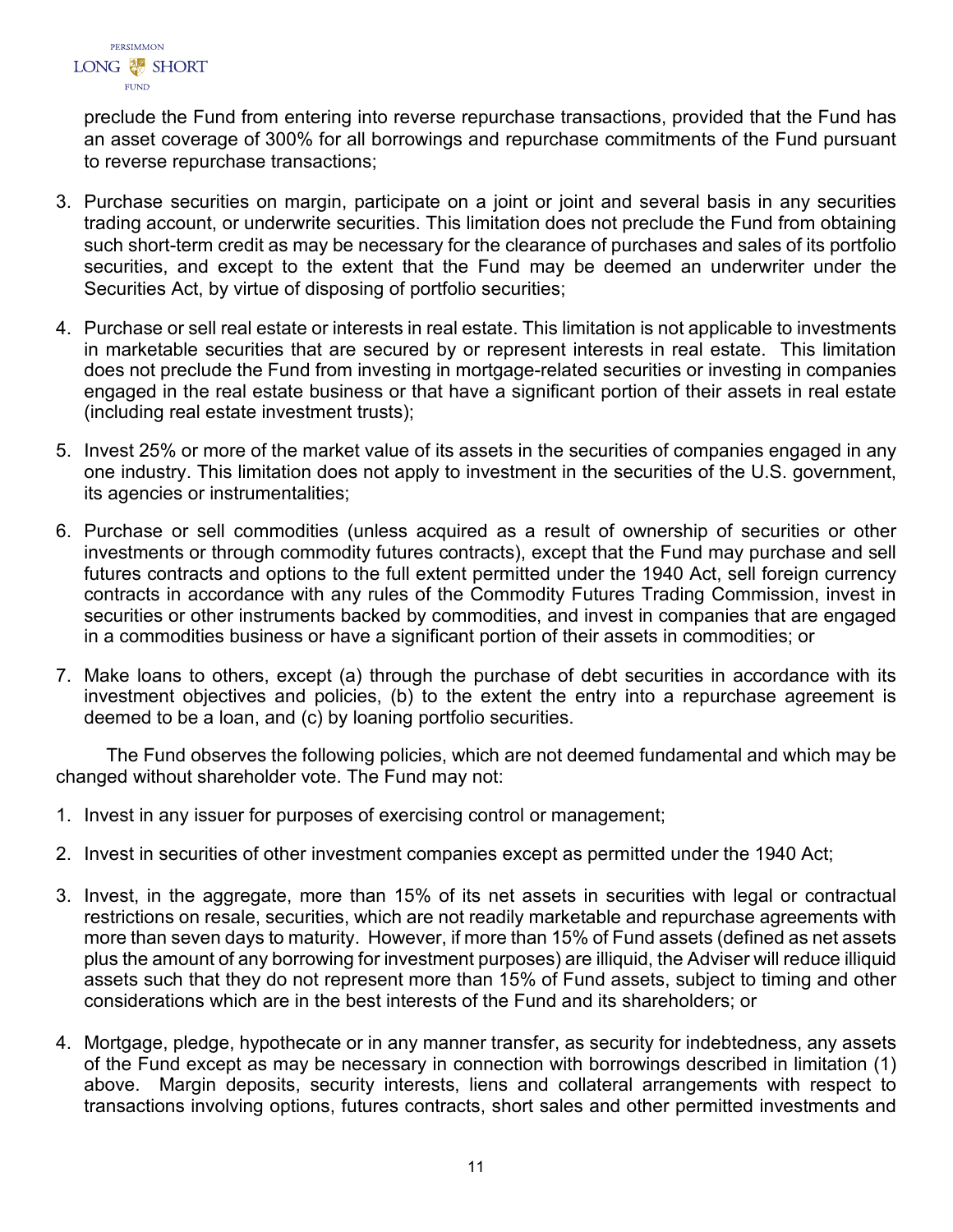

preclude the Fund from entering into reverse repurchase transactions, provided that the Fund has an asset coverage of 300% for all borrowings and repurchase commitments of the Fund pursuant to reverse repurchase transactions;

- 3. Purchase securities on margin, participate on a joint or joint and several basis in any securities trading account, or underwrite securities. This limitation does not preclude the Fund from obtaining such short-term credit as may be necessary for the clearance of purchases and sales of its portfolio securities, and except to the extent that the Fund may be deemed an underwriter under the Securities Act, by virtue of disposing of portfolio securities;
- 4. Purchase or sell real estate or interests in real estate. This limitation is not applicable to investments in marketable securities that are secured by or represent interests in real estate. This limitation does not preclude the Fund from investing in mortgage-related securities or investing in companies engaged in the real estate business or that have a significant portion of their assets in real estate (including real estate investment trusts);
- 5. Invest 25% or more of the market value of its assets in the securities of companies engaged in any one industry. This limitation does not apply to investment in the securities of the U.S. government, its agencies or instrumentalities;
- 6. Purchase or sell commodities (unless acquired as a result of ownership of securities or other investments or through commodity futures contracts), except that the Fund may purchase and sell futures contracts and options to the full extent permitted under the 1940 Act, sell foreign currency contracts in accordance with any rules of the Commodity Futures Trading Commission, invest in securities or other instruments backed by commodities, and invest in companies that are engaged in a commodities business or have a significant portion of their assets in commodities; or
- 7. Make loans to others, except (a) through the purchase of debt securities in accordance with its investment objectives and policies, (b) to the extent the entry into a repurchase agreement is deemed to be a loan, and (c) by loaning portfolio securities.

The Fund observes the following policies, which are not deemed fundamental and which may be changed without shareholder vote. The Fund may not:

- 1. Invest in any issuer for purposes of exercising control or management;
- 2. Invest in securities of other investment companies except as permitted under the 1940 Act;
- 3. Invest, in the aggregate, more than 15% of its net assets in securities with legal or contractual restrictions on resale, securities, which are not readily marketable and repurchase agreements with more than seven days to maturity. However, if more than 15% of Fund assets (defined as net assets plus the amount of any borrowing for investment purposes) are illiquid, the Adviser will reduce illiquid assets such that they do not represent more than 15% of Fund assets, subject to timing and other considerations which are in the best interests of the Fund and its shareholders; or
- 4. Mortgage, pledge, hypothecate or in any manner transfer, as security for indebtedness, any assets of the Fund except as may be necessary in connection with borrowings described in limitation (1) above. Margin deposits, security interests, liens and collateral arrangements with respect to transactions involving options, futures contracts, short sales and other permitted investments and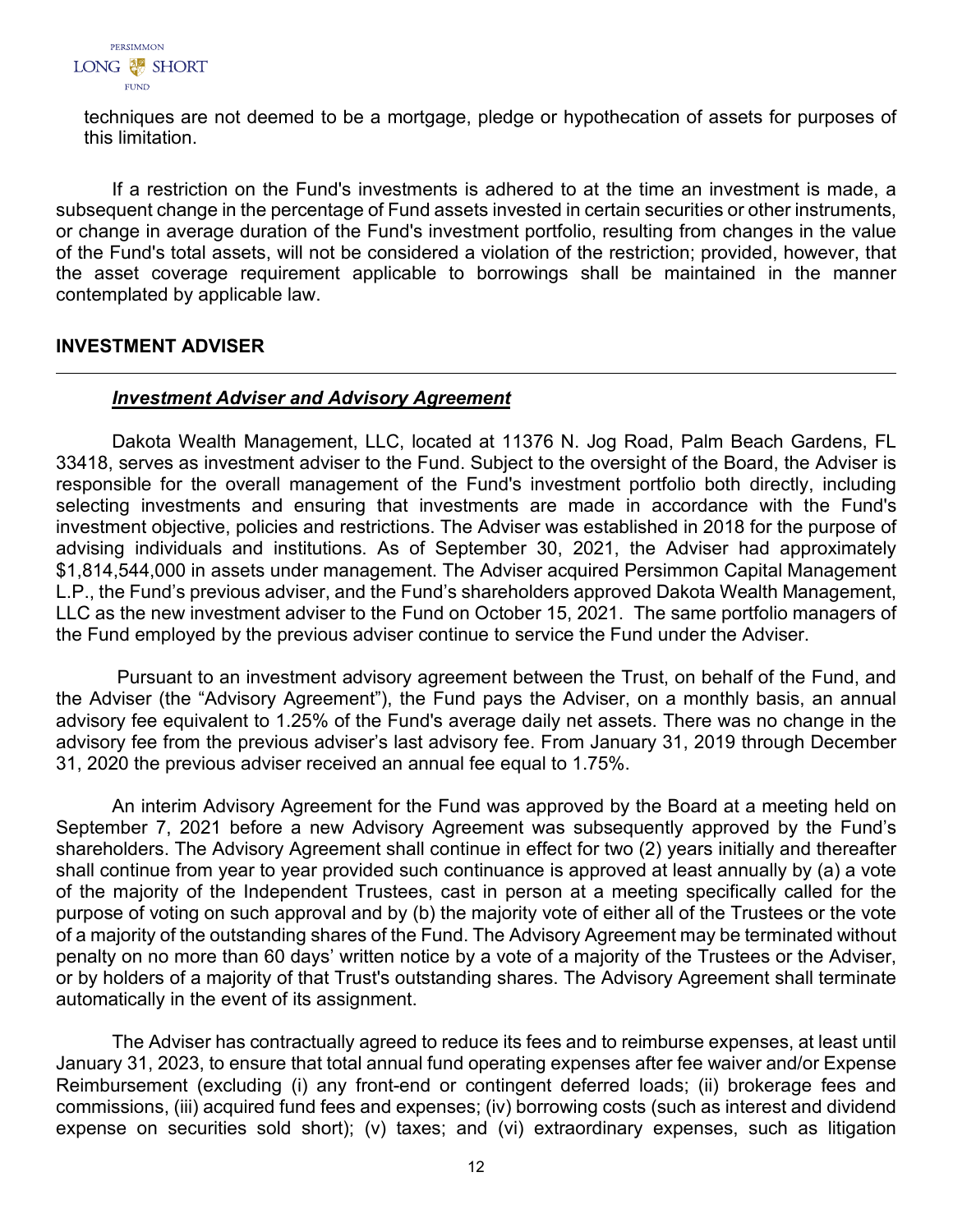

techniques are not deemed to be a mortgage, pledge or hypothecation of assets for purposes of this limitation.

If a restriction on the Fund's investments is adhered to at the time an investment is made, a subsequent change in the percentage of Fund assets invested in certain securities or other instruments, or change in average duration of the Fund's investment portfolio, resulting from changes in the value of the Fund's total assets, will not be considered a violation of the restriction; provided, however, that the asset coverage requirement applicable to borrowings shall be maintained in the manner contemplated by applicable law.

# <span id="page-13-0"></span>**INVESTMENT ADVISER**

## *Investment Adviser and Advisory Agreement*

Dakota Wealth Management, LLC, located at 11376 N. Jog Road, Palm Beach Gardens, FL 33418, serves as investment adviser to the Fund. Subject to the oversight of the Board, the Adviser is responsible for the overall management of the Fund's investment portfolio both directly, including selecting investments and ensuring that investments are made in accordance with the Fund's investment objective, policies and restrictions. The Adviser was established in 2018 for the purpose of advising individuals and institutions. As of September 30, 2021, the Adviser had approximately \$1,814,544,000 in assets under management. The Adviser acquired Persimmon Capital Management L.P., the Fund's previous adviser, and the Fund's shareholders approved Dakota Wealth Management, LLC as the new investment adviser to the Fund on October 15, 2021. The same portfolio managers of the Fund employed by the previous adviser continue to service the Fund under the Adviser.

Pursuant to an investment advisory agreement between the Trust, on behalf of the Fund, and the Adviser (the "Advisory Agreement"), the Fund pays the Adviser, on a monthly basis, an annual advisory fee equivalent to 1.25% of the Fund's average daily net assets. There was no change in the advisory fee from the previous adviser's last advisory fee. From January 31, 2019 through December 31, 2020 the previous adviser received an annual fee equal to 1.75%.

An interim Advisory Agreement for the Fund was approved by the Board at a meeting held on September 7, 2021 before a new Advisory Agreement was subsequently approved by the Fund's shareholders. The Advisory Agreement shall continue in effect for two (2) years initially and thereafter shall continue from year to year provided such continuance is approved at least annually by (a) a vote of the majority of the Independent Trustees, cast in person at a meeting specifically called for the purpose of voting on such approval and by (b) the majority vote of either all of the Trustees or the vote of a majority of the outstanding shares of the Fund. The Advisory Agreement may be terminated without penalty on no more than 60 days' written notice by a vote of a majority of the Trustees or the Adviser, or by holders of a majority of that Trust's outstanding shares. The Advisory Agreement shall terminate automatically in the event of its assignment.

The Adviser has contractually agreed to reduce its fees and to reimburse expenses, at least until January 31, 2023, to ensure that total annual fund operating expenses after fee waiver and/or Expense Reimbursement (excluding (i) any front-end or contingent deferred loads; (ii) brokerage fees and commissions, (iii) acquired fund fees and expenses; (iv) borrowing costs (such as interest and dividend expense on securities sold short); (v) taxes; and (vi) extraordinary expenses, such as litigation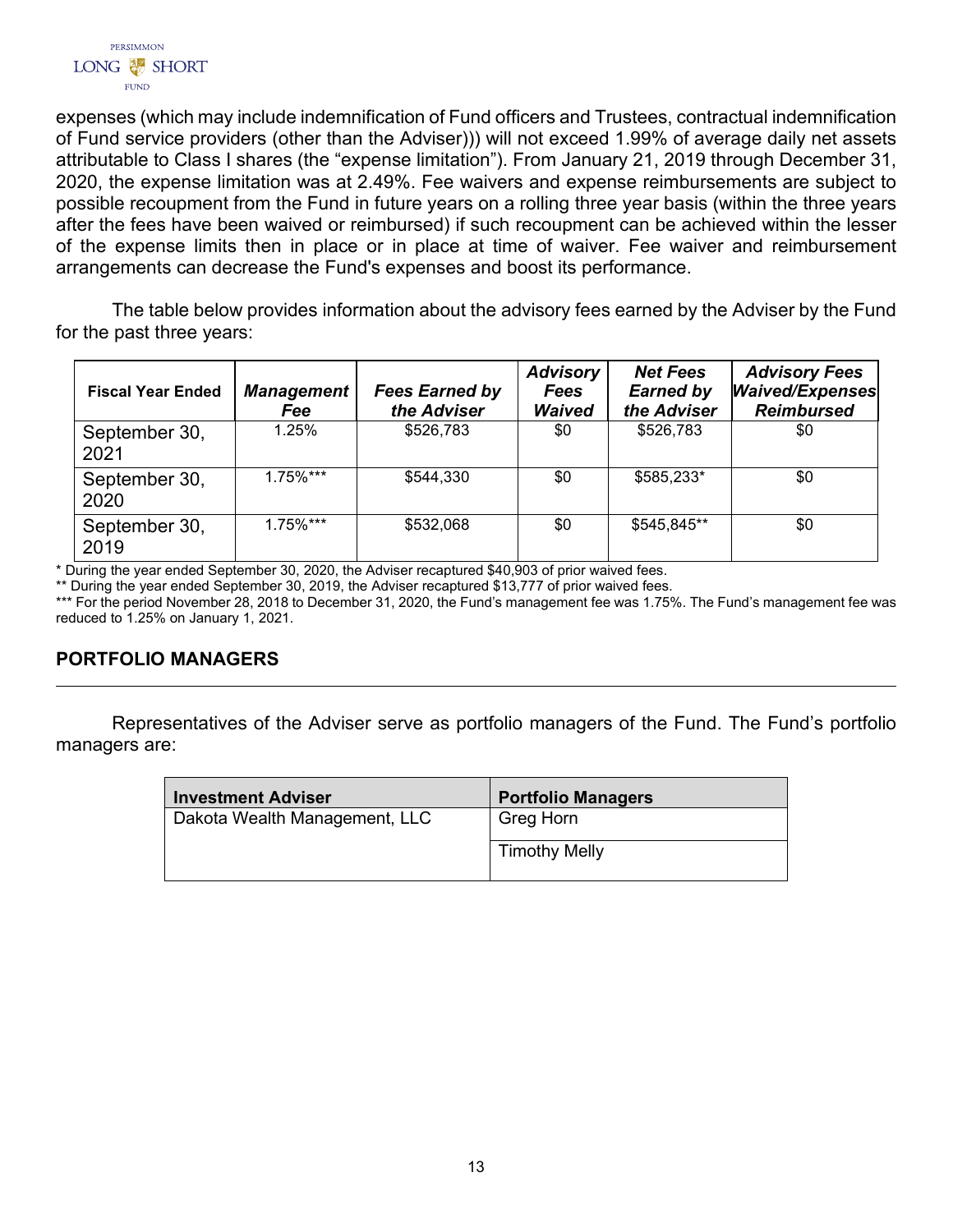

expenses (which may include indemnification of Fund officers and Trustees, contractual indemnification of Fund service providers (other than the Adviser))) will not exceed 1.99% of average daily net assets attributable to Class I shares (the "expense limitation"). From January 21, 2019 through December 31, 2020, the expense limitation was at 2.49%. Fee waivers and expense reimbursements are subject to possible recoupment from the Fund in future years on a rolling three year basis (within the three years after the fees have been waived or reimbursed) if such recoupment can be achieved within the lesser of the expense limits then in place or in place at time of waiver. Fee waiver and reimbursement arrangements can decrease the Fund's expenses and boost its performance.

The table below provides information about the advisory fees earned by the Adviser by the Fund for the past three years:

| <b>Fiscal Year Ended</b> | <b>Management</b><br>Fee | <b>Fees Earned by</b><br>the Adviser | <b>Advisory</b><br><b>Fees</b><br><b>Waived</b> | <b>Net Fees</b><br><b>Earned by</b><br>the Adviser | <b>Advisory Fees</b><br><b>Waived/Expenses</b><br><b>Reimbursed</b> |
|--------------------------|--------------------------|--------------------------------------|-------------------------------------------------|----------------------------------------------------|---------------------------------------------------------------------|
| September 30,<br>2021    | 1.25%                    | \$526,783                            | \$0                                             | \$526,783                                          | \$0                                                                 |
| September 30,<br>2020    | $1.75\%***$              | \$544,330                            | \$0                                             | \$585,233*                                         | \$0                                                                 |
| September 30,<br>2019    | $1.75\%$ ***             | \$532,068                            | \$0                                             | \$545,845**                                        | \$0                                                                 |

\* During the year ended September 30, 2020, the Adviser recaptured \$40,903 of prior waived fees.

\*\* During the year ended September 30, 2019, the Adviser recaptured \$13,777 of prior waived fees.

\*\*\* For the period November 28, 2018 to December 31, 2020, the Fund's management fee was 1.75%. The Fund's management fee was reduced to 1.25% on January 1, 2021.

# <span id="page-14-0"></span>**PORTFOLIO MANAGERS**

Representatives of the Adviser serve as portfolio managers of the Fund. The Fund's portfolio managers are:

| <b>Investment Adviser</b>     | <b>Portfolio Managers</b> |
|-------------------------------|---------------------------|
| Dakota Wealth Management, LLC | Greg Horn                 |
|                               | <b>Timothy Melly</b>      |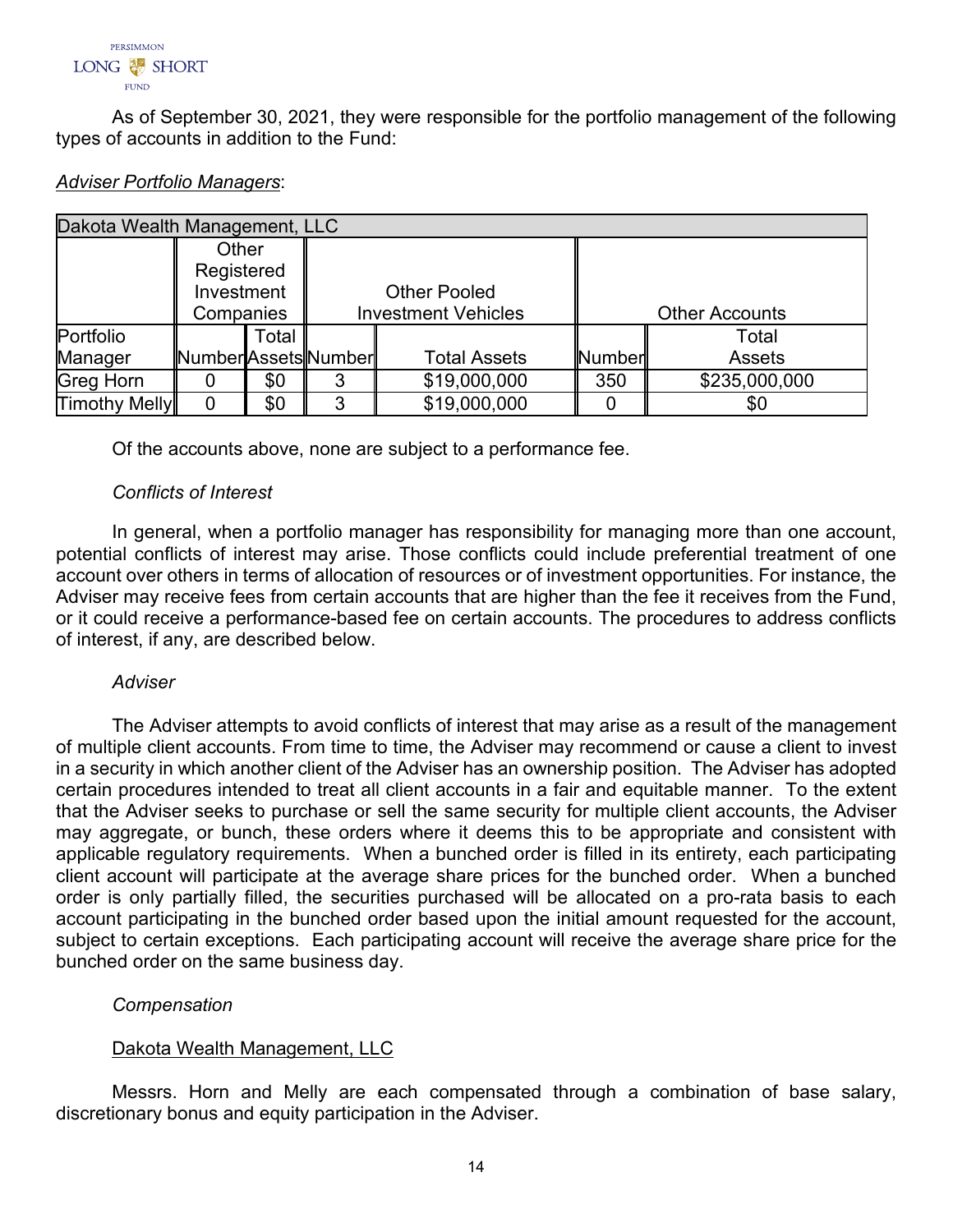

As of September 30, 2021, they were responsible for the portfolio management of the following types of accounts in addition to the Fund:

| Dakota Wealth Management, LLC |                      |       |                     |                            |        |                       |  |  |
|-------------------------------|----------------------|-------|---------------------|----------------------------|--------|-----------------------|--|--|
| Other                         |                      |       |                     |                            |        |                       |  |  |
|                               | Registered           |       |                     |                            |        |                       |  |  |
|                               | Investment           |       | <b>Other Pooled</b> |                            |        |                       |  |  |
|                               | Companies            |       |                     | <b>Investment Vehicles</b> |        | <b>Other Accounts</b> |  |  |
| Portfolio                     |                      | Total |                     |                            |        | Total                 |  |  |
| Manager                       | Number Assets Number |       |                     | <b>Total Assets</b>        | Number | <b>Assets</b>         |  |  |
| Greg Horn                     |                      | \$0   | 3                   | \$19,000,000               | 350    | \$235,000,000         |  |  |
| <b>Timothy Melly</b>          | 0                    | \$0   | 3                   | \$19,000,000               |        | \$0                   |  |  |

#### *Adviser Portfolio Managers*:

Of the accounts above, none are subject to a performance fee.

## *Conflicts of Interest*

In general, when a portfolio manager has responsibility for managing more than one account, potential conflicts of interest may arise. Those conflicts could include preferential treatment of one account over others in terms of allocation of resources or of investment opportunities. For instance, the Adviser may receive fees from certain accounts that are higher than the fee it receives from the Fund, or it could receive a performance-based fee on certain accounts. The procedures to address conflicts of interest, if any, are described below.

## *Adviser*

The Adviser attempts to avoid conflicts of interest that may arise as a result of the management of multiple client accounts. From time to time, the Adviser may recommend or cause a client to invest in a security in which another client of the Adviser has an ownership position. The Adviser has adopted certain procedures intended to treat all client accounts in a fair and equitable manner. To the extent that the Adviser seeks to purchase or sell the same security for multiple client accounts, the Adviser may aggregate, or bunch, these orders where it deems this to be appropriate and consistent with applicable regulatory requirements. When a bunched order is filled in its entirety, each participating client account will participate at the average share prices for the bunched order. When a bunched order is only partially filled, the securities purchased will be allocated on a pro-rata basis to each account participating in the bunched order based upon the initial amount requested for the account, subject to certain exceptions. Each participating account will receive the average share price for the bunched order on the same business day.

## *Compensation*

## Dakota Wealth Management, LLC

Messrs. Horn and Melly are each compensated through a combination of base salary, discretionary bonus and equity participation in the Adviser.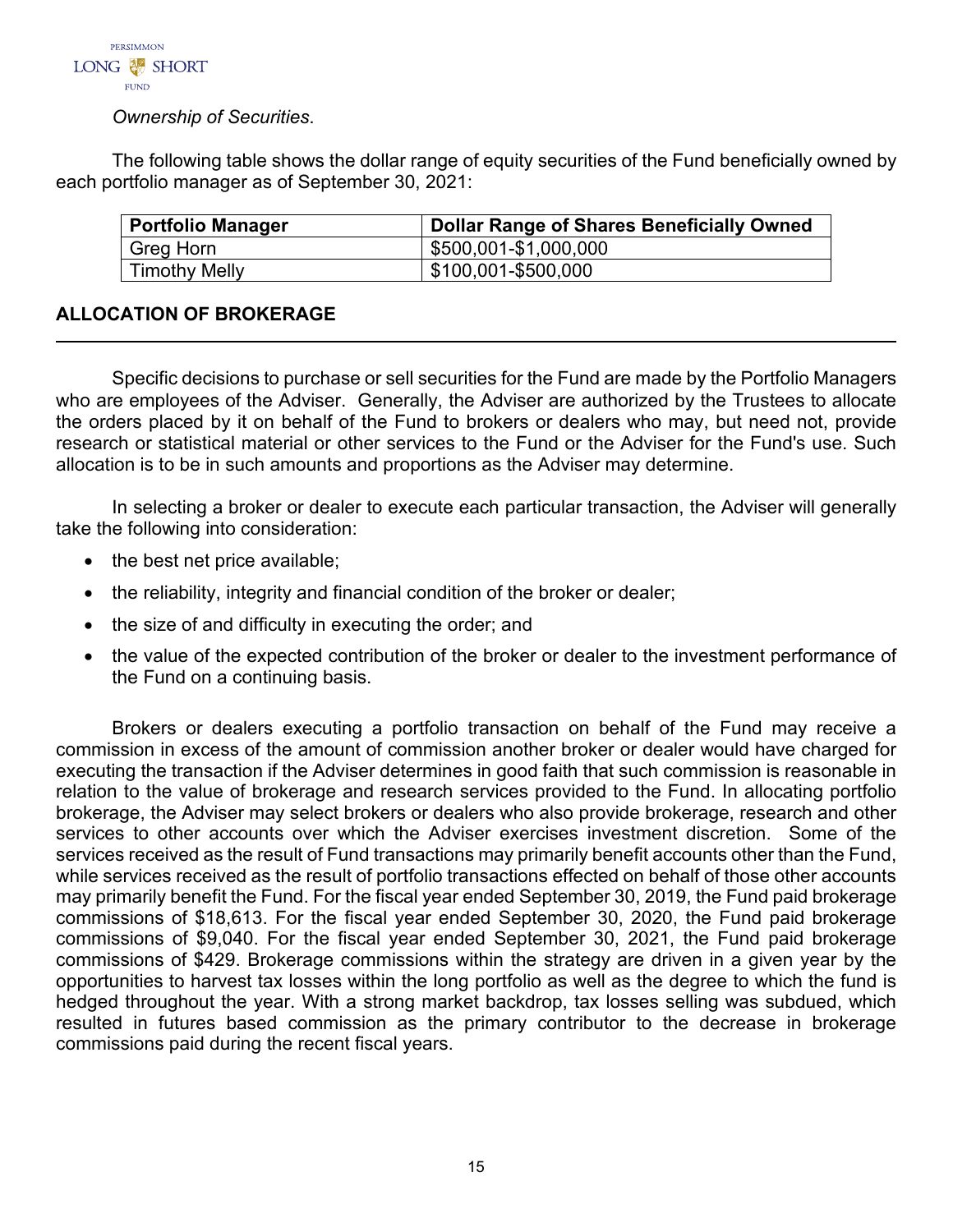

# *Ownership of Securities*.

The following table shows the dollar range of equity securities of the Fund beneficially owned by each portfolio manager as of September 30, 2021:

| <b>Portfolio Manager</b> | <b>Dollar Range of Shares Beneficially Owned</b> |
|--------------------------|--------------------------------------------------|
| Greg Horn                | \$500,001-\$1,000,000                            |
| <b>Timothy Melly</b>     | \$100,001-\$500,000                              |

# <span id="page-16-0"></span>**ALLOCATION OF BROKERAGE**

Specific decisions to purchase or sell securities for the Fund are made by the Portfolio Managers who are employees of the Adviser. Generally, the Adviser are authorized by the Trustees to allocate the orders placed by it on behalf of the Fund to brokers or dealers who may, but need not, provide research or statistical material or other services to the Fund or the Adviser for the Fund's use. Such allocation is to be in such amounts and proportions as the Adviser may determine.

In selecting a broker or dealer to execute each particular transaction, the Adviser will generally take the following into consideration:

- the best net price available;
- the reliability, integrity and financial condition of the broker or dealer;
- the size of and difficulty in executing the order; and
- the value of the expected contribution of the broker or dealer to the investment performance of the Fund on a continuing basis.

Brokers or dealers executing a portfolio transaction on behalf of the Fund may receive a commission in excess of the amount of commission another broker or dealer would have charged for executing the transaction if the Adviser determines in good faith that such commission is reasonable in relation to the value of brokerage and research services provided to the Fund. In allocating portfolio brokerage, the Adviser may select brokers or dealers who also provide brokerage, research and other services to other accounts over which the Adviser exercises investment discretion. Some of the services received as the result of Fund transactions may primarily benefit accounts other than the Fund, while services received as the result of portfolio transactions effected on behalf of those other accounts may primarily benefit the Fund. For the fiscal year ended September 30, 2019, the Fund paid brokerage commissions of \$18,613. For the fiscal year ended September 30, 2020, the Fund paid brokerage commissions of \$9,040. For the fiscal year ended September 30, 2021, the Fund paid brokerage commissions of \$429. Brokerage commissions within the strategy are driven in a given year by the opportunities to harvest tax losses within the long portfolio as well as the degree to which the fund is hedged throughout the year. With a strong market backdrop, tax losses selling was subdued, which resulted in futures based commission as the primary contributor to the decrease in brokerage commissions paid during the recent fiscal years.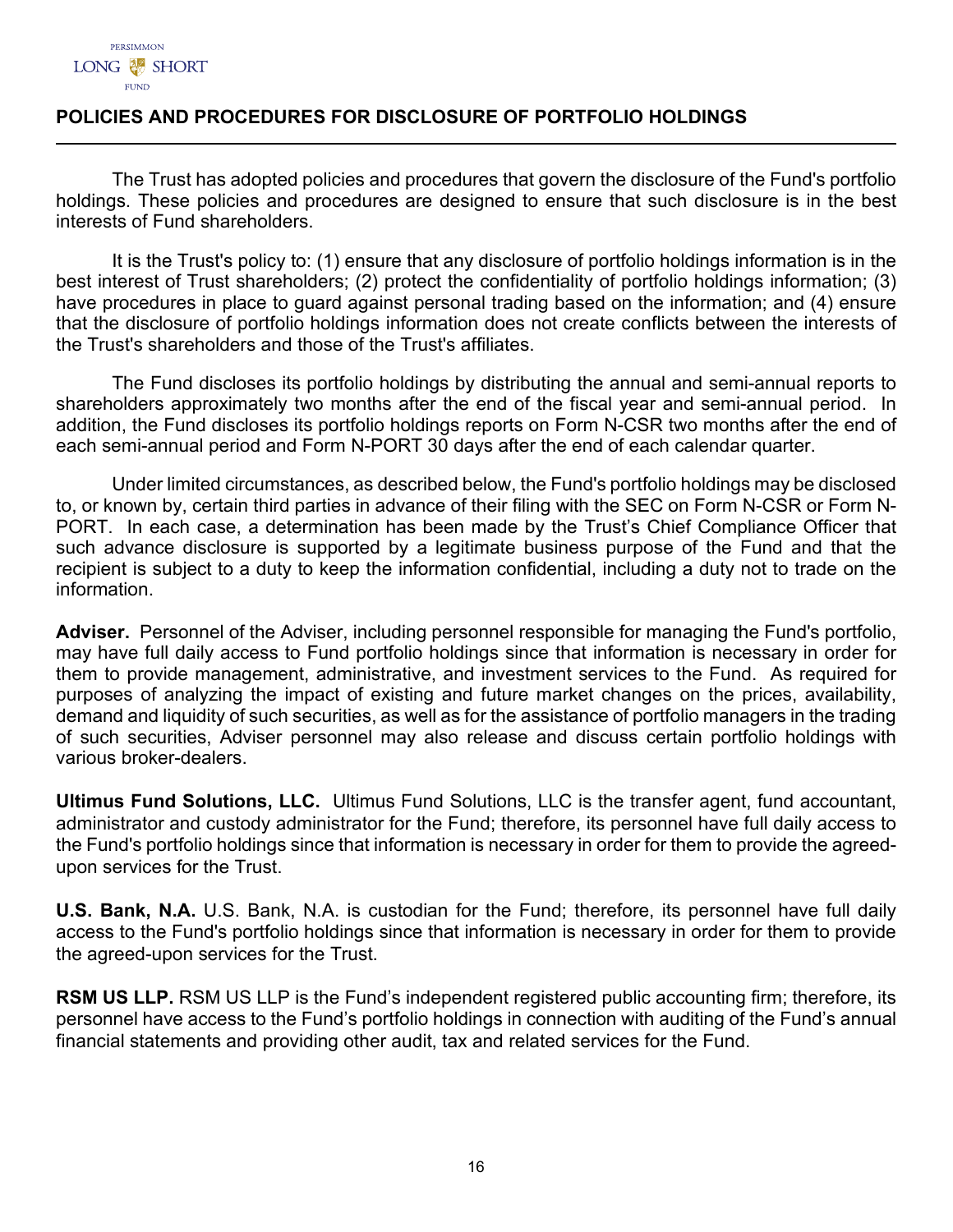# <span id="page-17-0"></span>**POLICIES AND PROCEDURES FOR DISCLOSURE OF PORTFOLIO HOLDINGS**

The Trust has adopted policies and procedures that govern the disclosure of the Fund's portfolio holdings. These policies and procedures are designed to ensure that such disclosure is in the best interests of Fund shareholders.

It is the Trust's policy to: (1) ensure that any disclosure of portfolio holdings information is in the best interest of Trust shareholders; (2) protect the confidentiality of portfolio holdings information; (3) have procedures in place to guard against personal trading based on the information; and (4) ensure that the disclosure of portfolio holdings information does not create conflicts between the interests of the Trust's shareholders and those of the Trust's affiliates.

The Fund discloses its portfolio holdings by distributing the annual and semi-annual reports to shareholders approximately two months after the end of the fiscal year and semi-annual period. In addition, the Fund discloses its portfolio holdings reports on Form N-CSR two months after the end of each semi-annual period and Form N-PORT 30 days after the end of each calendar quarter.

Under limited circumstances, as described below, the Fund's portfolio holdings may be disclosed to, or known by, certain third parties in advance of their filing with the SEC on Form N-CSR or Form N-PORT. In each case, a determination has been made by the Trust's Chief Compliance Officer that such advance disclosure is supported by a legitimate business purpose of the Fund and that the recipient is subject to a duty to keep the information confidential, including a duty not to trade on the information.

**Adviser.** Personnel of the Adviser, including personnel responsible for managing the Fund's portfolio, may have full daily access to Fund portfolio holdings since that information is necessary in order for them to provide management, administrative, and investment services to the Fund. As required for purposes of analyzing the impact of existing and future market changes on the prices, availability, demand and liquidity of such securities, as well as for the assistance of portfolio managers in the trading of such securities, Adviser personnel may also release and discuss certain portfolio holdings with various broker-dealers.

**Ultimus Fund Solutions, LLC.** Ultimus Fund Solutions, LLC is the transfer agent, fund accountant, administrator and custody administrator for the Fund; therefore, its personnel have full daily access to the Fund's portfolio holdings since that information is necessary in order for them to provide the agreedupon services for the Trust.

**U.S. Bank, N.A.** U.S. Bank, N.A. is custodian for the Fund; therefore, its personnel have full daily access to the Fund's portfolio holdings since that information is necessary in order for them to provide the agreed-upon services for the Trust.

**RSM US LLP.** RSM US LLP is the Fund's independent registered public accounting firm; therefore, its personnel have access to the Fund's portfolio holdings in connection with auditing of the Fund's annual financial statements and providing other audit, tax and related services for the Fund.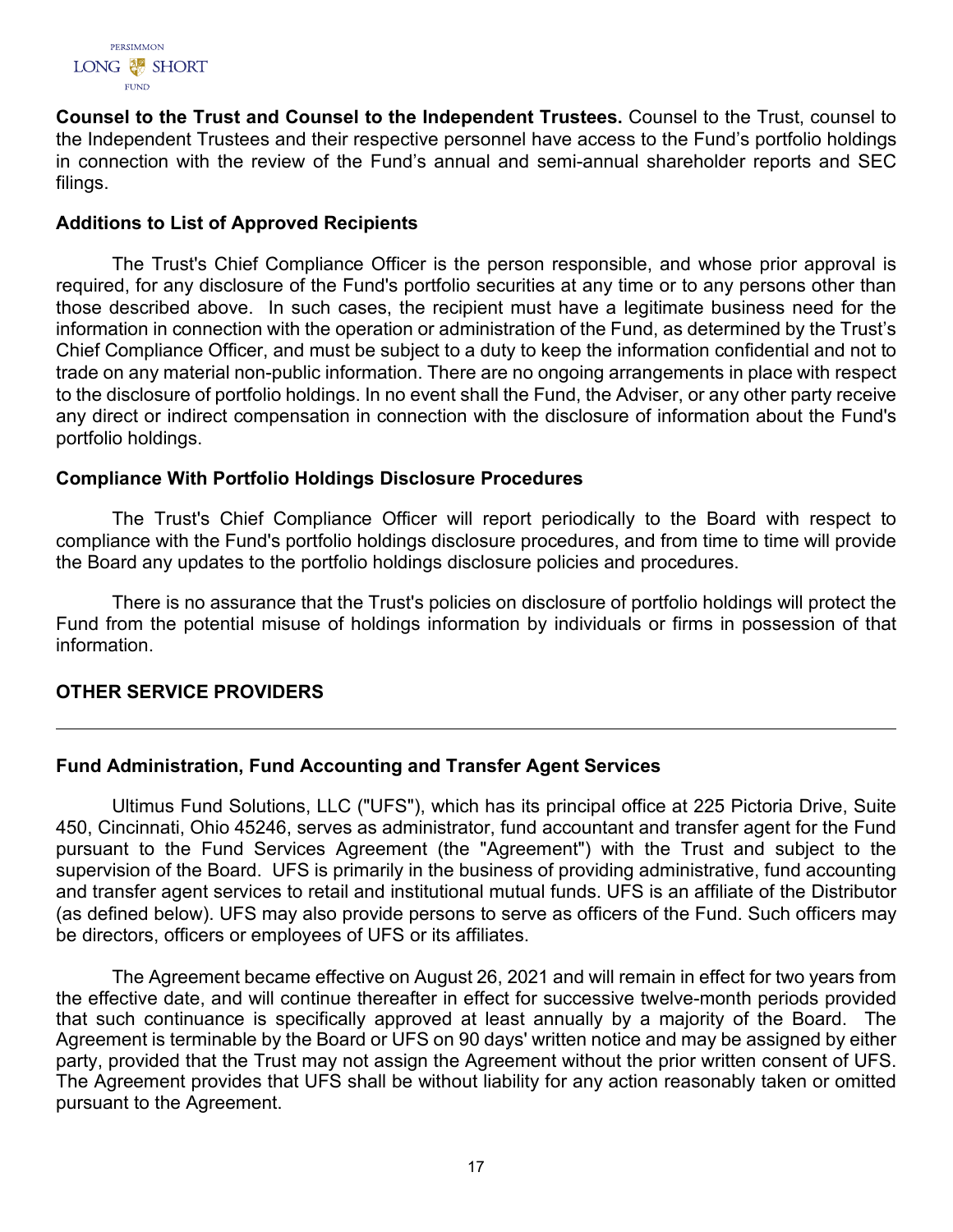

**Counsel to the Trust and Counsel to the Independent Trustees.** Counsel to the Trust, counsel to the Independent Trustees and their respective personnel have access to the Fund's portfolio holdings in connection with the review of the Fund's annual and semi-annual shareholder reports and SEC filings.

# **Additions to List of Approved Recipients**

The Trust's Chief Compliance Officer is the person responsible, and whose prior approval is required, for any disclosure of the Fund's portfolio securities at any time or to any persons other than those described above. In such cases, the recipient must have a legitimate business need for the information in connection with the operation or administration of the Fund, as determined by the Trust's Chief Compliance Officer, and must be subject to a duty to keep the information confidential and not to trade on any material non-public information. There are no ongoing arrangements in place with respect to the disclosure of portfolio holdings. In no event shall the Fund, the Adviser, or any other party receive any direct or indirect compensation in connection with the disclosure of information about the Fund's portfolio holdings.

# **Compliance With Portfolio Holdings Disclosure Procedures**

The Trust's Chief Compliance Officer will report periodically to the Board with respect to compliance with the Fund's portfolio holdings disclosure procedures, and from time to time will provide the Board any updates to the portfolio holdings disclosure policies and procedures.

There is no assurance that the Trust's policies on disclosure of portfolio holdings will protect the Fund from the potential misuse of holdings information by individuals or firms in possession of that information.

# <span id="page-18-0"></span>**OTHER SERVICE PROVIDERS**

# **Fund Administration, Fund Accounting and Transfer Agent Services**

Ultimus Fund Solutions, LLC ("UFS"), which has its principal office at 225 Pictoria Drive, Suite 450, Cincinnati, Ohio 45246, serves as administrator, fund accountant and transfer agent for the Fund pursuant to the Fund Services Agreement (the "Agreement") with the Trust and subject to the supervision of the Board. UFS is primarily in the business of providing administrative, fund accounting and transfer agent services to retail and institutional mutual funds. UFS is an affiliate of the Distributor (as defined below). UFS may also provide persons to serve as officers of the Fund. Such officers may be directors, officers or employees of UFS or its affiliates.

The Agreement became effective on August 26, 2021 and will remain in effect for two years from the effective date, and will continue thereafter in effect for successive twelve-month periods provided that such continuance is specifically approved at least annually by a majority of the Board. The Agreement is terminable by the Board or UFS on 90 days' written notice and may be assigned by either party, provided that the Trust may not assign the Agreement without the prior written consent of UFS. The Agreement provides that UFS shall be without liability for any action reasonably taken or omitted pursuant to the Agreement.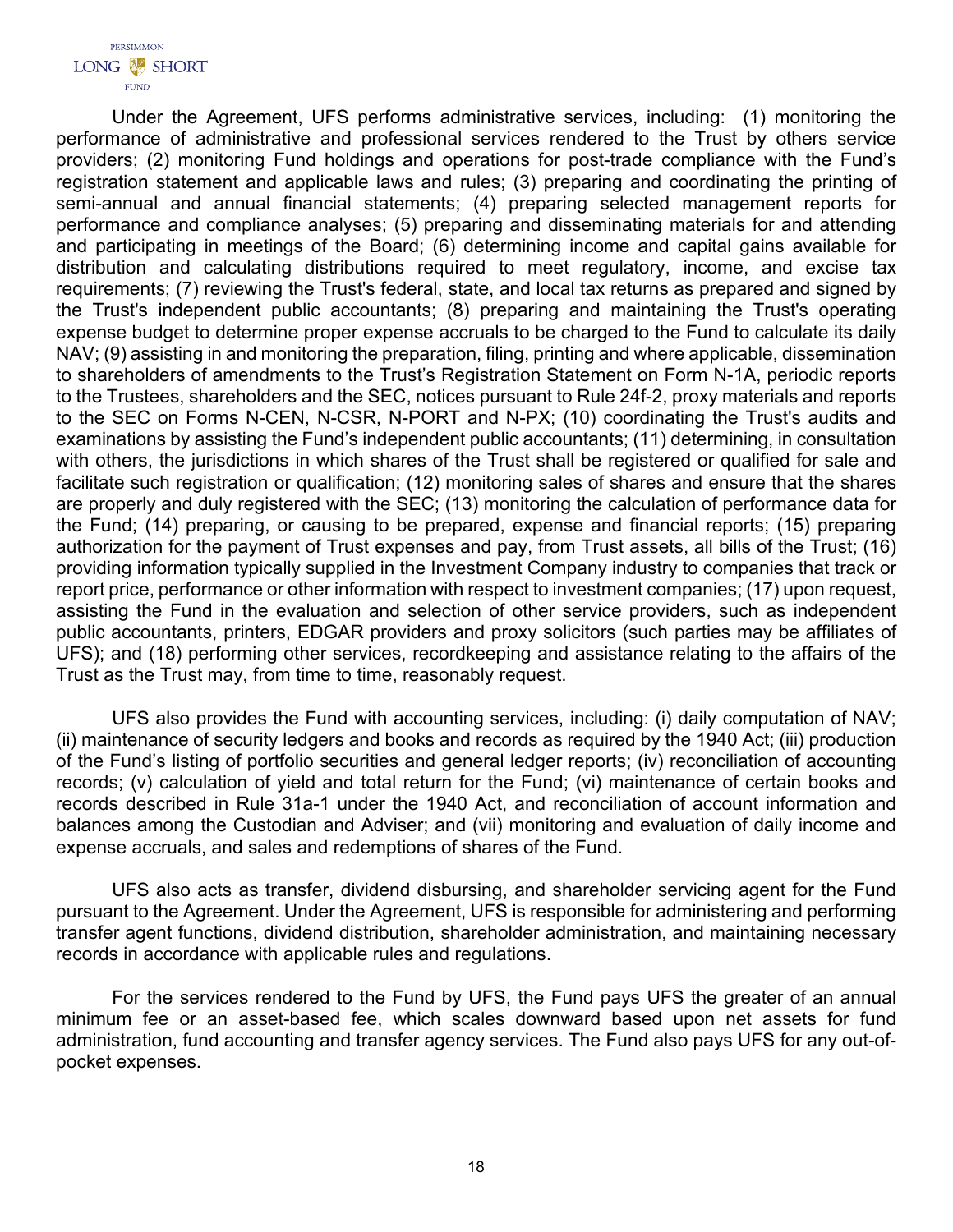Under the Agreement, UFS performs administrative services, including: (1) monitoring the performance of administrative and professional services rendered to the Trust by others service providers; (2) monitoring Fund holdings and operations for post-trade compliance with the Fund's registration statement and applicable laws and rules; (3) preparing and coordinating the printing of semi-annual and annual financial statements; (4) preparing selected management reports for performance and compliance analyses; (5) preparing and disseminating materials for and attending and participating in meetings of the Board; (6) determining income and capital gains available for distribution and calculating distributions required to meet regulatory, income, and excise tax requirements; (7) reviewing the Trust's federal, state, and local tax returns as prepared and signed by the Trust's independent public accountants; (8) preparing and maintaining the Trust's operating expense budget to determine proper expense accruals to be charged to the Fund to calculate its daily NAV; (9) assisting in and monitoring the preparation, filing, printing and where applicable, dissemination to shareholders of amendments to the Trust's Registration Statement on Form N-1A, periodic reports to the Trustees, shareholders and the SEC, notices pursuant to Rule 24f-2, proxy materials and reports to the SEC on Forms N-CEN, N-CSR, N-PORT and N-PX; (10) coordinating the Trust's audits and examinations by assisting the Fund's independent public accountants; (11) determining, in consultation with others, the jurisdictions in which shares of the Trust shall be registered or qualified for sale and facilitate such registration or qualification; (12) monitoring sales of shares and ensure that the shares are properly and duly registered with the SEC; (13) monitoring the calculation of performance data for the Fund; (14) preparing, or causing to be prepared, expense and financial reports; (15) preparing authorization for the payment of Trust expenses and pay, from Trust assets, all bills of the Trust; (16) providing information typically supplied in the Investment Company industry to companies that track or report price, performance or other information with respect to investment companies; (17) upon request, assisting the Fund in the evaluation and selection of other service providers, such as independent public accountants, printers, EDGAR providers and proxy solicitors (such parties may be affiliates of UFS); and (18) performing other services, recordkeeping and assistance relating to the affairs of the Trust as the Trust may, from time to time, reasonably request.

UFS also provides the Fund with accounting services, including: (i) daily computation of NAV; (ii) maintenance of security ledgers and books and records as required by the 1940 Act; (iii) production of the Fund's listing of portfolio securities and general ledger reports; (iv) reconciliation of accounting records; (v) calculation of yield and total return for the Fund; (vi) maintenance of certain books and records described in Rule 31a-1 under the 1940 Act, and reconciliation of account information and balances among the Custodian and Adviser; and (vii) monitoring and evaluation of daily income and expense accruals, and sales and redemptions of shares of the Fund.

UFS also acts as transfer, dividend disbursing, and shareholder servicing agent for the Fund pursuant to the Agreement. Under the Agreement, UFS is responsible for administering and performing transfer agent functions, dividend distribution, shareholder administration, and maintaining necessary records in accordance with applicable rules and regulations.

For the services rendered to the Fund by UFS, the Fund pays UFS the greater of an annual minimum fee or an asset-based fee, which scales downward based upon net assets for fund administration, fund accounting and transfer agency services. The Fund also pays UFS for any out-ofpocket expenses.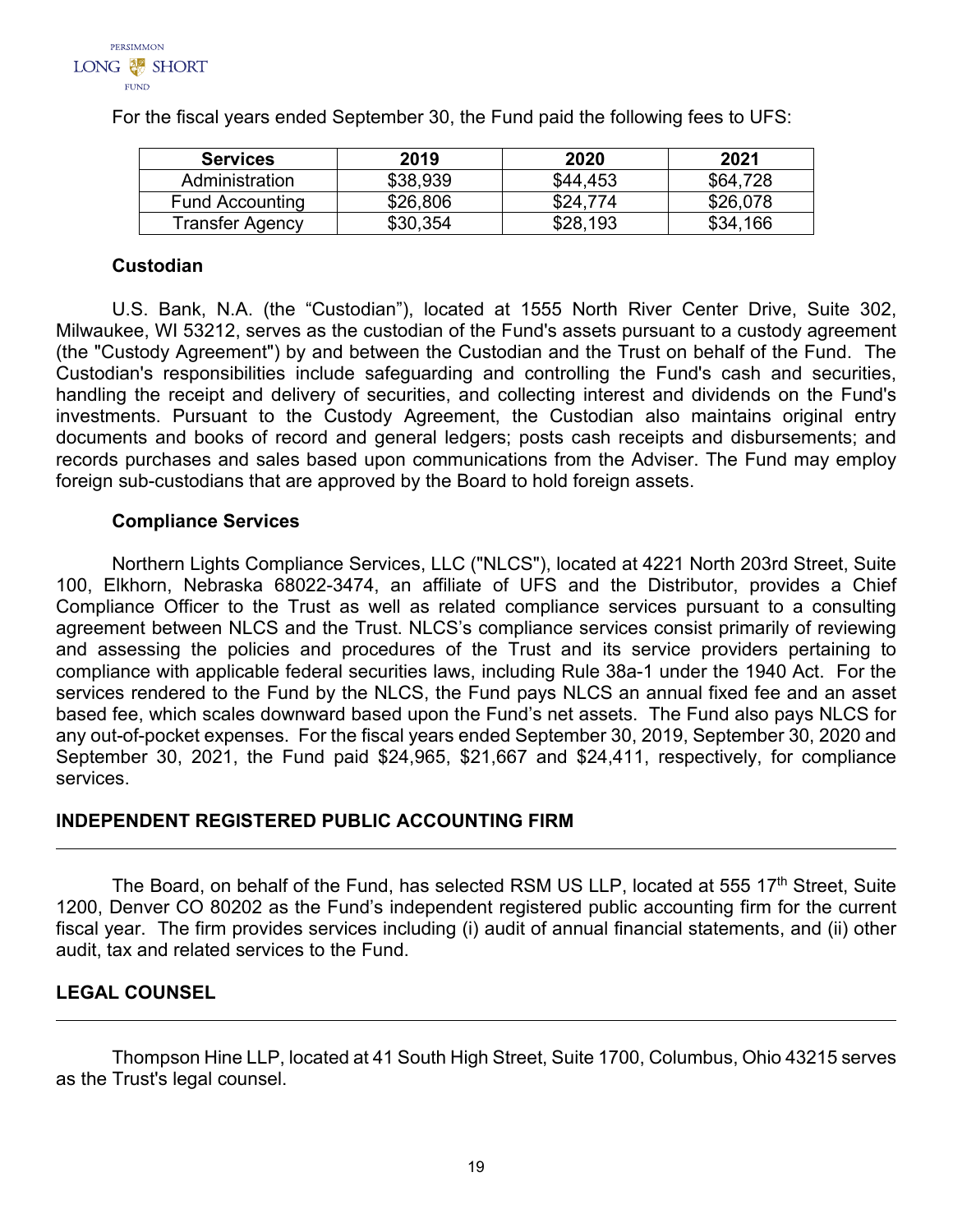

| <b>Services</b>        | 2019     | 2020     | 2021          |
|------------------------|----------|----------|---------------|
| Administration         | \$38,939 | \$44,453 | \$64.728      |
| <b>Fund Accounting</b> | \$26,806 | \$24.774 | \$26,078      |
| Transfer Agency        | \$30,354 | \$28,193 | .166<br>\$34. |

For the fiscal years ended September 30, the Fund paid the following fees to UFS:

# **Custodian**

U.S. Bank, N.A. (the "Custodian"), located at 1555 North River Center Drive, Suite 302, Milwaukee, WI 53212, serves as the custodian of the Fund's assets pursuant to a custody agreement (the "Custody Agreement") by and between the Custodian and the Trust on behalf of the Fund. The Custodian's responsibilities include safeguarding and controlling the Fund's cash and securities, handling the receipt and delivery of securities, and collecting interest and dividends on the Fund's investments. Pursuant to the Custody Agreement, the Custodian also maintains original entry documents and books of record and general ledgers; posts cash receipts and disbursements; and records purchases and sales based upon communications from the Adviser. The Fund may employ foreign sub-custodians that are approved by the Board to hold foreign assets.

# **Compliance Services**

Northern Lights Compliance Services, LLC ("NLCS"), located at 4221 North 203rd Street, Suite 100, Elkhorn, Nebraska 68022-3474, an affiliate of UFS and the Distributor, provides a Chief Compliance Officer to the Trust as well as related compliance services pursuant to a consulting agreement between NLCS and the Trust. NLCS's compliance services consist primarily of reviewing and assessing the policies and procedures of the Trust and its service providers pertaining to compliance with applicable federal securities laws, including Rule 38a-1 under the 1940 Act. For the services rendered to the Fund by the NLCS, the Fund pays NLCS an annual fixed fee and an asset based fee, which scales downward based upon the Fund's net assets. The Fund also pays NLCS for any out-of-pocket expenses. For the fiscal years ended September 30, 2019, September 30, 2020 and September 30, 2021, the Fund paid \$24,965, \$21,667 and \$24,411, respectively, for compliance services.

# <span id="page-20-0"></span>**INDEPENDENT REGISTERED PUBLIC ACCOUNTING FIRM**

The Board, on behalf of the Fund, has selected RSM US LLP, located at 555 17<sup>th</sup> Street, Suite 1200, Denver CO 80202 as the Fund's independent registered public accounting firm for the current fiscal year. The firm provides services including (i) audit of annual financial statements, and (ii) other audit, tax and related services to the Fund.

# <span id="page-20-1"></span>**LEGAL COUNSEL**

<span id="page-20-2"></span>Thompson Hine LLP, located at 41 South High Street, Suite 1700, Columbus, Ohio 43215 serves as the Trust's legal counsel.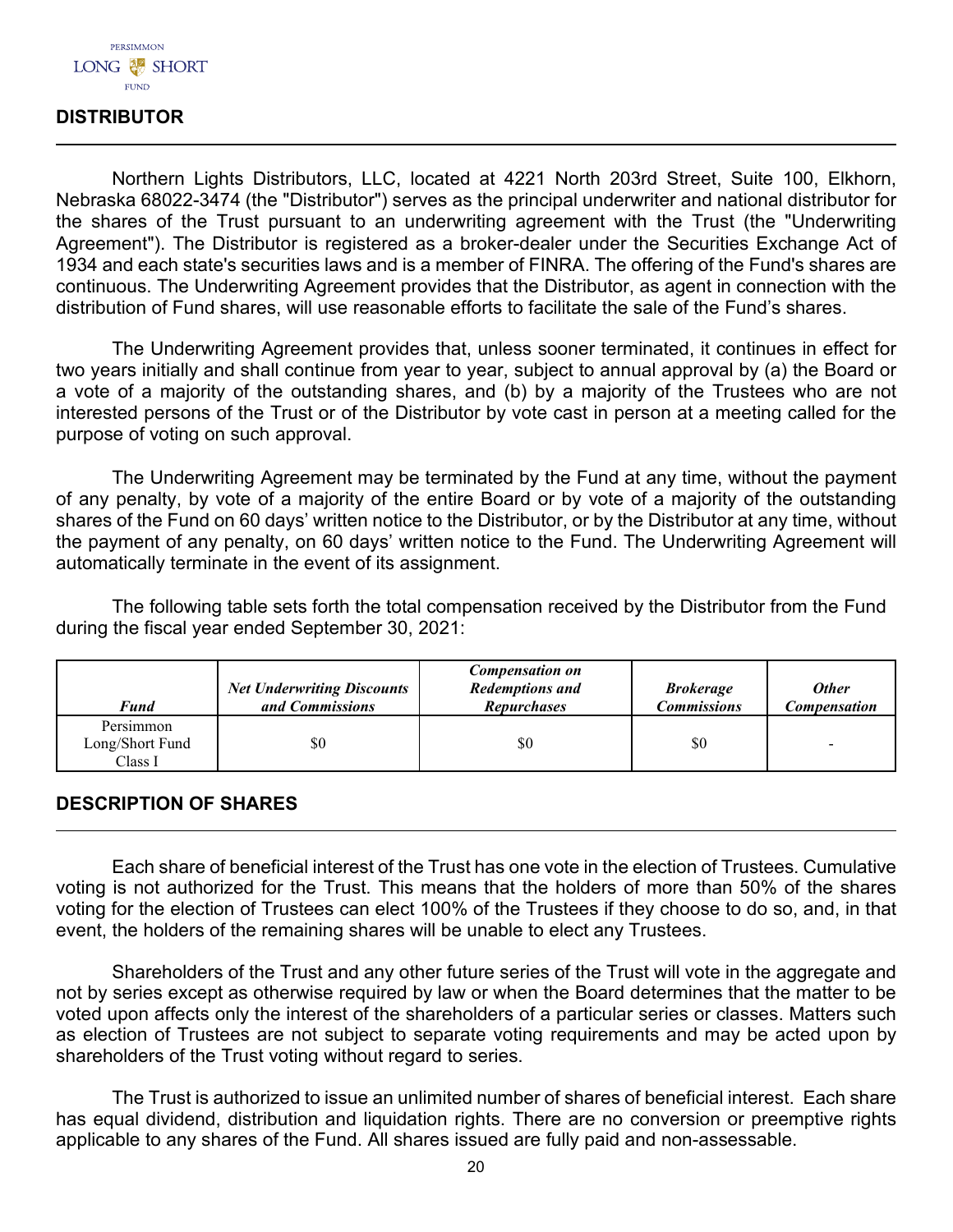

# **DISTRIBUTOR**

Northern Lights Distributors, LLC, located at 4221 North 203rd Street, Suite 100, Elkhorn, Nebraska 68022-3474 (the "Distributor") serves as the principal underwriter and national distributor for the shares of the Trust pursuant to an underwriting agreement with the Trust (the "Underwriting Agreement"). The Distributor is registered as a broker-dealer under the Securities Exchange Act of 1934 and each state's securities laws and is a member of FINRA. The offering of the Fund's shares are continuous. The Underwriting Agreement provides that the Distributor, as agent in connection with the distribution of Fund shares, will use reasonable efforts to facilitate the sale of the Fund's shares.

The Underwriting Agreement provides that, unless sooner terminated, it continues in effect for two years initially and shall continue from year to year, subject to annual approval by (a) the Board or a vote of a majority of the outstanding shares, and (b) by a majority of the Trustees who are not interested persons of the Trust or of the Distributor by vote cast in person at a meeting called for the purpose of voting on such approval.

The Underwriting Agreement may be terminated by the Fund at any time, without the payment of any penalty, by vote of a majority of the entire Board or by vote of a majority of the outstanding shares of the Fund on 60 days' written notice to the Distributor, or by the Distributor at any time, without the payment of any penalty, on 60 days' written notice to the Fund. The Underwriting Agreement will automatically terminate in the event of its assignment.

The following table sets forth the total compensation received by the Distributor from the Fund during the fiscal year ended September 30, 2021:

| <b>Fund</b>                             | <b>Net Underwriting Discounts</b><br>and Commissions | <b>Compensation on</b><br><b>Redemptions and</b><br><b>Repurchases</b> | <b>Brokerage</b><br><b>Commissions</b> | <b>Other</b><br><b>Compensation</b> |
|-----------------------------------------|------------------------------------------------------|------------------------------------------------------------------------|----------------------------------------|-------------------------------------|
| Persimmon<br>Long/Short Fund<br>Class I | \$0                                                  | \$0                                                                    | \$0                                    |                                     |

# <span id="page-21-0"></span>**DESCRIPTION OF SHARES**

Each share of beneficial interest of the Trust has one vote in the election of Trustees. Cumulative voting is not authorized for the Trust. This means that the holders of more than 50% of the shares voting for the election of Trustees can elect 100% of the Trustees if they choose to do so, and, in that event, the holders of the remaining shares will be unable to elect any Trustees.

Shareholders of the Trust and any other future series of the Trust will vote in the aggregate and not by series except as otherwise required by law or when the Board determines that the matter to be voted upon affects only the interest of the shareholders of a particular series or classes. Matters such as election of Trustees are not subject to separate voting requirements and may be acted upon by shareholders of the Trust voting without regard to series.

The Trust is authorized to issue an unlimited number of shares of beneficial interest. Each share has equal dividend, distribution and liquidation rights. There are no conversion or preemptive rights applicable to any shares of the Fund. All shares issued are fully paid and non-assessable.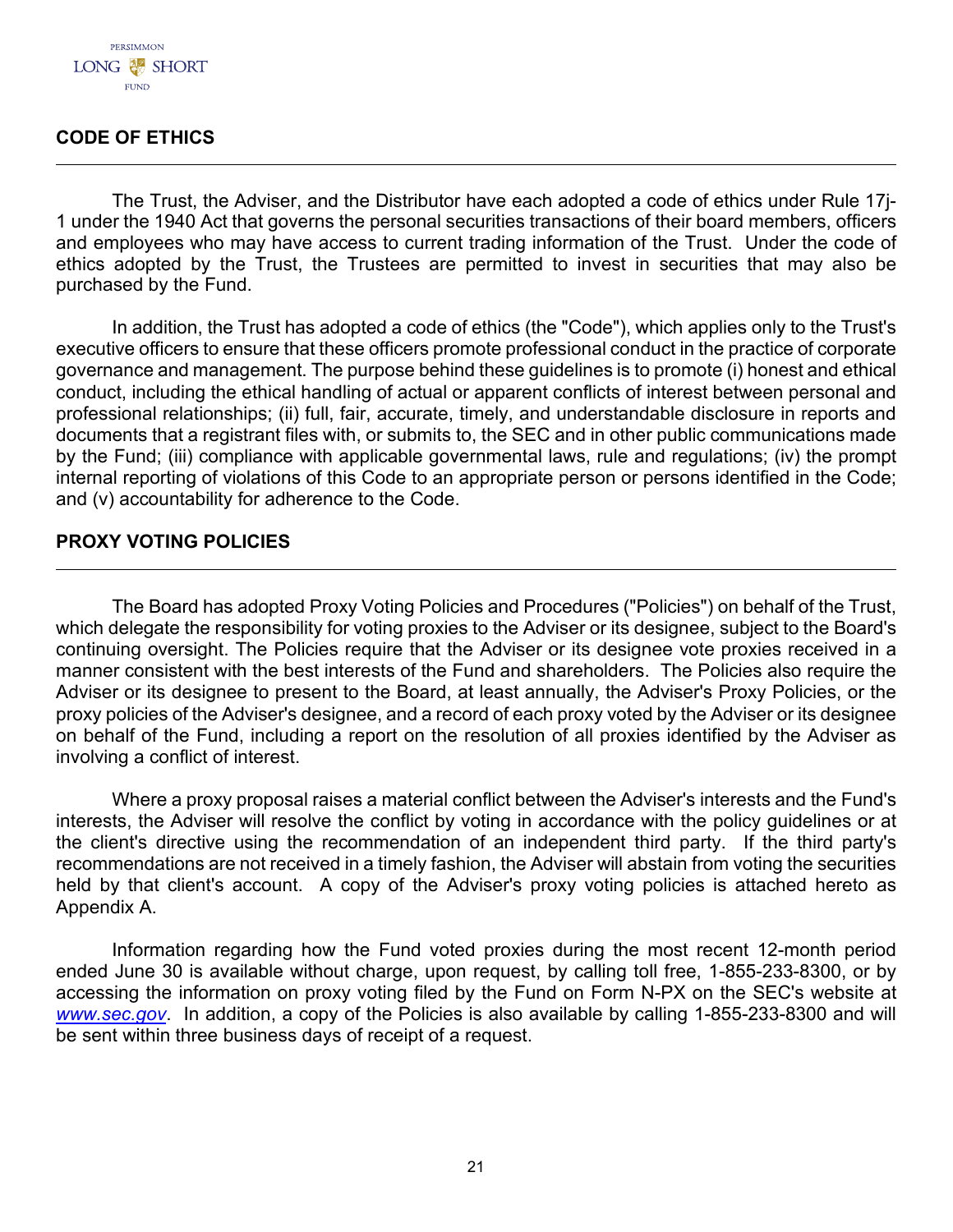# <span id="page-22-0"></span>**CODE OF ETHICS**

The Trust, the Adviser, and the Distributor have each adopted a code of ethics under Rule 17j-1 under the 1940 Act that governs the personal securities transactions of their board members, officers and employees who may have access to current trading information of the Trust. Under the code of ethics adopted by the Trust, the Trustees are permitted to invest in securities that may also be purchased by the Fund.

In addition, the Trust has adopted a code of ethics (the "Code"), which applies only to the Trust's executive officers to ensure that these officers promote professional conduct in the practice of corporate governance and management. The purpose behind these guidelines is to promote (i) honest and ethical conduct, including the ethical handling of actual or apparent conflicts of interest between personal and professional relationships; (ii) full, fair, accurate, timely, and understandable disclosure in reports and documents that a registrant files with, or submits to, the SEC and in other public communications made by the Fund; (iii) compliance with applicable governmental laws, rule and regulations; (iv) the prompt internal reporting of violations of this Code to an appropriate person or persons identified in the Code; and (v) accountability for adherence to the Code.

# <span id="page-22-1"></span>**PROXY VOTING POLICIES**

The Board has adopted Proxy Voting Policies and Procedures ("Policies") on behalf of the Trust, which delegate the responsibility for voting proxies to the Adviser or its designee, subject to the Board's continuing oversight. The Policies require that the Adviser or its designee vote proxies received in a manner consistent with the best interests of the Fund and shareholders. The Policies also require the Adviser or its designee to present to the Board, at least annually, the Adviser's Proxy Policies, or the proxy policies of the Adviser's designee, and a record of each proxy voted by the Adviser or its designee on behalf of the Fund, including a report on the resolution of all proxies identified by the Adviser as involving a conflict of interest.

Where a proxy proposal raises a material conflict between the Adviser's interests and the Fund's interests, the Adviser will resolve the conflict by voting in accordance with the policy guidelines or at the client's directive using the recommendation of an independent third party. If the third party's recommendations are not received in a timely fashion, the Adviser will abstain from voting the securities held by that client's account. A copy of the Adviser's proxy voting policies is attached hereto as Appendix A.

<span id="page-22-2"></span>Information regarding how the Fund voted proxies during the most recent 12-month period ended June 30 is available without charge, upon request, by calling toll free, 1-855-233-8300, or by accessing the information on proxy voting filed by the Fund on Form N-PX on the SEC's website at *[www.sec.gov](http://www.sec.gov/)*. In addition, a copy of the Policies is also available by calling 1-855-233-8300 and will be sent within three business days of receipt of a request.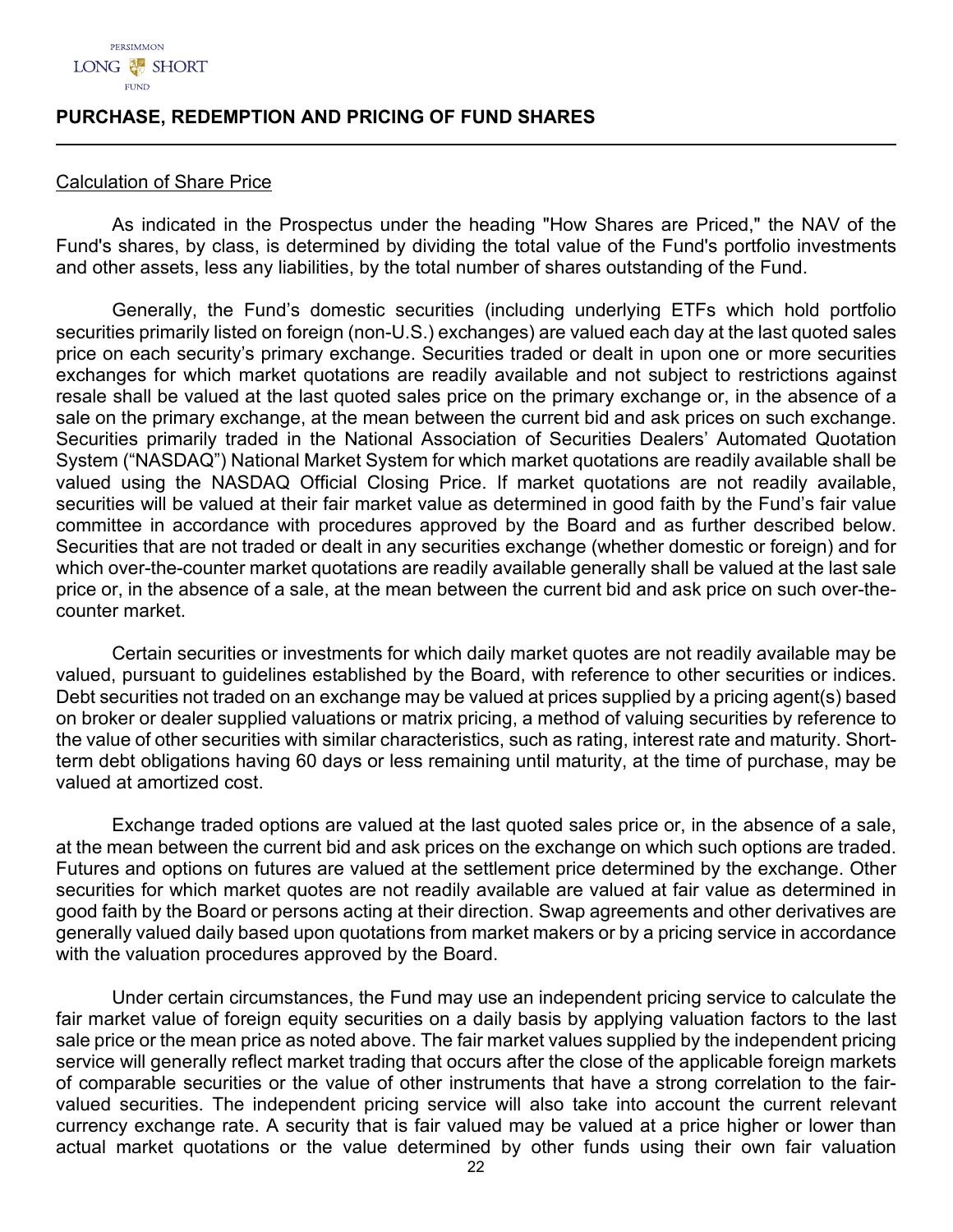

## **PURCHASE, REDEMPTION AND PRICING OF FUND SHARES**

#### Calculation of Share Price

As indicated in the Prospectus under the heading "How Shares are Priced," the NAV of the Fund's shares, by class, is determined by dividing the total value of the Fund's portfolio investments and other assets, less any liabilities, by the total number of shares outstanding of the Fund.

Generally, the Fund's domestic securities (including underlying ETFs which hold portfolio securities primarily listed on foreign (non-U.S.) exchanges) are valued each day at the last quoted sales price on each security's primary exchange. Securities traded or dealt in upon one or more securities exchanges for which market quotations are readily available and not subject to restrictions against resale shall be valued at the last quoted sales price on the primary exchange or, in the absence of a sale on the primary exchange, at the mean between the current bid and ask prices on such exchange. Securities primarily traded in the National Association of Securities Dealers' Automated Quotation System ("NASDAQ") National Market System for which market quotations are readily available shall be valued using the NASDAQ Official Closing Price. If market quotations are not readily available, securities will be valued at their fair market value as determined in good faith by the Fund's fair value committee in accordance with procedures approved by the Board and as further described below. Securities that are not traded or dealt in any securities exchange (whether domestic or foreign) and for which over-the-counter market quotations are readily available generally shall be valued at the last sale price or, in the absence of a sale, at the mean between the current bid and ask price on such over-thecounter market.

Certain securities or investments for which daily market quotes are not readily available may be valued, pursuant to guidelines established by the Board, with reference to other securities or indices. Debt securities not traded on an exchange may be valued at prices supplied by a pricing agent(s) based on broker or dealer supplied valuations or matrix pricing, a method of valuing securities by reference to the value of other securities with similar characteristics, such as rating, interest rate and maturity. Shortterm debt obligations having 60 days or less remaining until maturity, at the time of purchase, may be valued at amortized cost.

Exchange traded options are valued at the last quoted sales price or, in the absence of a sale, at the mean between the current bid and ask prices on the exchange on which such options are traded. Futures and options on futures are valued at the settlement price determined by the exchange. Other securities for which market quotes are not readily available are valued at fair value as determined in good faith by the Board or persons acting at their direction. Swap agreements and other derivatives are generally valued daily based upon quotations from market makers or by a pricing service in accordance with the valuation procedures approved by the Board.

Under certain circumstances, the Fund may use an independent pricing service to calculate the fair market value of foreign equity securities on a daily basis by applying valuation factors to the last sale price or the mean price as noted above. The fair market values supplied by the independent pricing service will generally reflect market trading that occurs after the close of the applicable foreign markets of comparable securities or the value of other instruments that have a strong correlation to the fairvalued securities. The independent pricing service will also take into account the current relevant currency exchange rate. A security that is fair valued may be valued at a price higher or lower than actual market quotations or the value determined by other funds using their own fair valuation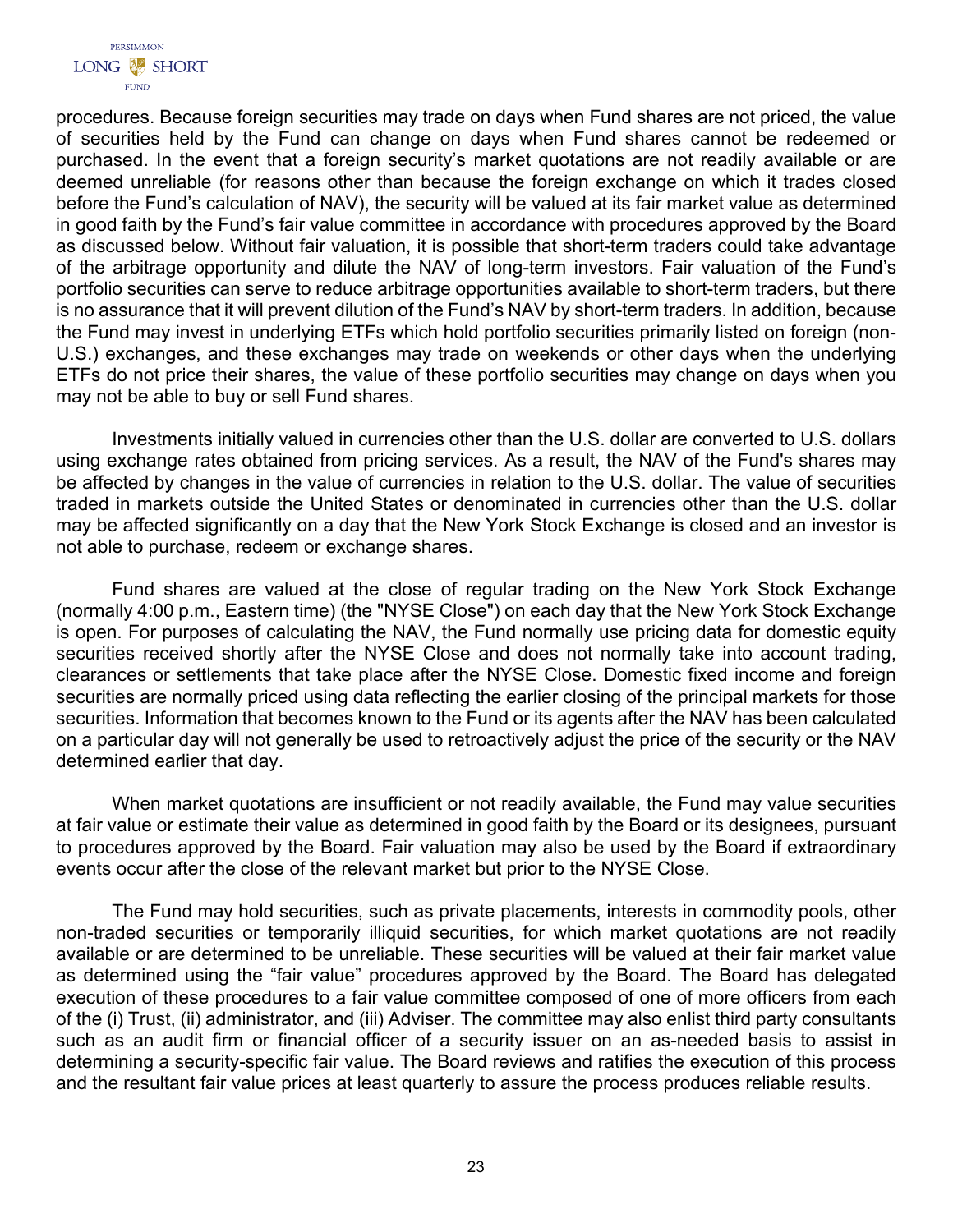

procedures. Because foreign securities may trade on days when Fund shares are not priced, the value of securities held by the Fund can change on days when Fund shares cannot be redeemed or purchased. In the event that a foreign security's market quotations are not readily available or are deemed unreliable (for reasons other than because the foreign exchange on which it trades closed before the Fund's calculation of NAV), the security will be valued at its fair market value as determined in good faith by the Fund's fair value committee in accordance with procedures approved by the Board as discussed below. Without fair valuation, it is possible that short-term traders could take advantage of the arbitrage opportunity and dilute the NAV of long-term investors. Fair valuation of the Fund's portfolio securities can serve to reduce arbitrage opportunities available to short-term traders, but there is no assurance that it will prevent dilution of the Fund's NAV by short-term traders. In addition, because the Fund may invest in underlying ETFs which hold portfolio securities primarily listed on foreign (non-U.S.) exchanges, and these exchanges may trade on weekends or other days when the underlying ETFs do not price their shares, the value of these portfolio securities may change on days when you may not be able to buy or sell Fund shares.

Investments initially valued in currencies other than the U.S. dollar are converted to U.S. dollars using exchange rates obtained from pricing services. As a result, the NAV of the Fund's shares may be affected by changes in the value of currencies in relation to the U.S. dollar. The value of securities traded in markets outside the United States or denominated in currencies other than the U.S. dollar may be affected significantly on a day that the New York Stock Exchange is closed and an investor is not able to purchase, redeem or exchange shares.

Fund shares are valued at the close of regular trading on the New York Stock Exchange (normally 4:00 p.m., Eastern time) (the "NYSE Close") on each day that the New York Stock Exchange is open. For purposes of calculating the NAV, the Fund normally use pricing data for domestic equity securities received shortly after the NYSE Close and does not normally take into account trading, clearances or settlements that take place after the NYSE Close. Domestic fixed income and foreign securities are normally priced using data reflecting the earlier closing of the principal markets for those securities. Information that becomes known to the Fund or its agents after the NAV has been calculated on a particular day will not generally be used to retroactively adjust the price of the security or the NAV determined earlier that day.

When market quotations are insufficient or not readily available, the Fund may value securities at fair value or estimate their value as determined in good faith by the Board or its designees, pursuant to procedures approved by the Board. Fair valuation may also be used by the Board if extraordinary events occur after the close of the relevant market but prior to the NYSE Close.

The Fund may hold securities, such as private placements, interests in commodity pools, other non-traded securities or temporarily illiquid securities, for which market quotations are not readily available or are determined to be unreliable. These securities will be valued at their fair market value as determined using the "fair value" procedures approved by the Board. The Board has delegated execution of these procedures to a fair value committee composed of one of more officers from each of the (i) Trust, (ii) administrator, and (iii) Adviser. The committee may also enlist third party consultants such as an audit firm or financial officer of a security issuer on an as-needed basis to assist in determining a security-specific fair value. The Board reviews and ratifies the execution of this process and the resultant fair value prices at least quarterly to assure the process produces reliable results.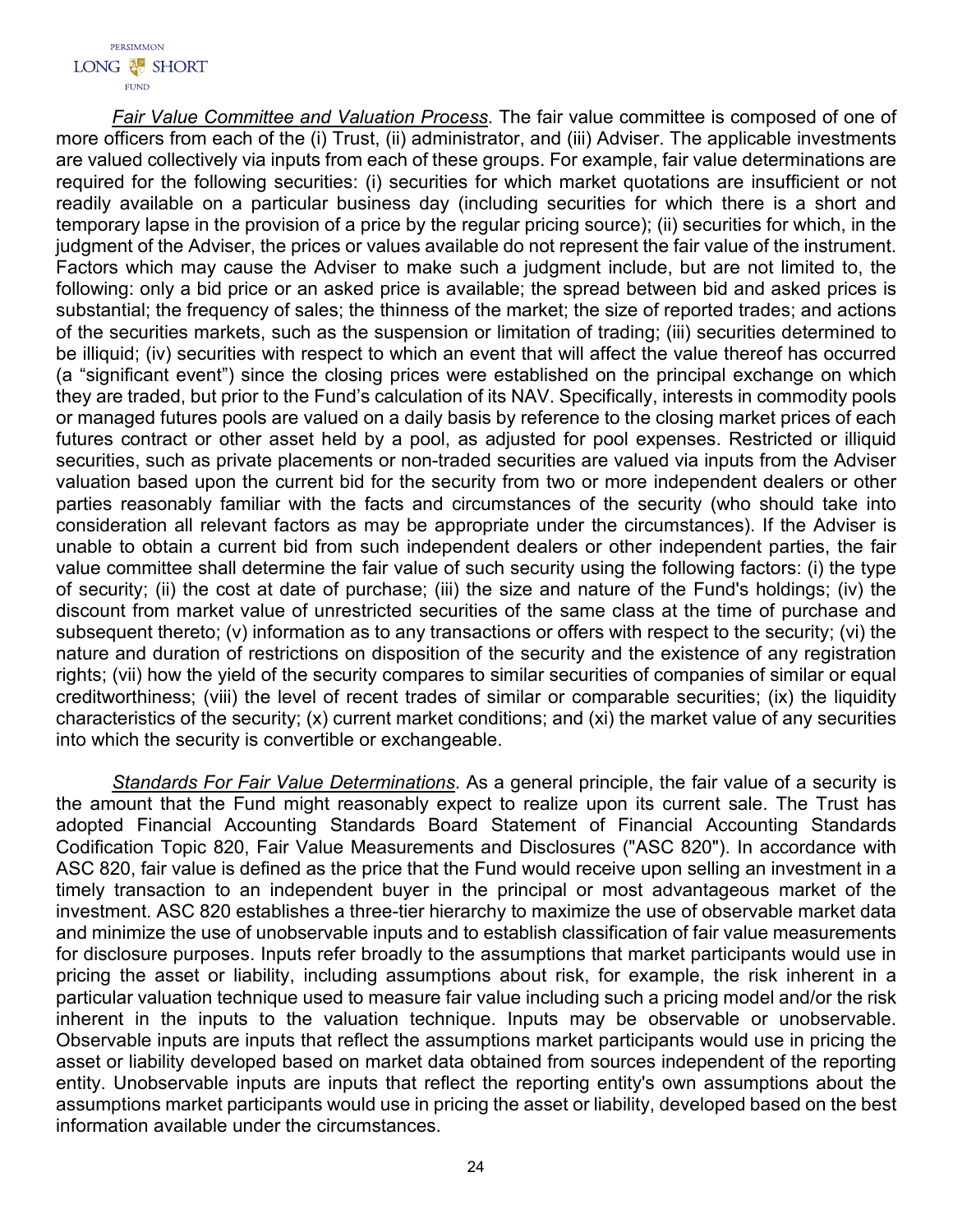*Fair Value Committee and Valuation Process*. The fair value committee is composed of one of more officers from each of the (i) Trust, (ii) administrator, and (iii) Adviser. The applicable investments are valued collectively via inputs from each of these groups. For example, fair value determinations are required for the following securities: (i) securities for which market quotations are insufficient or not readily available on a particular business day (including securities for which there is a short and temporary lapse in the provision of a price by the regular pricing source); (ii) securities for which, in the judgment of the Adviser, the prices or values available do not represent the fair value of the instrument. Factors which may cause the Adviser to make such a judgment include, but are not limited to, the following: only a bid price or an asked price is available; the spread between bid and asked prices is substantial; the frequency of sales; the thinness of the market; the size of reported trades; and actions of the securities markets, such as the suspension or limitation of trading; (iii) securities determined to be illiquid; (iv) securities with respect to which an event that will affect the value thereof has occurred (a "significant event") since the closing prices were established on the principal exchange on which they are traded, but prior to the Fund's calculation of its NAV. Specifically, interests in commodity pools or managed futures pools are valued on a daily basis by reference to the closing market prices of each futures contract or other asset held by a pool, as adjusted for pool expenses. Restricted or illiquid securities, such as private placements or non-traded securities are valued via inputs from the Adviser valuation based upon the current bid for the security from two or more independent dealers or other parties reasonably familiar with the facts and circumstances of the security (who should take into consideration all relevant factors as may be appropriate under the circumstances). If the Adviser is unable to obtain a current bid from such independent dealers or other independent parties, the fair value committee shall determine the fair value of such security using the following factors: (i) the type of security; (ii) the cost at date of purchase; (iii) the size and nature of the Fund's holdings; (iv) the discount from market value of unrestricted securities of the same class at the time of purchase and subsequent thereto; (v) information as to any transactions or offers with respect to the security; (vi) the nature and duration of restrictions on disposition of the security and the existence of any registration rights; (vii) how the yield of the security compares to similar securities of companies of similar or equal creditworthiness; (viii) the level of recent trades of similar or comparable securities; (ix) the liquidity characteristics of the security; (x) current market conditions; and (xi) the market value of any securities into which the security is convertible or exchangeable.

*Standards For Fair Value Determinations*. As a general principle, the fair value of a security is the amount that the Fund might reasonably expect to realize upon its current sale. The Trust has adopted Financial Accounting Standards Board Statement of Financial Accounting Standards Codification Topic 820, Fair Value Measurements and Disclosures ("ASC 820"). In accordance with ASC 820, fair value is defined as the price that the Fund would receive upon selling an investment in a timely transaction to an independent buyer in the principal or most advantageous market of the investment. ASC 820 establishes a three-tier hierarchy to maximize the use of observable market data and minimize the use of unobservable inputs and to establish classification of fair value measurements for disclosure purposes. Inputs refer broadly to the assumptions that market participants would use in pricing the asset or liability, including assumptions about risk, for example, the risk inherent in a particular valuation technique used to measure fair value including such a pricing model and/or the risk inherent in the inputs to the valuation technique. Inputs may be observable or unobservable. Observable inputs are inputs that reflect the assumptions market participants would use in pricing the asset or liability developed based on market data obtained from sources independent of the reporting entity. Unobservable inputs are inputs that reflect the reporting entity's own assumptions about the assumptions market participants would use in pricing the asset or liability, developed based on the best information available under the circumstances.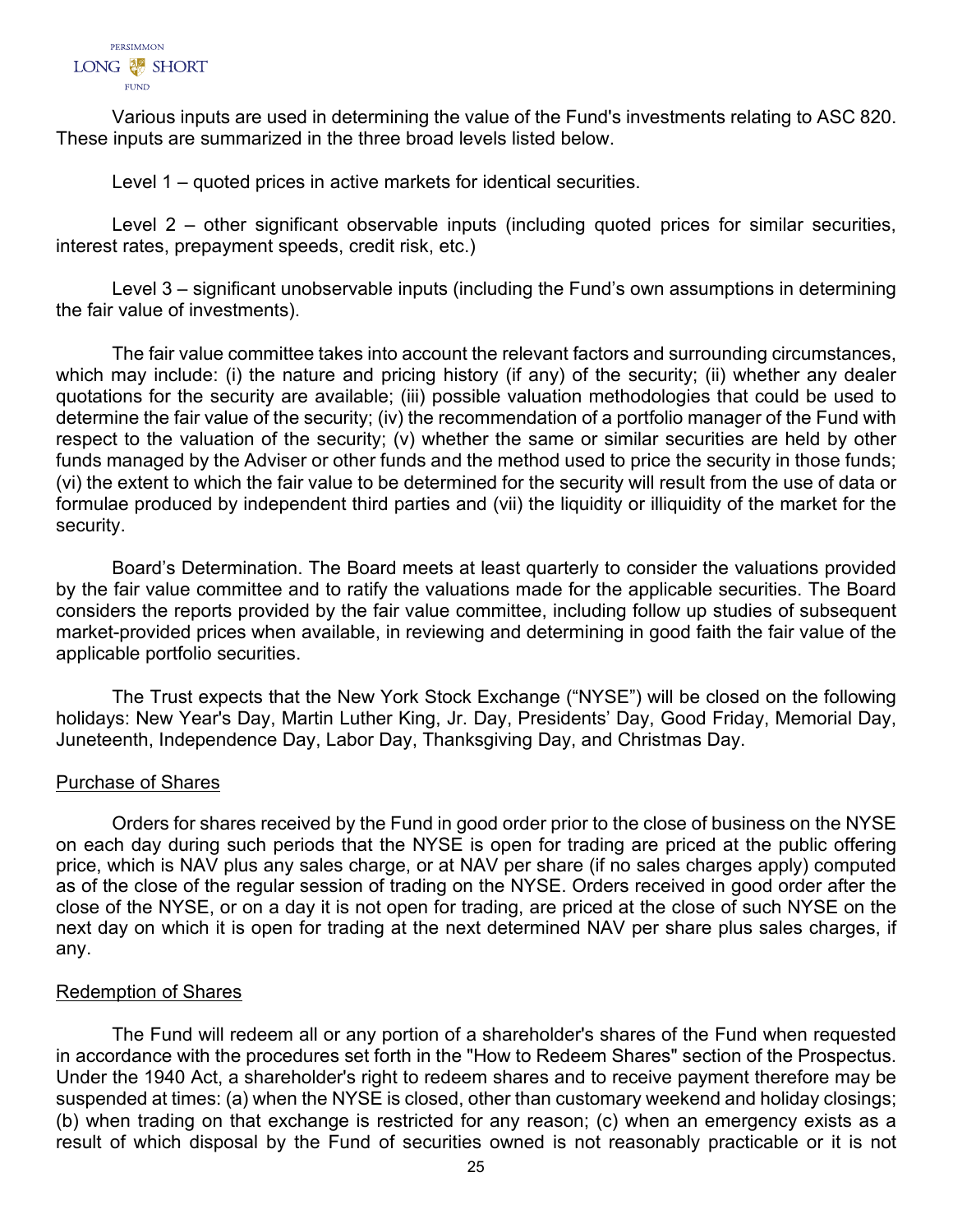

Various inputs are used in determining the value of the Fund's investments relating to ASC 820. These inputs are summarized in the three broad levels listed below.

Level 1 – quoted prices in active markets for identical securities.

Level 2 – other significant observable inputs (including quoted prices for similar securities, interest rates, prepayment speeds, credit risk, etc.)

Level 3 – significant unobservable inputs (including the Fund's own assumptions in determining the fair value of investments).

The fair value committee takes into account the relevant factors and surrounding circumstances, which may include: (i) the nature and pricing history (if any) of the security; (ii) whether any dealer quotations for the security are available; (iii) possible valuation methodologies that could be used to determine the fair value of the security; (iv) the recommendation of a portfolio manager of the Fund with respect to the valuation of the security; (v) whether the same or similar securities are held by other funds managed by the Adviser or other funds and the method used to price the security in those funds; (vi) the extent to which the fair value to be determined for the security will result from the use of data or formulae produced by independent third parties and (vii) the liquidity or illiquidity of the market for the security.

Board's Determination. The Board meets at least quarterly to consider the valuations provided by the fair value committee and to ratify the valuations made for the applicable securities. The Board considers the reports provided by the fair value committee, including follow up studies of subsequent market-provided prices when available, in reviewing and determining in good faith the fair value of the applicable portfolio securities.

The Trust expects that the New York Stock Exchange ("NYSE") will be closed on the following holidays: New Year's Day, Martin Luther King, Jr. Day, Presidents' Day, Good Friday, Memorial Day, Juneteenth, Independence Day, Labor Day, Thanksgiving Day, and Christmas Day.

## Purchase of Shares

Orders for shares received by the Fund in good order prior to the close of business on the NYSE on each day during such periods that the NYSE is open for trading are priced at the public offering price, which is NAV plus any sales charge, or at NAV per share (if no sales charges apply) computed as of the close of the regular session of trading on the NYSE. Orders received in good order after the close of the NYSE, or on a day it is not open for trading, are priced at the close of such NYSE on the next day on which it is open for trading at the next determined NAV per share plus sales charges, if any.

# Redemption of Shares

The Fund will redeem all or any portion of a shareholder's shares of the Fund when requested in accordance with the procedures set forth in the "How to Redeem Shares" section of the Prospectus. Under the 1940 Act, a shareholder's right to redeem shares and to receive payment therefore may be suspended at times: (a) when the NYSE is closed, other than customary weekend and holiday closings; (b) when trading on that exchange is restricted for any reason; (c) when an emergency exists as a result of which disposal by the Fund of securities owned is not reasonably practicable or it is not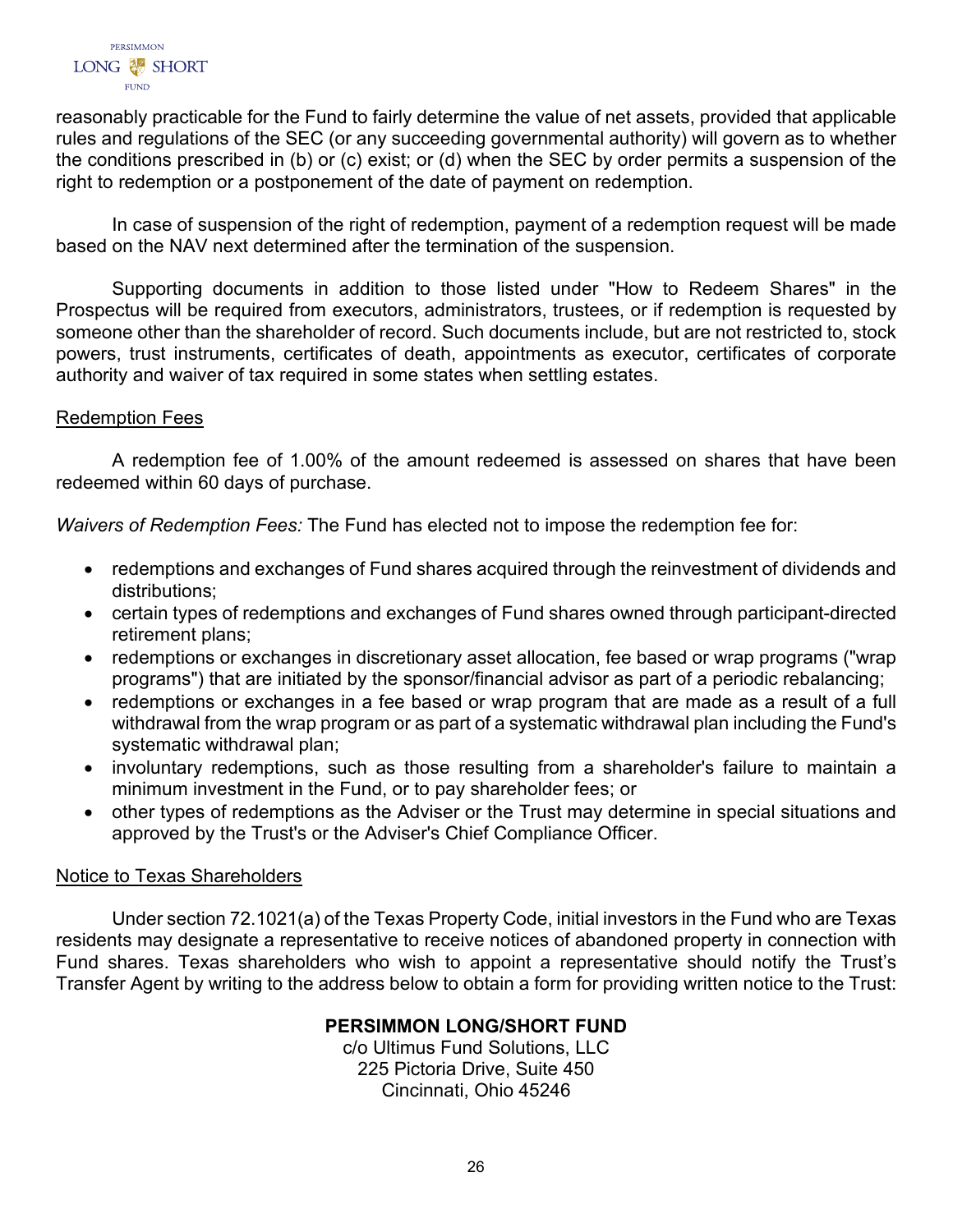

reasonably practicable for the Fund to fairly determine the value of net assets, provided that applicable rules and regulations of the SEC (or any succeeding governmental authority) will govern as to whether the conditions prescribed in (b) or (c) exist; or (d) when the SEC by order permits a suspension of the right to redemption or a postponement of the date of payment on redemption.

In case of suspension of the right of redemption, payment of a redemption request will be made based on the NAV next determined after the termination of the suspension.

Supporting documents in addition to those listed under "How to Redeem Shares" in the Prospectus will be required from executors, administrators, trustees, or if redemption is requested by someone other than the shareholder of record. Such documents include, but are not restricted to, stock powers, trust instruments, certificates of death, appointments as executor, certificates of corporate authority and waiver of tax required in some states when settling estates.

# Redemption Fees

A redemption fee of 1.00% of the amount redeemed is assessed on shares that have been redeemed within 60 days of purchase.

*Waivers of Redemption Fees:* The Fund has elected not to impose the redemption fee for:

- redemptions and exchanges of Fund shares acquired through the reinvestment of dividends and distributions;
- certain types of redemptions and exchanges of Fund shares owned through participant-directed retirement plans;
- redemptions or exchanges in discretionary asset allocation, fee based or wrap programs ("wrap programs") that are initiated by the sponsor/financial advisor as part of a periodic rebalancing;
- redemptions or exchanges in a fee based or wrap program that are made as a result of a full withdrawal from the wrap program or as part of a systematic withdrawal plan including the Fund's systematic withdrawal plan;
- involuntary redemptions, such as those resulting from a shareholder's failure to maintain a minimum investment in the Fund, or to pay shareholder fees; or
- other types of redemptions as the Adviser or the Trust may determine in special situations and approved by the Trust's or the Adviser's Chief Compliance Officer.

# Notice to Texas Shareholders

<span id="page-27-0"></span>Under section 72.1021(a) of the Texas Property Code, initial investors in the Fund who are Texas residents may designate a representative to receive notices of abandoned property in connection with Fund shares. Texas shareholders who wish to appoint a representative should notify the Trust's Transfer Agent by writing to the address below to obtain a form for providing written notice to the Trust:

# **PERSIMMON LONG/SHORT FUND**

c/o Ultimus Fund Solutions, LLC 225 Pictoria Drive, Suite 450 Cincinnati, Ohio 45246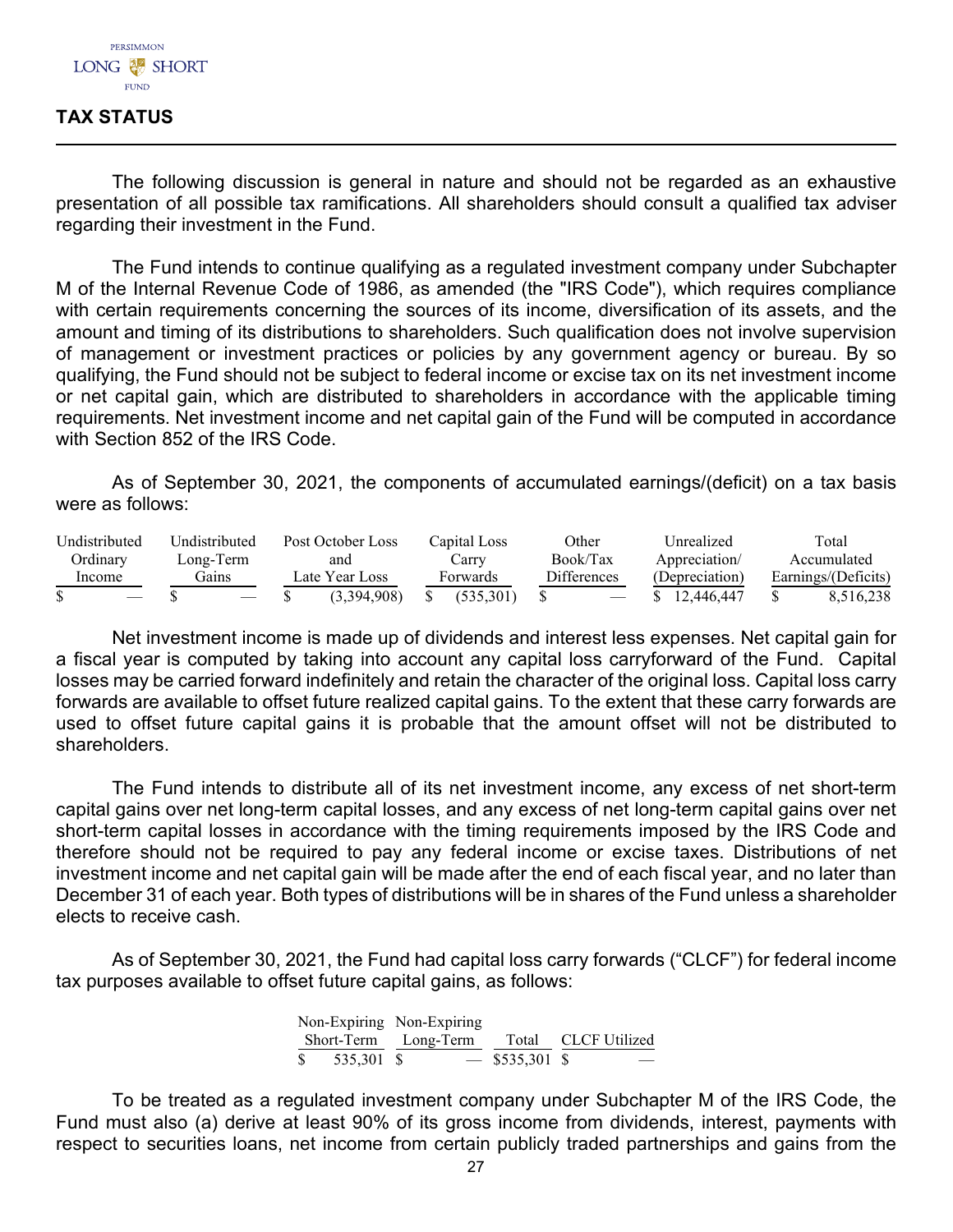# **TAX STATUS**

The following discussion is general in nature and should not be regarded as an exhaustive presentation of all possible tax ramifications. All shareholders should consult a qualified tax adviser regarding their investment in the Fund.

The Fund intends to continue qualifying as a regulated investment company under Subchapter M of the Internal Revenue Code of 1986, as amended (the "IRS Code"), which requires compliance with certain requirements concerning the sources of its income, diversification of its assets, and the amount and timing of its distributions to shareholders. Such qualification does not involve supervision of management or investment practices or policies by any government agency or bureau. By so qualifying, the Fund should not be subject to federal income or excise tax on its net investment income or net capital gain, which are distributed to shareholders in accordance with the applicable timing requirements. Net investment income and net capital gain of the Fund will be computed in accordance with Section 852 of the IRS Code.

As of September 30, 2021, the components of accumulated earnings/(deficit) on a tax basis were as follows:

| Undistributed | Undistributed | Post October Loss | Capital Loss | Other              | Unrealized     | Total               |
|---------------|---------------|-------------------|--------------|--------------------|----------------|---------------------|
| Ordinarv      | Long-Term     | and               | Carrv        | Book/Tax           | Appreciation/  | Accumulated         |
| Income        | Gains         | Late Year Loss    | Forwards     | <b>Differences</b> | (Depreciation) | Earnings/(Deficits) |
|               |               | (3.394.908)       | (535.301)    |                    | 12.446.447     | 8,516,238           |

Net investment income is made up of dividends and interest less expenses. Net capital gain for a fiscal year is computed by taking into account any capital loss carryforward of the Fund. Capital losses may be carried forward indefinitely and retain the character of the original loss. Capital loss carry forwards are available to offset future realized capital gains. To the extent that these carry forwards are used to offset future capital gains it is probable that the amount offset will not be distributed to shareholders.

The Fund intends to distribute all of its net investment income, any excess of net short-term capital gains over net long-term capital losses, and any excess of net long-term capital gains over net short-term capital losses in accordance with the timing requirements imposed by the IRS Code and therefore should not be required to pay any federal income or excise taxes. Distributions of net investment income and net capital gain will be made after the end of each fiscal year, and no later than December 31 of each year. Both types of distributions will be in shares of the Fund unless a shareholder elects to receive cash.

As of September 30, 2021, the Fund had capital loss carry forwards ("CLCF") for federal income tax purposes available to offset future capital gains, as follows:

|  | Non-Expiring Non-Expiring                |                  |  |
|--|------------------------------------------|------------------|--|
|  | Short-Term Long-Term Total CLCF Utilized |                  |  |
|  |                                          | $-$ \$535,301 \$ |  |

To be treated as a regulated investment company under Subchapter M of the IRS Code, the Fund must also (a) derive at least 90% of its gross income from dividends, interest, payments with respect to securities loans, net income from certain publicly traded partnerships and gains from the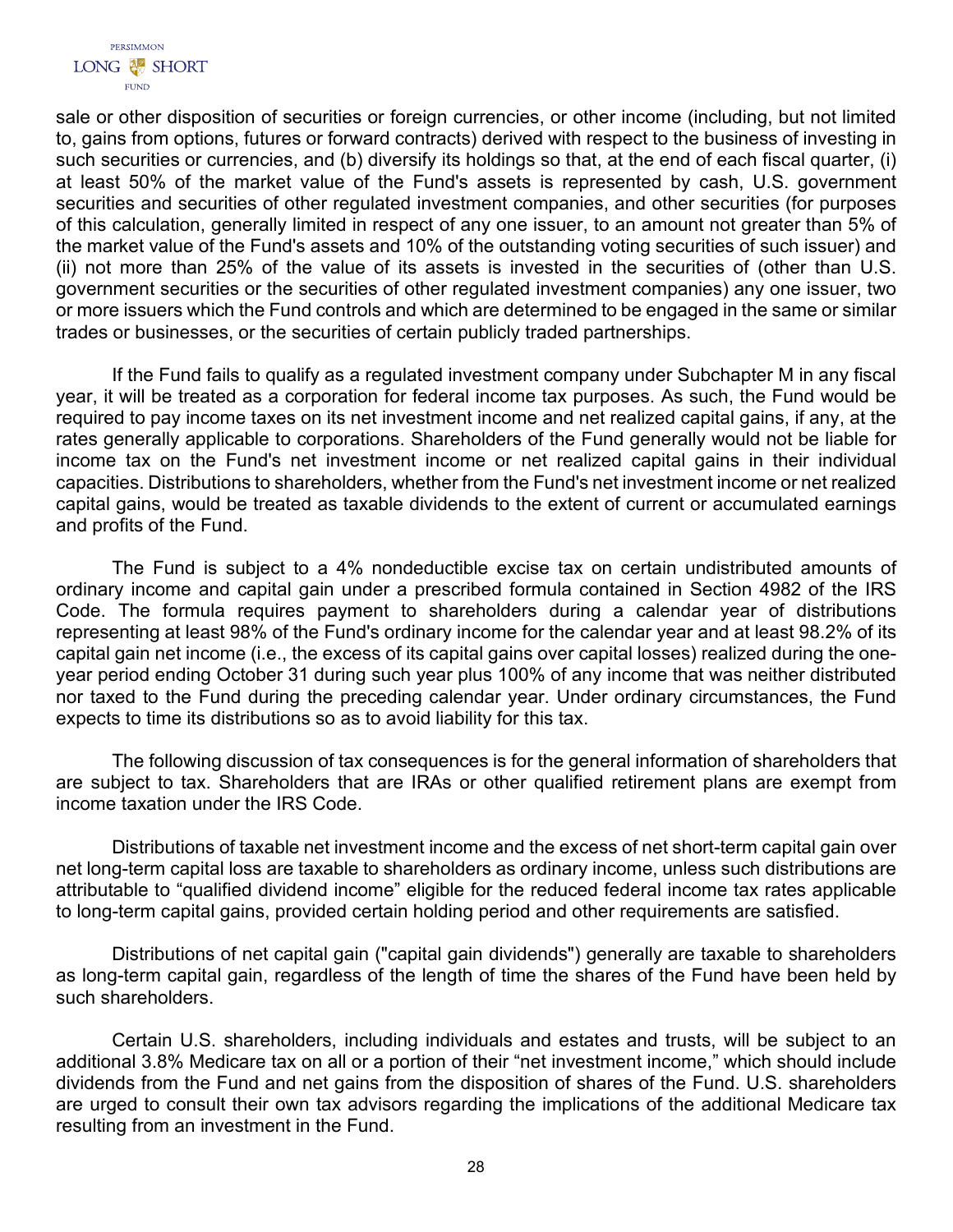

sale or other disposition of securities or foreign currencies, or other income (including, but not limited to, gains from options, futures or forward contracts) derived with respect to the business of investing in such securities or currencies, and (b) diversify its holdings so that, at the end of each fiscal quarter, (i) at least 50% of the market value of the Fund's assets is represented by cash, U.S. government securities and securities of other regulated investment companies, and other securities (for purposes of this calculation, generally limited in respect of any one issuer, to an amount not greater than 5% of the market value of the Fund's assets and 10% of the outstanding voting securities of such issuer) and (ii) not more than 25% of the value of its assets is invested in the securities of (other than U.S. government securities or the securities of other regulated investment companies) any one issuer, two or more issuers which the Fund controls and which are determined to be engaged in the same or similar trades or businesses, or the securities of certain publicly traded partnerships.

If the Fund fails to qualify as a regulated investment company under Subchapter M in any fiscal year, it will be treated as a corporation for federal income tax purposes. As such, the Fund would be required to pay income taxes on its net investment income and net realized capital gains, if any, at the rates generally applicable to corporations. Shareholders of the Fund generally would not be liable for income tax on the Fund's net investment income or net realized capital gains in their individual capacities. Distributions to shareholders, whether from the Fund's net investment income or net realized capital gains, would be treated as taxable dividends to the extent of current or accumulated earnings and profits of the Fund.

The Fund is subject to a 4% nondeductible excise tax on certain undistributed amounts of ordinary income and capital gain under a prescribed formula contained in Section 4982 of the IRS Code. The formula requires payment to shareholders during a calendar year of distributions representing at least 98% of the Fund's ordinary income for the calendar year and at least 98.2% of its capital gain net income (i.e., the excess of its capital gains over capital losses) realized during the oneyear period ending October 31 during such year plus 100% of any income that was neither distributed nor taxed to the Fund during the preceding calendar year. Under ordinary circumstances, the Fund expects to time its distributions so as to avoid liability for this tax.

The following discussion of tax consequences is for the general information of shareholders that are subject to tax. Shareholders that are IRAs or other qualified retirement plans are exempt from income taxation under the IRS Code.

Distributions of taxable net investment income and the excess of net short-term capital gain over net long-term capital loss are taxable to shareholders as ordinary income, unless such distributions are attributable to "qualified dividend income" eligible for the reduced federal income tax rates applicable to long-term capital gains, provided certain holding period and other requirements are satisfied.

Distributions of net capital gain ("capital gain dividends") generally are taxable to shareholders as long-term capital gain, regardless of the length of time the shares of the Fund have been held by such shareholders.

Certain U.S. shareholders, including individuals and estates and trusts, will be subject to an additional 3.8% Medicare tax on all or a portion of their "net investment income," which should include dividends from the Fund and net gains from the disposition of shares of the Fund. U.S. shareholders are urged to consult their own tax advisors regarding the implications of the additional Medicare tax resulting from an investment in the Fund.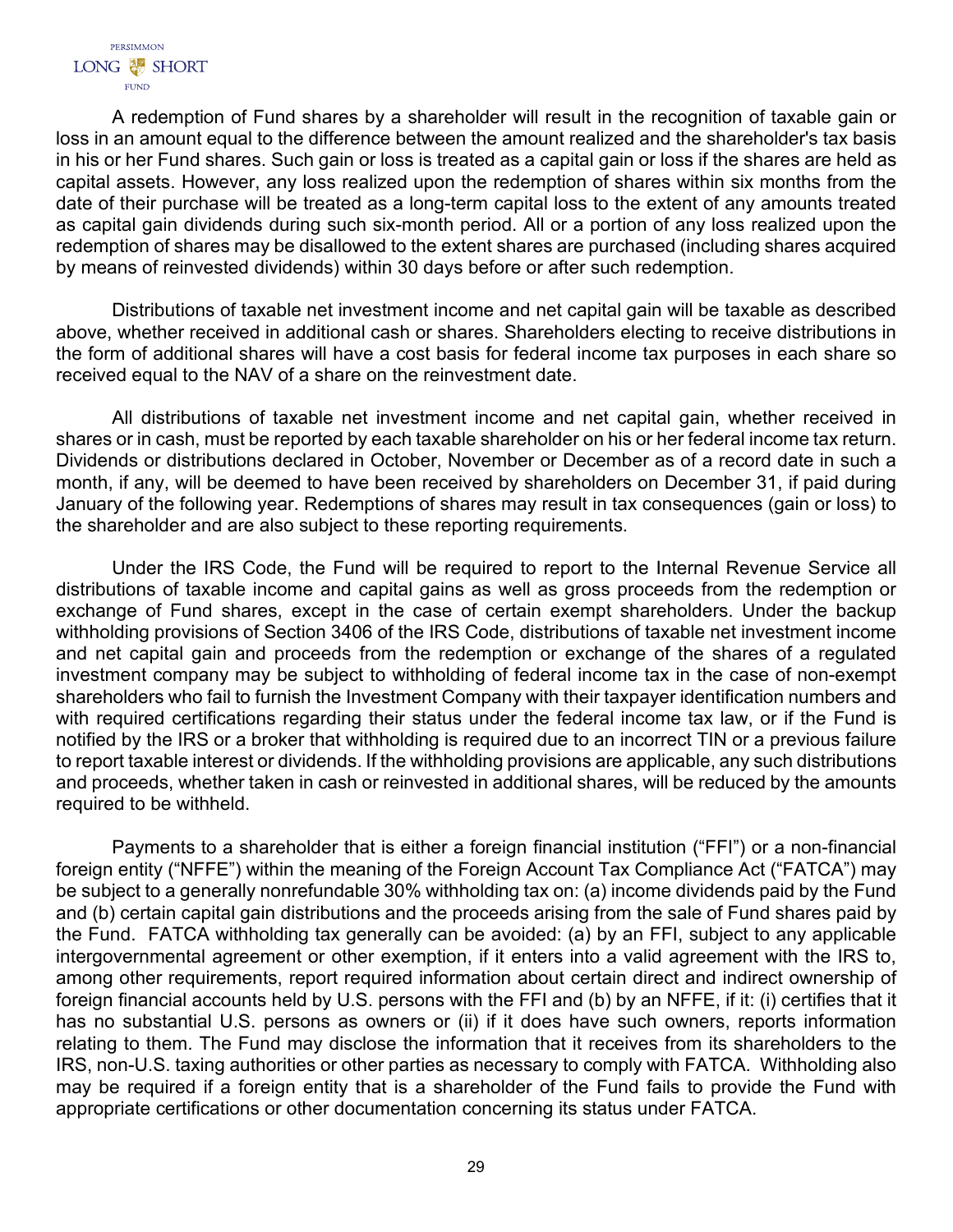A redemption of Fund shares by a shareholder will result in the recognition of taxable gain or loss in an amount equal to the difference between the amount realized and the shareholder's tax basis in his or her Fund shares. Such gain or loss is treated as a capital gain or loss if the shares are held as capital assets. However, any loss realized upon the redemption of shares within six months from the date of their purchase will be treated as a long-term capital loss to the extent of any amounts treated as capital gain dividends during such six-month period. All or a portion of any loss realized upon the redemption of shares may be disallowed to the extent shares are purchased (including shares acquired by means of reinvested dividends) within 30 days before or after such redemption.

Distributions of taxable net investment income and net capital gain will be taxable as described above, whether received in additional cash or shares. Shareholders electing to receive distributions in the form of additional shares will have a cost basis for federal income tax purposes in each share so received equal to the NAV of a share on the reinvestment date.

All distributions of taxable net investment income and net capital gain, whether received in shares or in cash, must be reported by each taxable shareholder on his or her federal income tax return. Dividends or distributions declared in October, November or December as of a record date in such a month, if any, will be deemed to have been received by shareholders on December 31, if paid during January of the following year. Redemptions of shares may result in tax consequences (gain or loss) to the shareholder and are also subject to these reporting requirements.

Under the IRS Code, the Fund will be required to report to the Internal Revenue Service all distributions of taxable income and capital gains as well as gross proceeds from the redemption or exchange of Fund shares, except in the case of certain exempt shareholders. Under the backup withholding provisions of Section 3406 of the IRS Code, distributions of taxable net investment income and net capital gain and proceeds from the redemption or exchange of the shares of a regulated investment company may be subject to withholding of federal income tax in the case of non-exempt shareholders who fail to furnish the Investment Company with their taxpayer identification numbers and with required certifications regarding their status under the federal income tax law, or if the Fund is notified by the IRS or a broker that withholding is required due to an incorrect TIN or a previous failure to report taxable interest or dividends. If the withholding provisions are applicable, any such distributions and proceeds, whether taken in cash or reinvested in additional shares, will be reduced by the amounts required to be withheld.

Payments to a shareholder that is either a foreign financial institution ("FFI") or a non-financial foreign entity ("NFFE") within the meaning of the Foreign Account Tax Compliance Act ("FATCA") may be subject to a generally nonrefundable 30% withholding tax on: (a) income dividends paid by the Fund and (b) certain capital gain distributions and the proceeds arising from the sale of Fund shares paid by the Fund. FATCA withholding tax generally can be avoided: (a) by an FFI, subject to any applicable intergovernmental agreement or other exemption, if it enters into a valid agreement with the IRS to, among other requirements, report required information about certain direct and indirect ownership of foreign financial accounts held by U.S. persons with the FFI and (b) by an NFFE, if it: (i) certifies that it has no substantial U.S. persons as owners or (ii) if it does have such owners, reports information relating to them. The Fund may disclose the information that it receives from its shareholders to the IRS, non-U.S. taxing authorities or other parties as necessary to comply with FATCA. Withholding also may be required if a foreign entity that is a shareholder of the Fund fails to provide the Fund with appropriate certifications or other documentation concerning its status under FATCA.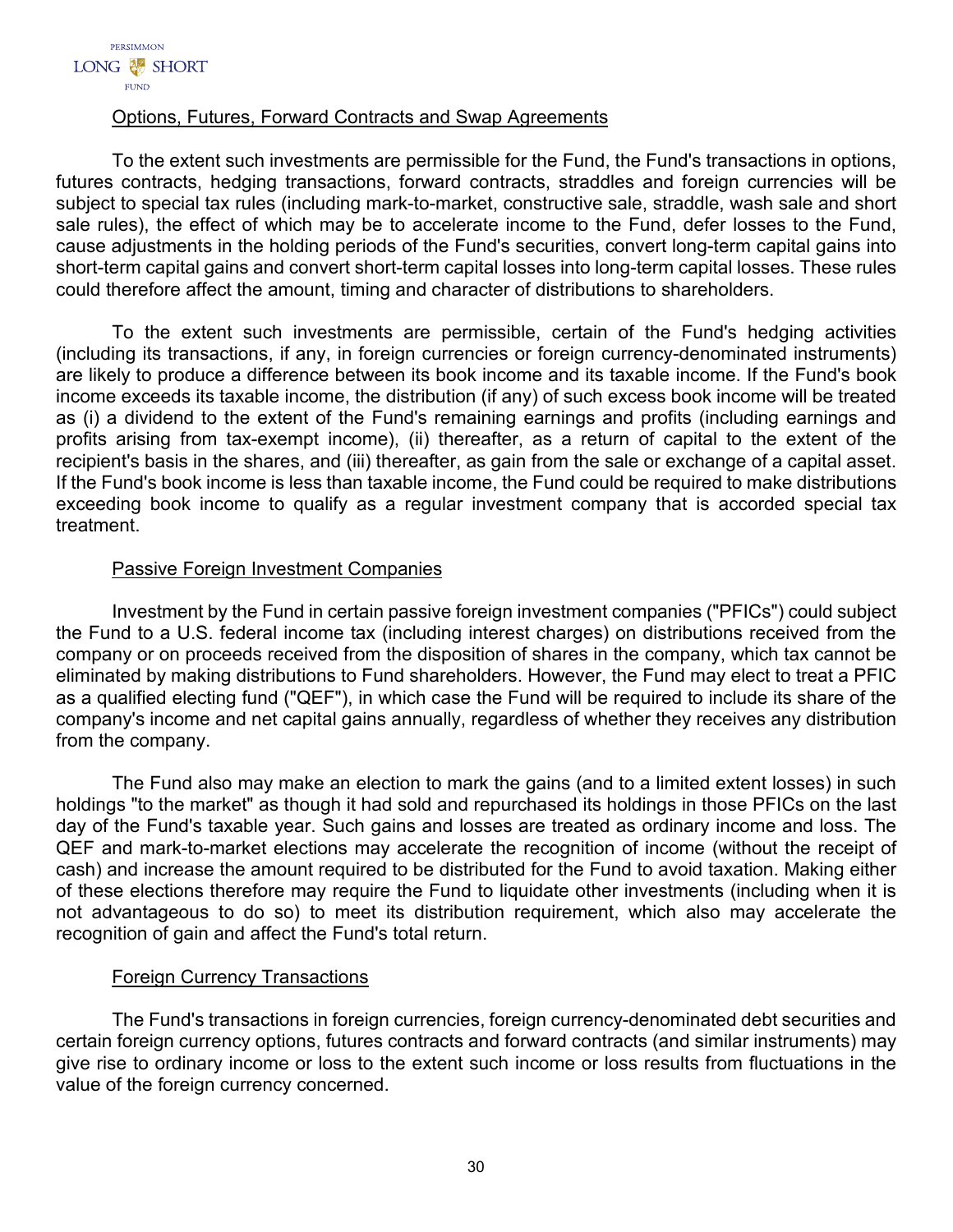# Options, Futures, Forward Contracts and Swap Agreements

To the extent such investments are permissible for the Fund, the Fund's transactions in options, futures contracts, hedging transactions, forward contracts, straddles and foreign currencies will be subject to special tax rules (including mark-to-market, constructive sale, straddle, wash sale and short sale rules), the effect of which may be to accelerate income to the Fund, defer losses to the Fund, cause adjustments in the holding periods of the Fund's securities, convert long-term capital gains into short-term capital gains and convert short-term capital losses into long-term capital losses. These rules could therefore affect the amount, timing and character of distributions to shareholders.

To the extent such investments are permissible, certain of the Fund's hedging activities (including its transactions, if any, in foreign currencies or foreign currency-denominated instruments) are likely to produce a difference between its book income and its taxable income. If the Fund's book income exceeds its taxable income, the distribution (if any) of such excess book income will be treated as (i) a dividend to the extent of the Fund's remaining earnings and profits (including earnings and profits arising from tax-exempt income), (ii) thereafter, as a return of capital to the extent of the recipient's basis in the shares, and (iii) thereafter, as gain from the sale or exchange of a capital asset. If the Fund's book income is less than taxable income, the Fund could be required to make distributions exceeding book income to qualify as a regular investment company that is accorded special tax treatment.

# Passive Foreign Investment Companies

Investment by the Fund in certain passive foreign investment companies ("PFICs") could subject the Fund to a U.S. federal income tax (including interest charges) on distributions received from the company or on proceeds received from the disposition of shares in the company, which tax cannot be eliminated by making distributions to Fund shareholders. However, the Fund may elect to treat a PFIC as a qualified electing fund ("QEF"), in which case the Fund will be required to include its share of the company's income and net capital gains annually, regardless of whether they receives any distribution from the company.

The Fund also may make an election to mark the gains (and to a limited extent losses) in such holdings "to the market" as though it had sold and repurchased its holdings in those PFICs on the last day of the Fund's taxable year. Such gains and losses are treated as ordinary income and loss. The QEF and mark-to-market elections may accelerate the recognition of income (without the receipt of cash) and increase the amount required to be distributed for the Fund to avoid taxation. Making either of these elections therefore may require the Fund to liquidate other investments (including when it is not advantageous to do so) to meet its distribution requirement, which also may accelerate the recognition of gain and affect the Fund's total return.

# Foreign Currency Transactions

The Fund's transactions in foreign currencies, foreign currency-denominated debt securities and certain foreign currency options, futures contracts and forward contracts (and similar instruments) may give rise to ordinary income or loss to the extent such income or loss results from fluctuations in the value of the foreign currency concerned.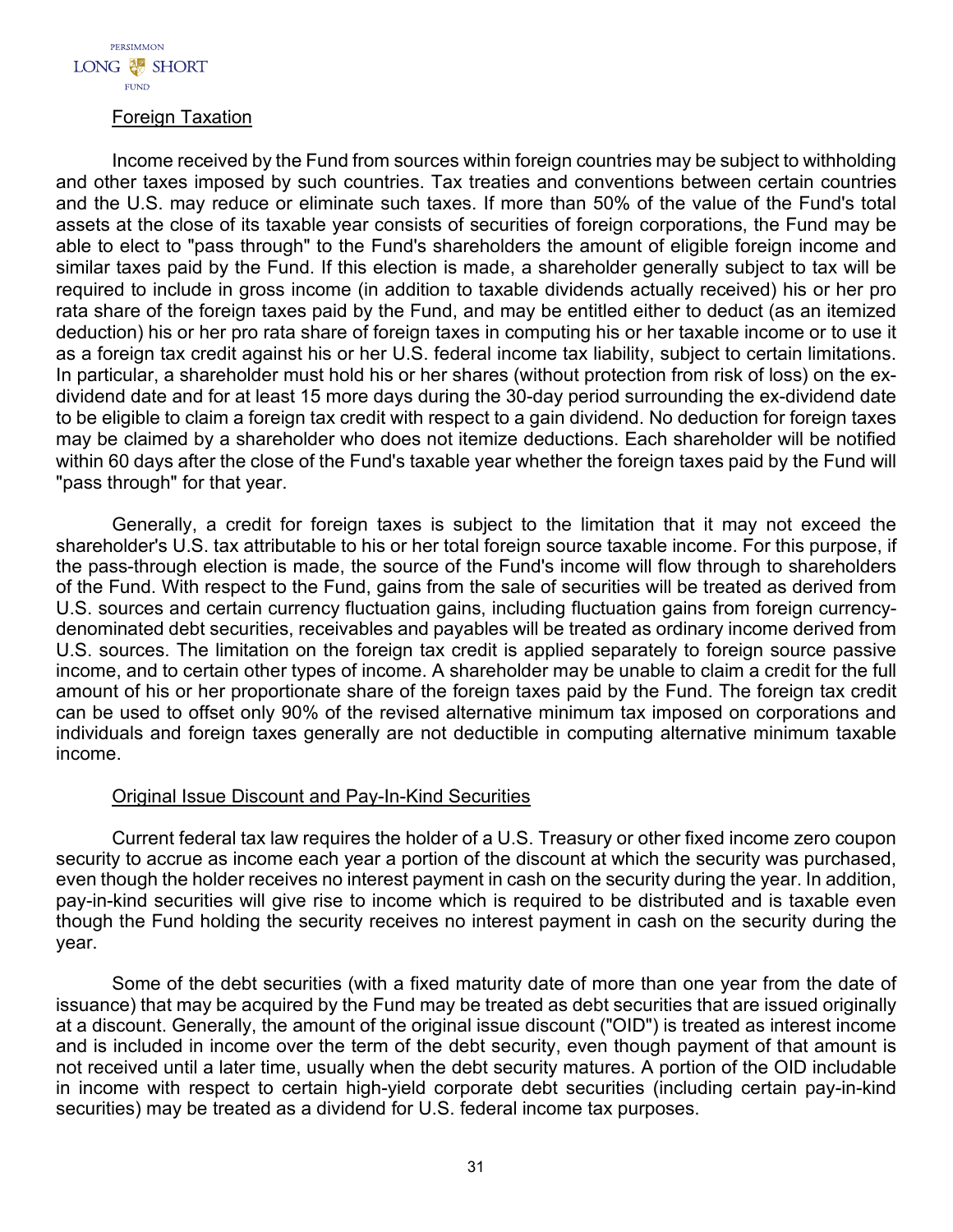

## Foreign Taxation

Income received by the Fund from sources within foreign countries may be subject to withholding and other taxes imposed by such countries. Tax treaties and conventions between certain countries and the U.S. may reduce or eliminate such taxes. If more than 50% of the value of the Fund's total assets at the close of its taxable year consists of securities of foreign corporations, the Fund may be able to elect to "pass through" to the Fund's shareholders the amount of eligible foreign income and similar taxes paid by the Fund. If this election is made, a shareholder generally subject to tax will be required to include in gross income (in addition to taxable dividends actually received) his or her pro rata share of the foreign taxes paid by the Fund, and may be entitled either to deduct (as an itemized deduction) his or her pro rata share of foreign taxes in computing his or her taxable income or to use it as a foreign tax credit against his or her U.S. federal income tax liability, subject to certain limitations. In particular, a shareholder must hold his or her shares (without protection from risk of loss) on the exdividend date and for at least 15 more days during the 30-day period surrounding the ex-dividend date to be eligible to claim a foreign tax credit with respect to a gain dividend. No deduction for foreign taxes may be claimed by a shareholder who does not itemize deductions. Each shareholder will be notified within 60 days after the close of the Fund's taxable year whether the foreign taxes paid by the Fund will "pass through" for that year.

Generally, a credit for foreign taxes is subject to the limitation that it may not exceed the shareholder's U.S. tax attributable to his or her total foreign source taxable income. For this purpose, if the pass-through election is made, the source of the Fund's income will flow through to shareholders of the Fund. With respect to the Fund, gains from the sale of securities will be treated as derived from U.S. sources and certain currency fluctuation gains, including fluctuation gains from foreign currencydenominated debt securities, receivables and payables will be treated as ordinary income derived from U.S. sources. The limitation on the foreign tax credit is applied separately to foreign source passive income, and to certain other types of income. A shareholder may be unable to claim a credit for the full amount of his or her proportionate share of the foreign taxes paid by the Fund. The foreign tax credit can be used to offset only 90% of the revised alternative minimum tax imposed on corporations and individuals and foreign taxes generally are not deductible in computing alternative minimum taxable income.

# Original Issue Discount and Pay-In-Kind Securities

Current federal tax law requires the holder of a U.S. Treasury or other fixed income zero coupon security to accrue as income each year a portion of the discount at which the security was purchased, even though the holder receives no interest payment in cash on the security during the year. In addition, pay-in-kind securities will give rise to income which is required to be distributed and is taxable even though the Fund holding the security receives no interest payment in cash on the security during the year.

Some of the debt securities (with a fixed maturity date of more than one year from the date of issuance) that may be acquired by the Fund may be treated as debt securities that are issued originally at a discount. Generally, the amount of the original issue discount ("OID") is treated as interest income and is included in income over the term of the debt security, even though payment of that amount is not received until a later time, usually when the debt security matures. A portion of the OID includable in income with respect to certain high-yield corporate debt securities (including certain pay-in-kind securities) may be treated as a dividend for U.S. federal income tax purposes.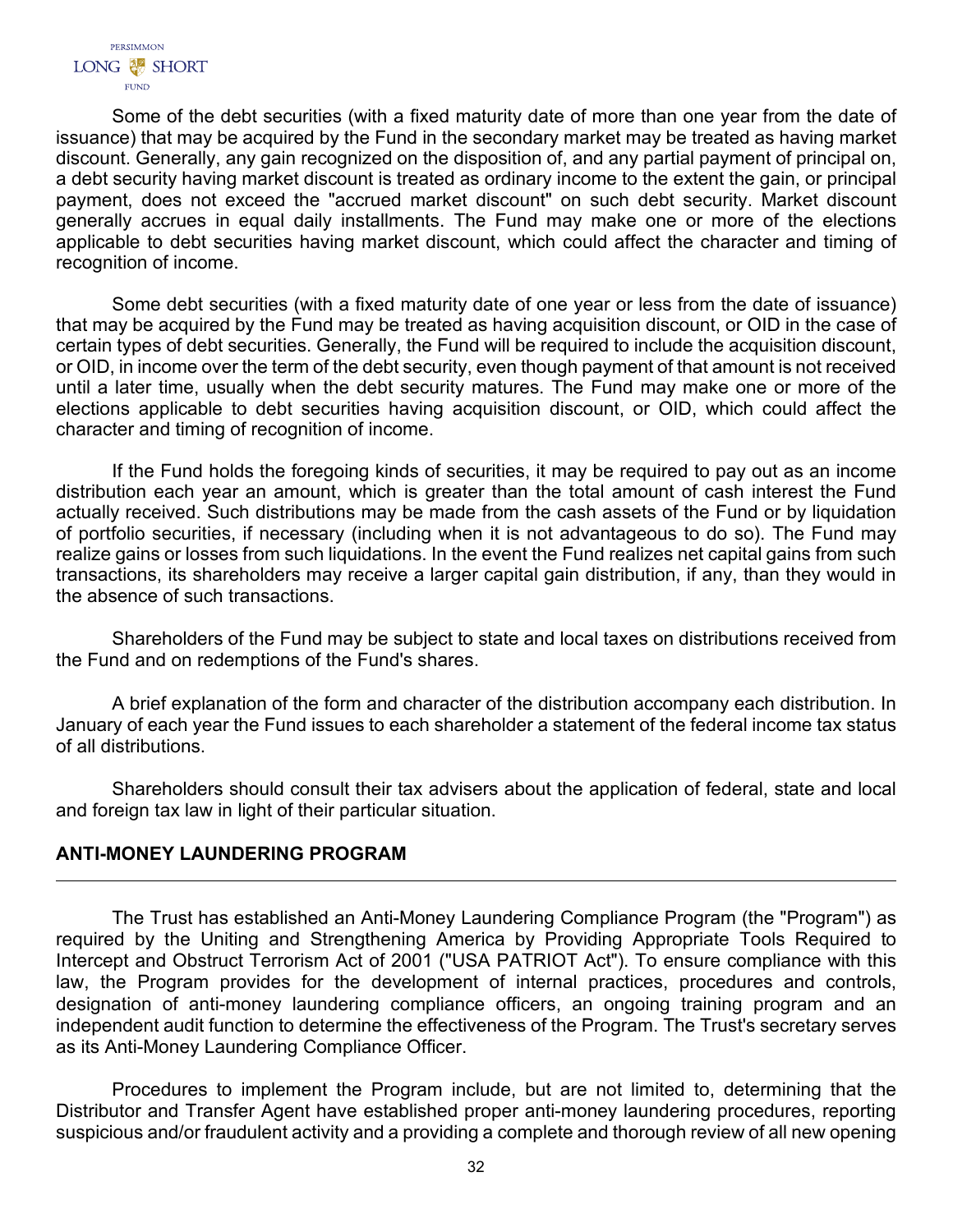Some of the debt securities (with a fixed maturity date of more than one year from the date of issuance) that may be acquired by the Fund in the secondary market may be treated as having market discount. Generally, any gain recognized on the disposition of, and any partial payment of principal on, a debt security having market discount is treated as ordinary income to the extent the gain, or principal payment, does not exceed the "accrued market discount" on such debt security. Market discount generally accrues in equal daily installments. The Fund may make one or more of the elections applicable to debt securities having market discount, which could affect the character and timing of recognition of income.

Some debt securities (with a fixed maturity date of one year or less from the date of issuance) that may be acquired by the Fund may be treated as having acquisition discount, or OID in the case of certain types of debt securities. Generally, the Fund will be required to include the acquisition discount, or OID, in income over the term of the debt security, even though payment of that amount is not received until a later time, usually when the debt security matures. The Fund may make one or more of the elections applicable to debt securities having acquisition discount, or OID, which could affect the character and timing of recognition of income.

If the Fund holds the foregoing kinds of securities, it may be required to pay out as an income distribution each year an amount, which is greater than the total amount of cash interest the Fund actually received. Such distributions may be made from the cash assets of the Fund or by liquidation of portfolio securities, if necessary (including when it is not advantageous to do so). The Fund may realize gains or losses from such liquidations. In the event the Fund realizes net capital gains from such transactions, its shareholders may receive a larger capital gain distribution, if any, than they would in the absence of such transactions.

Shareholders of the Fund may be subject to state and local taxes on distributions received from the Fund and on redemptions of the Fund's shares.

A brief explanation of the form and character of the distribution accompany each distribution. In January of each year the Fund issues to each shareholder a statement of the federal income tax status of all distributions.

Shareholders should consult their tax advisers about the application of federal, state and local and foreign tax law in light of their particular situation.

# <span id="page-33-0"></span>**ANTI-MONEY LAUNDERING PROGRAM**

The Trust has established an Anti-Money Laundering Compliance Program (the "Program") as required by the Uniting and Strengthening America by Providing Appropriate Tools Required to Intercept and Obstruct Terrorism Act of 2001 ("USA PATRIOT Act"). To ensure compliance with this law, the Program provides for the development of internal practices, procedures and controls, designation of anti-money laundering compliance officers, an ongoing training program and an independent audit function to determine the effectiveness of the Program. The Trust's secretary serves as its Anti-Money Laundering Compliance Officer.

Procedures to implement the Program include, but are not limited to, determining that the Distributor and Transfer Agent have established proper anti-money laundering procedures, reporting suspicious and/or fraudulent activity and a providing a complete and thorough review of all new opening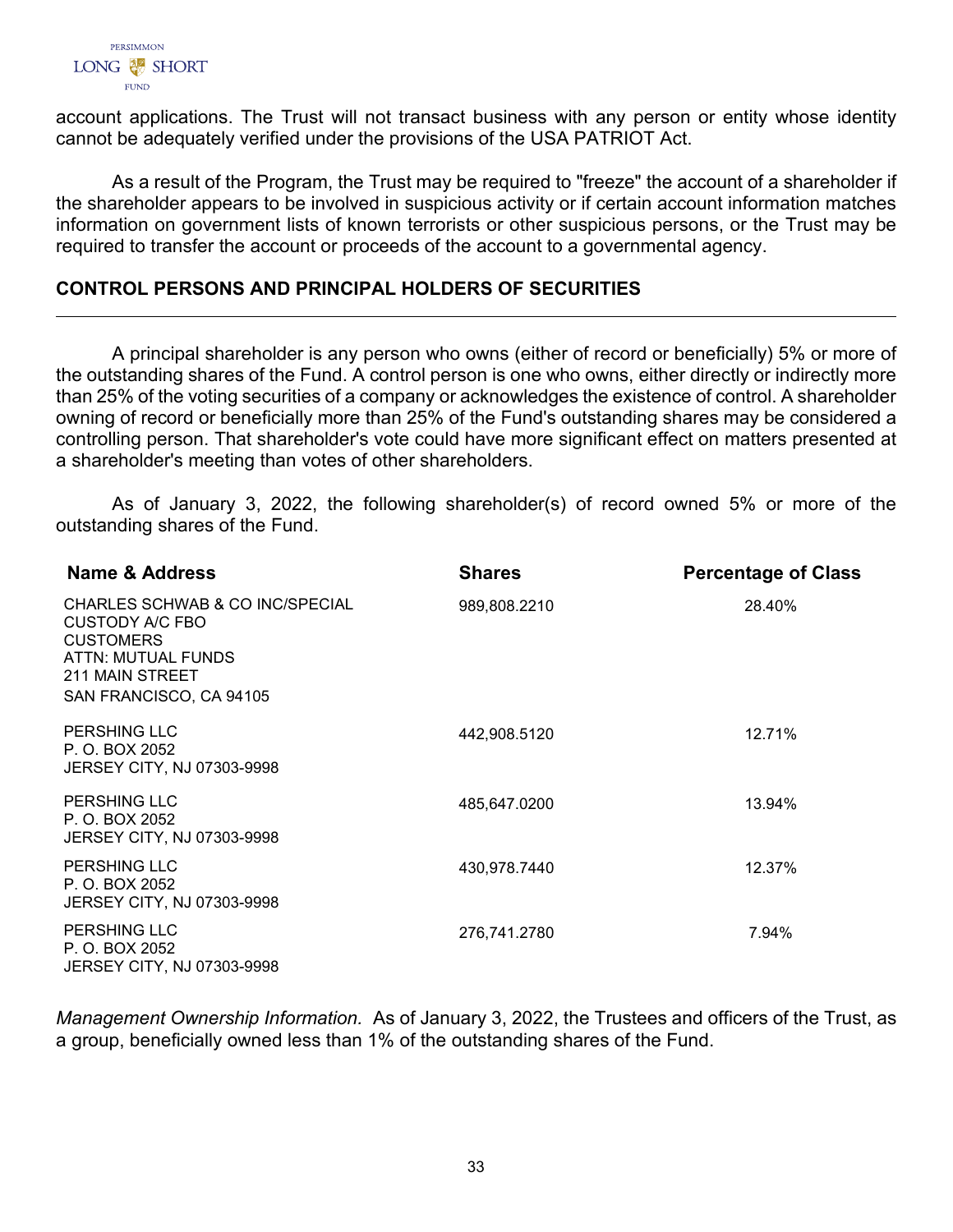

account applications. The Trust will not transact business with any person or entity whose identity cannot be adequately verified under the provisions of the USA PATRIOT Act.

As a result of the Program, the Trust may be required to "freeze" the account of a shareholder if the shareholder appears to be involved in suspicious activity or if certain account information matches information on government lists of known terrorists or other suspicious persons, or the Trust may be required to transfer the account or proceeds of the account to a governmental agency.

# <span id="page-34-0"></span>**CONTROL PERSONS AND PRINCIPAL HOLDERS OF SECURITIES**

A principal shareholder is any person who owns (either of record or beneficially) 5% or more of the outstanding shares of the Fund. A control person is one who owns, either directly or indirectly more than 25% of the voting securities of a company or acknowledges the existence of control. A shareholder owning of record or beneficially more than 25% of the Fund's outstanding shares may be considered a controlling person. That shareholder's vote could have more significant effect on matters presented at a shareholder's meeting than votes of other shareholders.

As of January 3, 2022, the following shareholder(s) of record owned 5% or more of the outstanding shares of the Fund.

| Name & Address                                                                                                                             | <b>Shares</b> | <b>Percentage of Class</b> |
|--------------------------------------------------------------------------------------------------------------------------------------------|---------------|----------------------------|
| CHARLES SCHWAB & CO INC/SPECIAL<br>CUSTODY A/C FBO<br><b>CUSTOMERS</b><br>ATTN: MUTUAL FUNDS<br>211 MAIN STREET<br>SAN FRANCISCO, CA 94105 | 989,808.2210  | 28.40%                     |
| <b>PERSHING LLC</b><br>P. O. BOX 2052<br><b>JERSEY CITY, NJ 07303-9998</b>                                                                 | 442,908.5120  | 12.71%                     |
| <b>PERSHING LLC</b><br>P. O. BOX 2052<br>JERSEY CITY, NJ 07303-9998                                                                        | 485,647.0200  | 13.94%                     |
| <b>PERSHING LLC</b><br>P. O. BOX 2052<br><b>JERSEY CITY, NJ 07303-9998</b>                                                                 | 430,978.7440  | 12.37%                     |
| <b>PERSHING LLC</b><br>P. O. BOX 2052<br><b>JERSEY CITY, NJ 07303-9998</b>                                                                 | 276,741.2780  | 7.94%                      |

<span id="page-34-1"></span>*Management Ownership Information.* As of January 3, 2022, the Trustees and officers of the Trust, as a group, beneficially owned less than 1% of the outstanding shares of the Fund.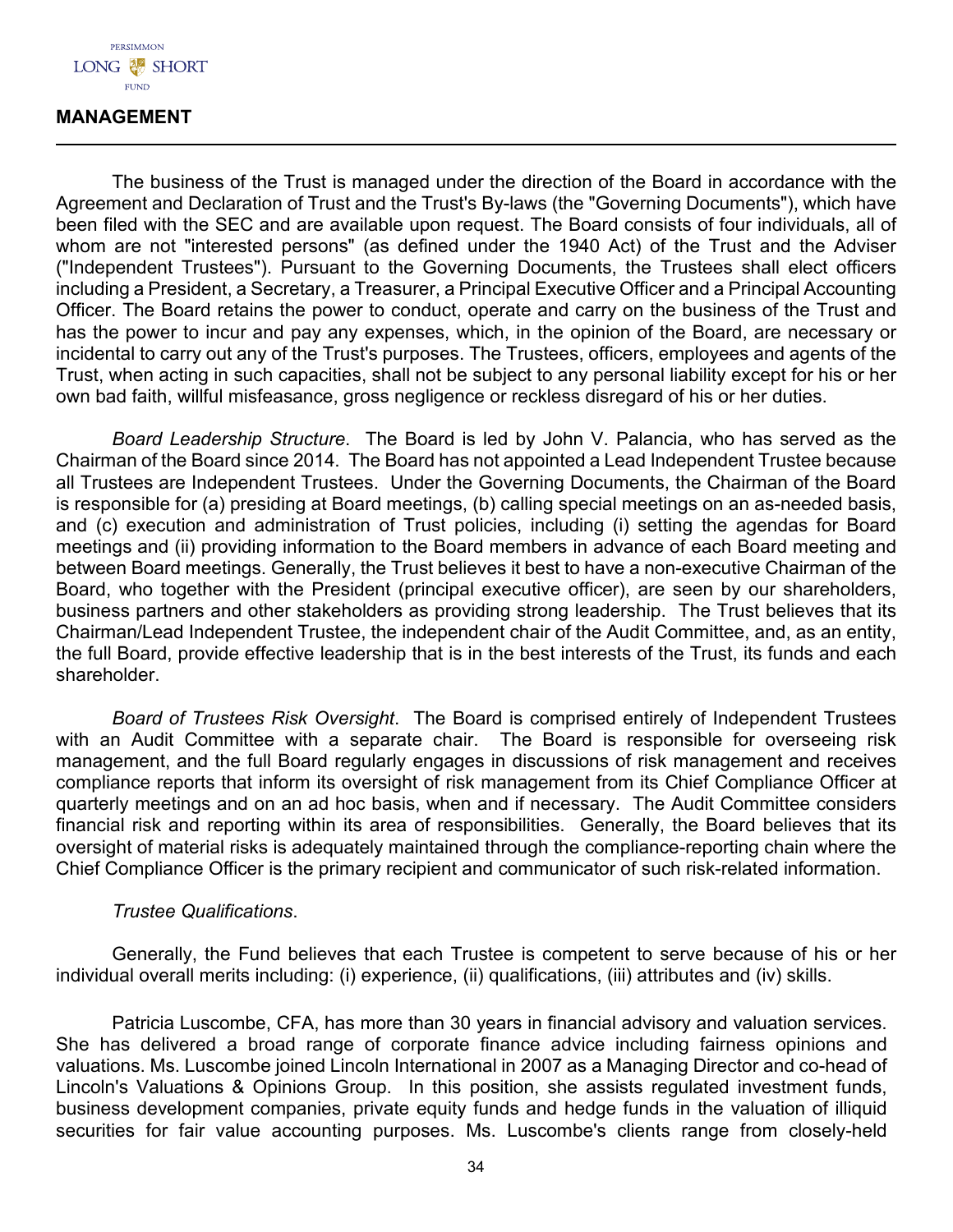

## **MANAGEMENT**

The business of the Trust is managed under the direction of the Board in accordance with the Agreement and Declaration of Trust and the Trust's By-laws (the "Governing Documents"), which have been filed with the SEC and are available upon request. The Board consists of four individuals, all of whom are not "interested persons" (as defined under the 1940 Act) of the Trust and the Adviser ("Independent Trustees"). Pursuant to the Governing Documents, the Trustees shall elect officers including a President, a Secretary, a Treasurer, a Principal Executive Officer and a Principal Accounting Officer. The Board retains the power to conduct, operate and carry on the business of the Trust and has the power to incur and pay any expenses, which, in the opinion of the Board, are necessary or incidental to carry out any of the Trust's purposes. The Trustees, officers, employees and agents of the Trust, when acting in such capacities, shall not be subject to any personal liability except for his or her own bad faith, willful misfeasance, gross negligence or reckless disregard of his or her duties.

*Board Leadership Structure*. The Board is led by John V. Palancia, who has served as the Chairman of the Board since 2014. The Board has not appointed a Lead Independent Trustee because all Trustees are Independent Trustees. Under the Governing Documents, the Chairman of the Board is responsible for (a) presiding at Board meetings, (b) calling special meetings on an as-needed basis, and (c) execution and administration of Trust policies, including (i) setting the agendas for Board meetings and (ii) providing information to the Board members in advance of each Board meeting and between Board meetings. Generally, the Trust believes it best to have a non-executive Chairman of the Board, who together with the President (principal executive officer), are seen by our shareholders, business partners and other stakeholders as providing strong leadership. The Trust believes that its Chairman/Lead Independent Trustee, the independent chair of the Audit Committee, and, as an entity, the full Board, provide effective leadership that is in the best interests of the Trust, its funds and each shareholder.

*Board of Trustees Risk Oversight*. The Board is comprised entirely of Independent Trustees with an Audit Committee with a separate chair. The Board is responsible for overseeing risk management, and the full Board regularly engages in discussions of risk management and receives compliance reports that inform its oversight of risk management from its Chief Compliance Officer at quarterly meetings and on an ad hoc basis, when and if necessary. The Audit Committee considers financial risk and reporting within its area of responsibilities. Generally, the Board believes that its oversight of material risks is adequately maintained through the compliance-reporting chain where the Chief Compliance Officer is the primary recipient and communicator of such risk-related information.

## *Trustee Qualifications*.

Generally, the Fund believes that each Trustee is competent to serve because of his or her individual overall merits including: (i) experience, (ii) qualifications, (iii) attributes and (iv) skills.

Patricia Luscombe, CFA, has more than 30 years in financial advisory and valuation services. She has delivered a broad range of corporate finance advice including fairness opinions and valuations. Ms. Luscombe joined Lincoln International in 2007 as a Managing Director and co-head of Lincoln's Valuations & Opinions Group. In this position, she assists regulated investment funds, business development companies, private equity funds and hedge funds in the valuation of illiquid securities for fair value accounting purposes. Ms. Luscombe's clients range from closely-held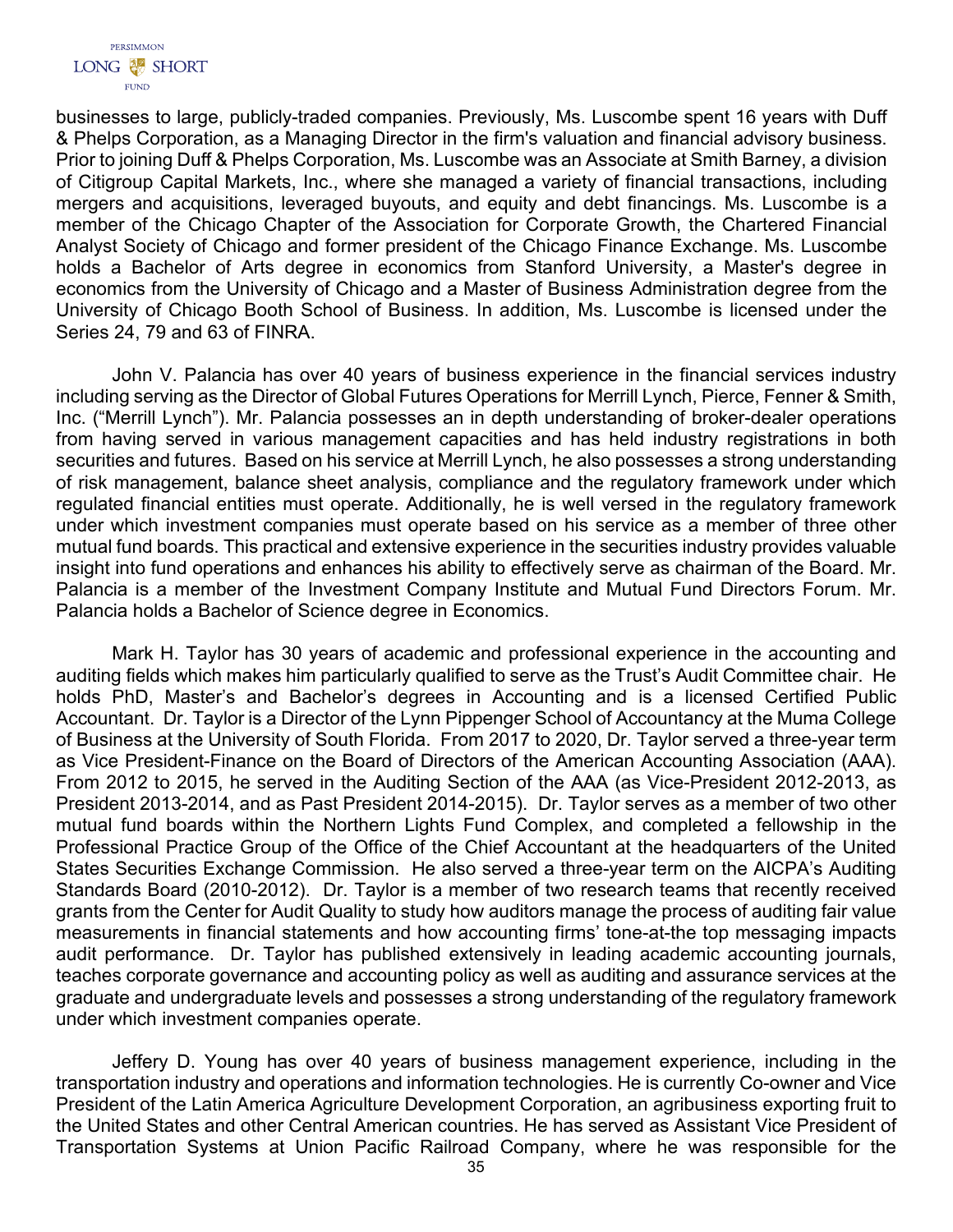

businesses to large, publicly-traded companies. Previously, Ms. Luscombe spent 16 years with Duff & Phelps Corporation, as a Managing Director in the firm's valuation and financial advisory business. Prior to joining Duff & Phelps Corporation, Ms. Luscombe was an Associate at Smith Barney, a division of Citigroup Capital Markets, Inc., where she managed a variety of financial transactions, including mergers and acquisitions, leveraged buyouts, and equity and debt financings. Ms. Luscombe is a member of the Chicago Chapter of the Association for Corporate Growth, the Chartered Financial Analyst Society of Chicago and former president of the Chicago Finance Exchange. Ms. Luscombe holds a Bachelor of Arts degree in economics from Stanford University, a Master's degree in economics from the University of Chicago and a Master of Business Administration degree from the University of Chicago Booth School of Business. In addition, Ms. Luscombe is licensed under the Series 24, 79 and 63 of FINRA.

John V. Palancia has over 40 years of business experience in the financial services industry including serving as the Director of Global Futures Operations for Merrill Lynch, Pierce, Fenner & Smith, Inc. ("Merrill Lynch"). Mr. Palancia possesses an in depth understanding of broker-dealer operations from having served in various management capacities and has held industry registrations in both securities and futures. Based on his service at Merrill Lynch, he also possesses a strong understanding of risk management, balance sheet analysis, compliance and the regulatory framework under which regulated financial entities must operate. Additionally, he is well versed in the regulatory framework under which investment companies must operate based on his service as a member of three other mutual fund boards. This practical and extensive experience in the securities industry provides valuable insight into fund operations and enhances his ability to effectively serve as chairman of the Board. Mr. Palancia is a member of the Investment Company Institute and Mutual Fund Directors Forum. Mr. Palancia holds a Bachelor of Science degree in Economics.

Mark H. Taylor has 30 years of academic and professional experience in the accounting and auditing fields which makes him particularly qualified to serve as the Trust's Audit Committee chair. He holds PhD, Master's and Bachelor's degrees in Accounting and is a licensed Certified Public Accountant. Dr. Taylor is a Director of the Lynn Pippenger School of Accountancy at the Muma College of Business at the University of South Florida. From 2017 to 2020, Dr. Taylor served a three-year term as Vice President-Finance on the Board of Directors of the American Accounting Association (AAA). From 2012 to 2015, he served in the Auditing Section of the AAA (as Vice-President 2012-2013, as President 2013-2014, and as Past President 2014-2015). Dr. Taylor serves as a member of two other mutual fund boards within the Northern Lights Fund Complex, and completed a fellowship in the Professional Practice Group of the Office of the Chief Accountant at the headquarters of the United States Securities Exchange Commission. He also served a three-year term on the AICPA's Auditing Standards Board (2010-2012). Dr. Taylor is a member of two research teams that recently received grants from the Center for Audit Quality to study how auditors manage the process of auditing fair value measurements in financial statements and how accounting firms' tone-at-the top messaging impacts audit performance. Dr. Taylor has published extensively in leading academic accounting journals, teaches corporate governance and accounting policy as well as auditing and assurance services at the graduate and undergraduate levels and possesses a strong understanding of the regulatory framework under which investment companies operate.

Jeffery D. Young has over 40 years of business management experience, including in the transportation industry and operations and information technologies. He is currently Co-owner and Vice President of the Latin America Agriculture Development Corporation, an agribusiness exporting fruit to the United States and other Central American countries. He has served as Assistant Vice President of Transportation Systems at Union Pacific Railroad Company, where he was responsible for the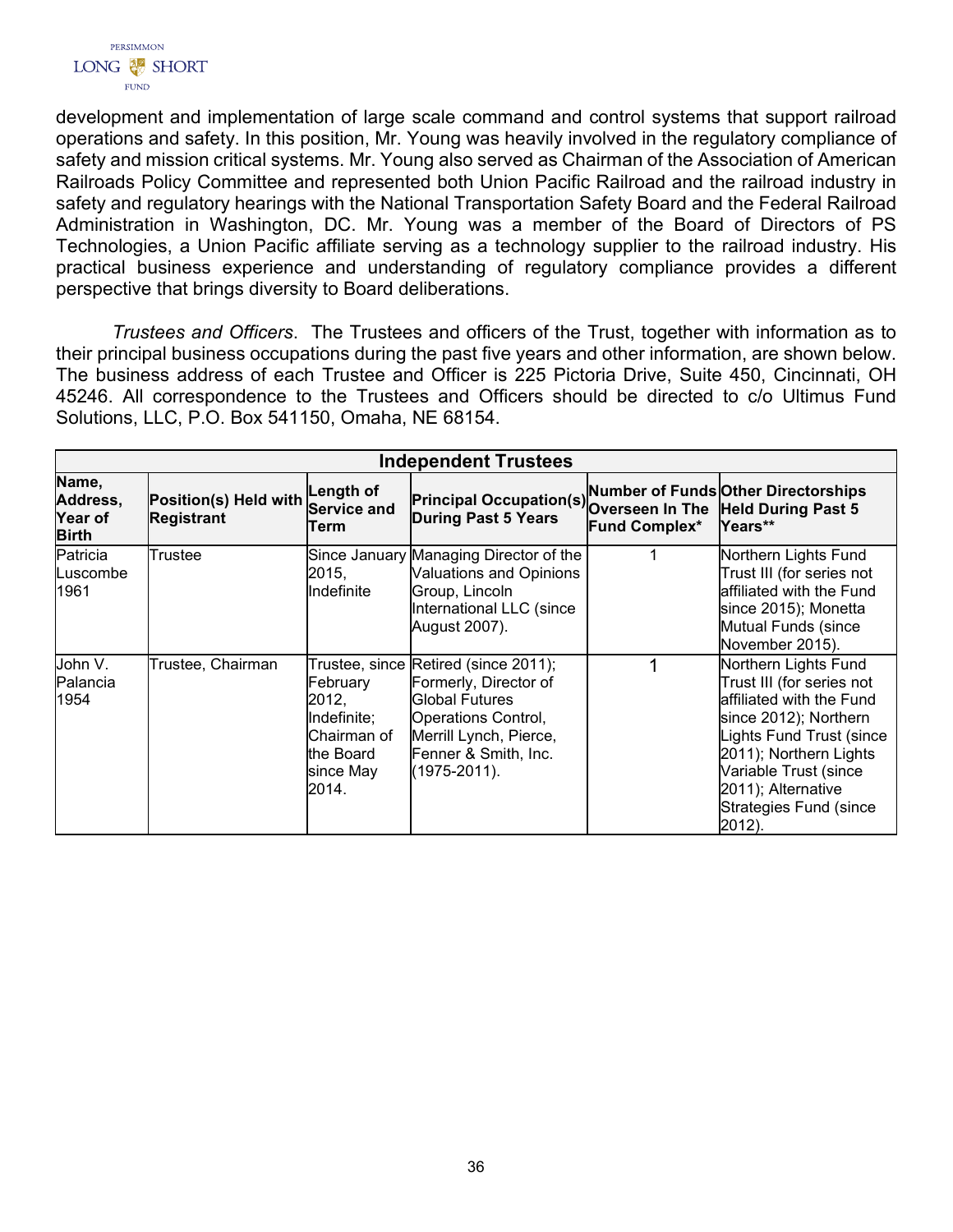

development and implementation of large scale command and control systems that support railroad operations and safety. In this position, Mr. Young was heavily involved in the regulatory compliance of safety and mission critical systems. Mr. Young also served as Chairman of the Association of American Railroads Policy Committee and represented both Union Pacific Railroad and the railroad industry in safety and regulatory hearings with the National Transportation Safety Board and the Federal Railroad Administration in Washington, DC. Mr. Young was a member of the Board of Directors of PS Technologies, a Union Pacific affiliate serving as a technology supplier to the railroad industry. His practical business experience and understanding of regulatory compliance provides a different perspective that brings diversity to Board deliberations.

*Trustees and Officers*. The Trustees and officers of the Trust, together with information as to their principal business occupations during the past five years and other information, are shown below. The business address of each Trustee and Officer is 225 Pictoria Drive, Suite 450, Cincinnati, OH 45246. All correspondence to the Trustees and Officers should be directed to c/o Ultimus Fund Solutions, LLC, P.O. Box 541150, Omaha, NE 68154.

| <b>Independent Trustees</b>                         |                                            |                                                                                    |                                                                                                                                                                                      |               |                                                                                                                                                                                                                                                           |  |  |
|-----------------------------------------------------|--------------------------------------------|------------------------------------------------------------------------------------|--------------------------------------------------------------------------------------------------------------------------------------------------------------------------------------|---------------|-----------------------------------------------------------------------------------------------------------------------------------------------------------------------------------------------------------------------------------------------------------|--|--|
| Name,<br>Address,<br><b>Year of</b><br><b>Birth</b> | Position(s) Held with<br><b>Registrant</b> | Length of<br><b>Service and</b><br>Term                                            | <b>Principal Occupation(S)</b><br>Principal Occupation(S) Overseen In The Held During Past 5<br><b>During Past 5 Years</b>                                                           | Fund Complex* | Years**                                                                                                                                                                                                                                                   |  |  |
| Patricia<br>Luscombe<br>1961                        | Trustee                                    | 2015,<br>Indefinite                                                                | Since January Managing Director of the<br>Valuations and Opinions<br>Group, Lincoln<br>International LLC (since<br>August 2007).                                                     |               | Northern Lights Fund<br>Trust III (for series not<br>affiliated with the Fund<br>since 2015); Monetta<br>Mutual Funds (since<br>November 2015).                                                                                                           |  |  |
| John V.<br>lPalancia<br>1954                        | Trustee, Chairman                          | February<br>2012,<br>Indefinite;<br>Chairman of<br>the Board<br>since May<br>2014. | Trustee, since Retired (since 2011);<br>Formerly, Director of<br><b>Global Futures</b><br>Operations Control,<br>Merrill Lynch, Pierce,<br>Fenner & Smith, Inc.<br>$(1975 - 2011)$ . |               | Northern Lights Fund<br>Trust III (for series not<br>affiliated with the Fund<br>since 2012); Northern<br>Lights Fund Trust (since<br>2011); Northern Lights<br>Variable Trust (since<br>2011); Alternative<br><b>Strategies Fund (since</b><br>$2012$ ). |  |  |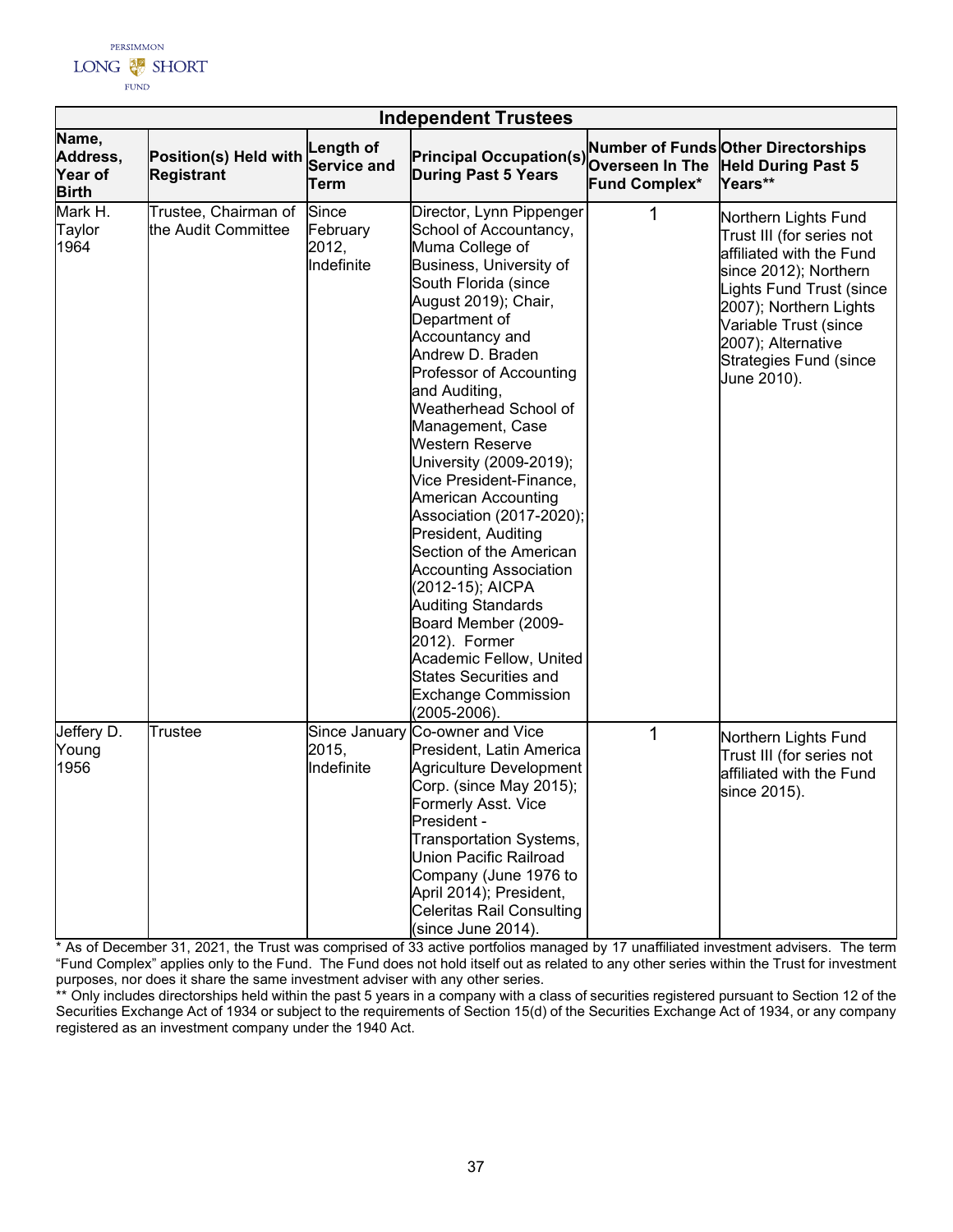

|                                                     |                                             |                                          | <b>Independent Trustees</b>                                                                                                                                                                                                                                                                                                                                                                                                                                                                                                                                                                                                                                                                                                           |                                  |                                                                                                                                                                                                                                                                    |
|-----------------------------------------------------|---------------------------------------------|------------------------------------------|---------------------------------------------------------------------------------------------------------------------------------------------------------------------------------------------------------------------------------------------------------------------------------------------------------------------------------------------------------------------------------------------------------------------------------------------------------------------------------------------------------------------------------------------------------------------------------------------------------------------------------------------------------------------------------------------------------------------------------------|----------------------------------|--------------------------------------------------------------------------------------------------------------------------------------------------------------------------------------------------------------------------------------------------------------------|
| Name,<br>Address,<br><b>Year of</b><br><b>Birth</b> | Position(s) Held with<br><b>Registrant</b>  | Length of<br>Service and<br>Term         | <b>Principal Occupation(s)</b><br><b>During Past 5 Years</b>                                                                                                                                                                                                                                                                                                                                                                                                                                                                                                                                                                                                                                                                          | Overseen In The<br>Fund Complex* | <b>Number of Funds Other Directorships</b><br><b>Held During Past 5</b><br>Years**                                                                                                                                                                                 |
| Mark H.<br>Taylor<br>1964                           | Trustee, Chairman of<br>the Audit Committee | Since<br>February<br>2012,<br>Indefinite | Director, Lynn Pippenger<br>School of Accountancy,<br>Muma College of<br>Business, University of<br>South Florida (since<br>August 2019); Chair,<br>Department of<br>Accountancy and<br>Andrew D. Braden<br>Professor of Accounting<br>and Auditing,<br>Weatherhead School of<br>Management, Case<br><b>Western Reserve</b><br>University (2009-2019);<br>Vice President-Finance,<br><b>American Accounting</b><br>Association (2017-2020);<br>President, Auditing<br>Section of the American<br><b>Accounting Association</b><br>(2012-15); AICPA<br><b>Auditing Standards</b><br>Board Member (2009-<br>2012). Former<br>Academic Fellow, United<br><b>States Securities and</b><br><b>Exchange Commission</b><br>$(2005 - 2006)$ . |                                  | Northern Lights Fund<br>Trust III (for series not<br>affiliated with the Fund<br>since 2012); Northern<br><b>Lights Fund Trust (since</b><br>2007); Northern Lights<br>Variable Trust (since<br>2007); Alternative<br><b>Strategies Fund (since</b><br>June 2010). |
| Jeffery D.<br>Young<br>1956                         | Trustee                                     | 2015,<br>Indefinite                      | Since January Co-owner and Vice<br>President, Latin America<br><b>Agriculture Development</b><br>Corp. (since May 2015);<br>Formerly Asst. Vice<br>President -<br>Transportation Systems,<br><b>Union Pacific Railroad</b><br>Company (June 1976 to<br>April 2014); President,<br><b>Celeritas Rail Consulting</b><br>(since June 2014).                                                                                                                                                                                                                                                                                                                                                                                              | 1                                | Northern Lights Fund<br>Trust III (for series not<br>affiliated with the Fund<br>since 2015).                                                                                                                                                                      |

\* As of December 31, 2021, the Trust was comprised of 33 active portfolios managed by 17 unaffiliated investment advisers. The term "Fund Complex" applies only to the Fund. The Fund does not hold itself out as related to any other series within the Trust for investment purposes, nor does it share the same investment adviser with any other series.

\*\* Only includes directorships held within the past 5 years in a company with a class of securities registered pursuant to Section 12 of the Securities Exchange Act of 1934 or subject to the requirements of Section 15(d) of the Securities Exchange Act of 1934, or any company registered as an investment company under the 1940 Act.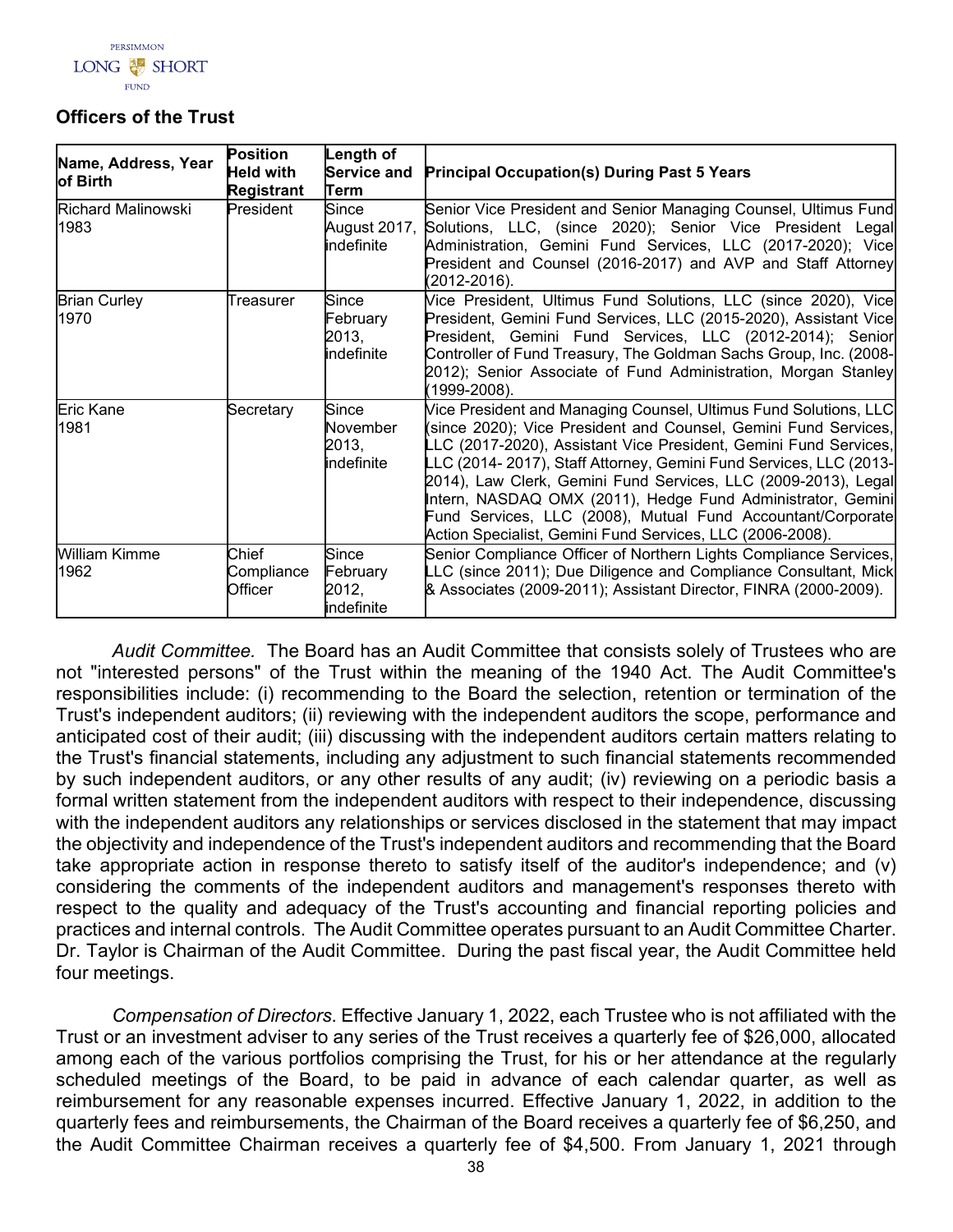

# **Officers of the Trust**

| Name, Address, Year<br>of Birth   | <b>Position</b><br><b>Held with</b><br><b>Registrant</b> | Length of<br><b>Service and</b><br>Term  | <b>Principal Occupation(s) During Past 5 Years</b>                                                                                                                                                                                                                                                                                                                                                                                                                                                                                        |
|-----------------------------------|----------------------------------------------------------|------------------------------------------|-------------------------------------------------------------------------------------------------------------------------------------------------------------------------------------------------------------------------------------------------------------------------------------------------------------------------------------------------------------------------------------------------------------------------------------------------------------------------------------------------------------------------------------------|
| <b>Richard Malinowski</b><br>1983 | President                                                | Since<br>August 2017,<br>indefinite      | Senior Vice President and Senior Managing Counsel, Ultimus Fund<br>Solutions, LLC, (since 2020); Senior Vice President Legal<br>Administration, Gemini Fund Services, LLC (2017-2020); Vice<br>President and Counsel (2016-2017) and AVP and Staff Attorney<br>(2012-2016).                                                                                                                                                                                                                                                               |
| <b>Brian Curley</b><br>1970       | Treasurer                                                | Since<br>February<br>2013,<br>indefinite | Vice President, Ultimus Fund Solutions, LLC (since 2020), Vice<br>President, Gemini Fund Services, LLC (2015-2020), Assistant Vice<br>President, Gemini Fund Services, LLC (2012-2014); Senior<br>Controller of Fund Treasury, The Goldman Sachs Group, Inc. (2008-<br>2012); Senior Associate of Fund Administration, Morgan Stanley<br>(1999-2008).                                                                                                                                                                                     |
| <b>Eric Kane</b><br>1981          | Secretary                                                | Since<br>November<br>2013,<br>indefinite | Vice President and Managing Counsel, Ultimus Fund Solutions, LLC<br>(since 2020); Vice President and Counsel, Gemini Fund Services,<br>LLC (2017-2020), Assistant Vice President, Gemini Fund Services,<br>LLC (2014-2017), Staff Attorney, Gemini Fund Services, LLC (2013-<br>2014), Law Clerk, Gemini Fund Services, LLC (2009-2013), Legal<br>Intern, NASDAQ OMX (2011), Hedge Fund Administrator, Gemini<br>Fund Services, LLC (2008), Mutual Fund Accountant/Corporate<br>Action Specialist, Gemini Fund Services, LLC (2006-2008). |
| <b>William Kimme</b><br>1962      | Chief<br>Compliance<br>Officer                           | Since<br>February<br>2012,<br>indefinite | Senior Compliance Officer of Northern Lights Compliance Services,<br>LLC (since 2011); Due Diligence and Compliance Consultant, Mick<br>& Associates (2009-2011); Assistant Director, FINRA (2000-2009).                                                                                                                                                                                                                                                                                                                                  |

*Audit Committee.* The Board has an Audit Committee that consists solely of Trustees who are not "interested persons" of the Trust within the meaning of the 1940 Act. The Audit Committee's responsibilities include: (i) recommending to the Board the selection, retention or termination of the Trust's independent auditors; (ii) reviewing with the independent auditors the scope, performance and anticipated cost of their audit; (iii) discussing with the independent auditors certain matters relating to the Trust's financial statements, including any adjustment to such financial statements recommended by such independent auditors, or any other results of any audit; (iv) reviewing on a periodic basis a formal written statement from the independent auditors with respect to their independence, discussing with the independent auditors any relationships or services disclosed in the statement that may impact the objectivity and independence of the Trust's independent auditors and recommending that the Board take appropriate action in response thereto to satisfy itself of the auditor's independence; and (v) considering the comments of the independent auditors and management's responses thereto with respect to the quality and adequacy of the Trust's accounting and financial reporting policies and practices and internal controls. The Audit Committee operates pursuant to an Audit Committee Charter. Dr. Taylor is Chairman of the Audit Committee. During the past fiscal year, the Audit Committee held four meetings.

*Compensation of Directors*. Effective January 1, 2022, each Trustee who is not affiliated with the Trust or an investment adviser to any series of the Trust receives a quarterly fee of \$26,000, allocated among each of the various portfolios comprising the Trust, for his or her attendance at the regularly scheduled meetings of the Board, to be paid in advance of each calendar quarter, as well as reimbursement for any reasonable expenses incurred. Effective January 1, 2022, in addition to the quarterly fees and reimbursements, the Chairman of the Board receives a quarterly fee of \$6,250, and the Audit Committee Chairman receives a quarterly fee of \$4,500. From January 1, 2021 through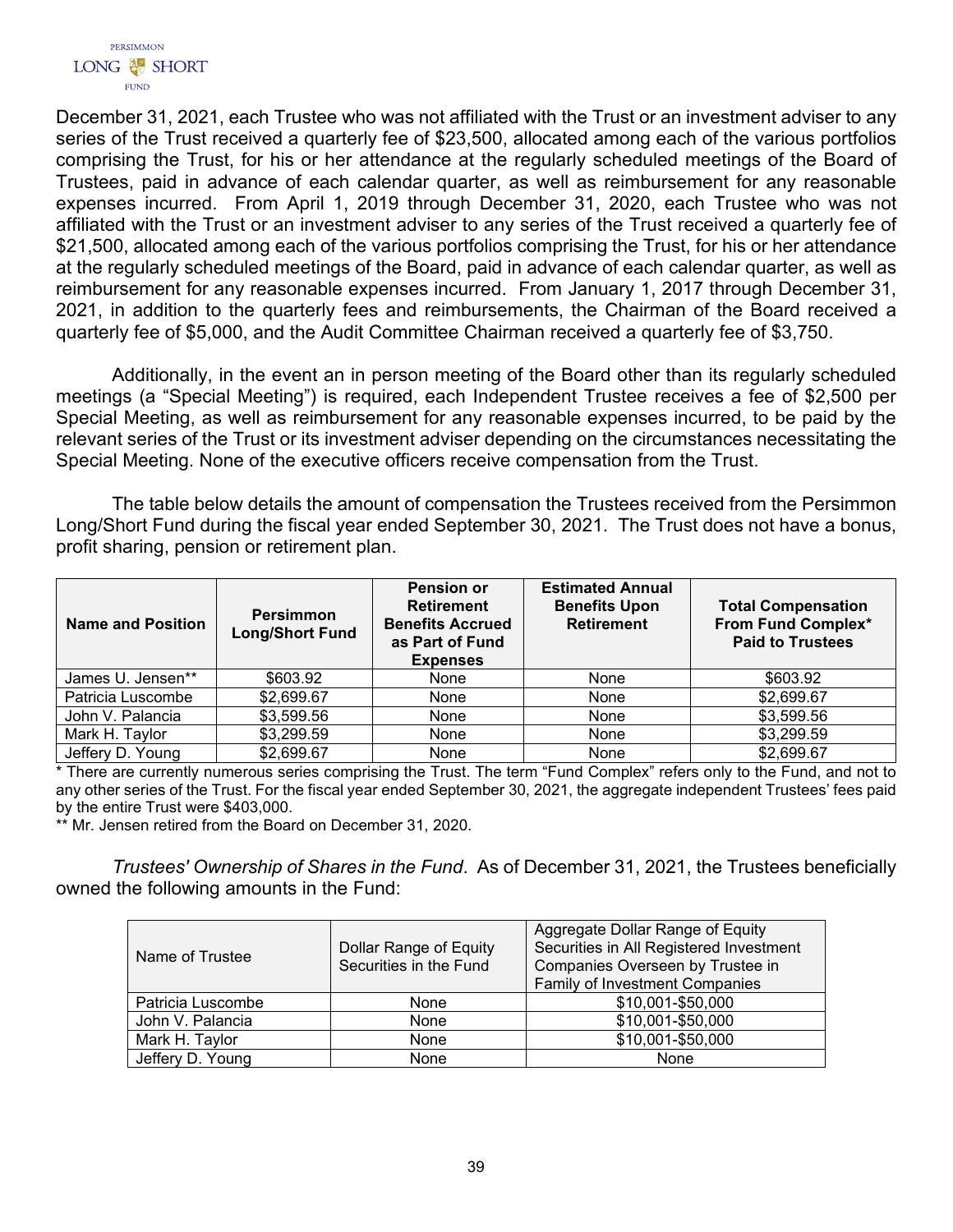

December 31, 2021, each Trustee who was not affiliated with the Trust or an investment adviser to any series of the Trust received a quarterly fee of \$23,500, allocated among each of the various portfolios comprising the Trust, for his or her attendance at the regularly scheduled meetings of the Board of Trustees, paid in advance of each calendar quarter, as well as reimbursement for any reasonable expenses incurred. From April 1, 2019 through December 31, 2020, each Trustee who was not affiliated with the Trust or an investment adviser to any series of the Trust received a quarterly fee of \$21,500, allocated among each of the various portfolios comprising the Trust, for his or her attendance at the regularly scheduled meetings of the Board, paid in advance of each calendar quarter, as well as reimbursement for any reasonable expenses incurred. From January 1, 2017 through December 31, 2021, in addition to the quarterly fees and reimbursements, the Chairman of the Board received a quarterly fee of \$5,000, and the Audit Committee Chairman received a quarterly fee of \$3,750.

Additionally, in the event an in person meeting of the Board other than its regularly scheduled meetings (a "Special Meeting") is required, each Independent Trustee receives a fee of \$2,500 per Special Meeting, as well as reimbursement for any reasonable expenses incurred, to be paid by the relevant series of the Trust or its investment adviser depending on the circumstances necessitating the Special Meeting. None of the executive officers receive compensation from the Trust.

The table below details the amount of compensation the Trustees received from the Persimmon Long/Short Fund during the fiscal year ended September 30, 2021. The Trust does not have a bonus, profit sharing, pension or retirement plan.

| Name and Position | <b>Persimmon</b><br><b>Long/Short Fund</b> | <b>Pension or</b><br><b>Retirement</b><br><b>Benefits Accrued</b><br>as Part of Fund<br><b>Expenses</b> | <b>Estimated Annual</b><br><b>Benefits Upon</b><br><b>Retirement</b> | <b>Total Compensation</b><br><b>From Fund Complex*</b><br><b>Paid to Trustees</b> |
|-------------------|--------------------------------------------|---------------------------------------------------------------------------------------------------------|----------------------------------------------------------------------|-----------------------------------------------------------------------------------|
| James U. Jensen** | \$603.92                                   | None                                                                                                    | None                                                                 | \$603.92                                                                          |
| Patricia Luscombe | \$2,699.67                                 | None                                                                                                    | None                                                                 | \$2,699.67                                                                        |
| John V. Palancia  | \$3,599.56                                 | None                                                                                                    | None                                                                 | \$3,599.56                                                                        |
| Mark H. Taylor    | \$3,299.59                                 | None                                                                                                    | None                                                                 | \$3,299.59                                                                        |
| Jeffery D. Young  | \$2,699.67                                 | None                                                                                                    | None                                                                 | \$2,699.67                                                                        |

\* There are currently numerous series comprising the Trust. The term "Fund Complex" refers only to the Fund, and not to any other series of the Trust. For the fiscal year ended September 30, 2021, the aggregate independent Trustees' fees paid by the entire Trust were \$403,000.

\*\* Mr. Jensen retired from the Board on December 31, 2020.

*Trustees' Ownership of Shares in the Fund*. As of December 31, 2021, the Trustees beneficially owned the following amounts in the Fund:

<span id="page-40-0"></span>

| Name of Trustee   | Dollar Range of Equity<br>Securities in the Fund | Aggregate Dollar Range of Equity<br>Securities in All Registered Investment<br>Companies Overseen by Trustee in<br>Family of Investment Companies |
|-------------------|--------------------------------------------------|---------------------------------------------------------------------------------------------------------------------------------------------------|
| Patricia Luscombe | None                                             | \$10,001-\$50,000                                                                                                                                 |
| John V. Palancia  | None                                             | \$10,001-\$50,000                                                                                                                                 |
| Mark H. Taylor    | None                                             | \$10,001-\$50,000                                                                                                                                 |
| Jeffery D. Young  | None                                             | None                                                                                                                                              |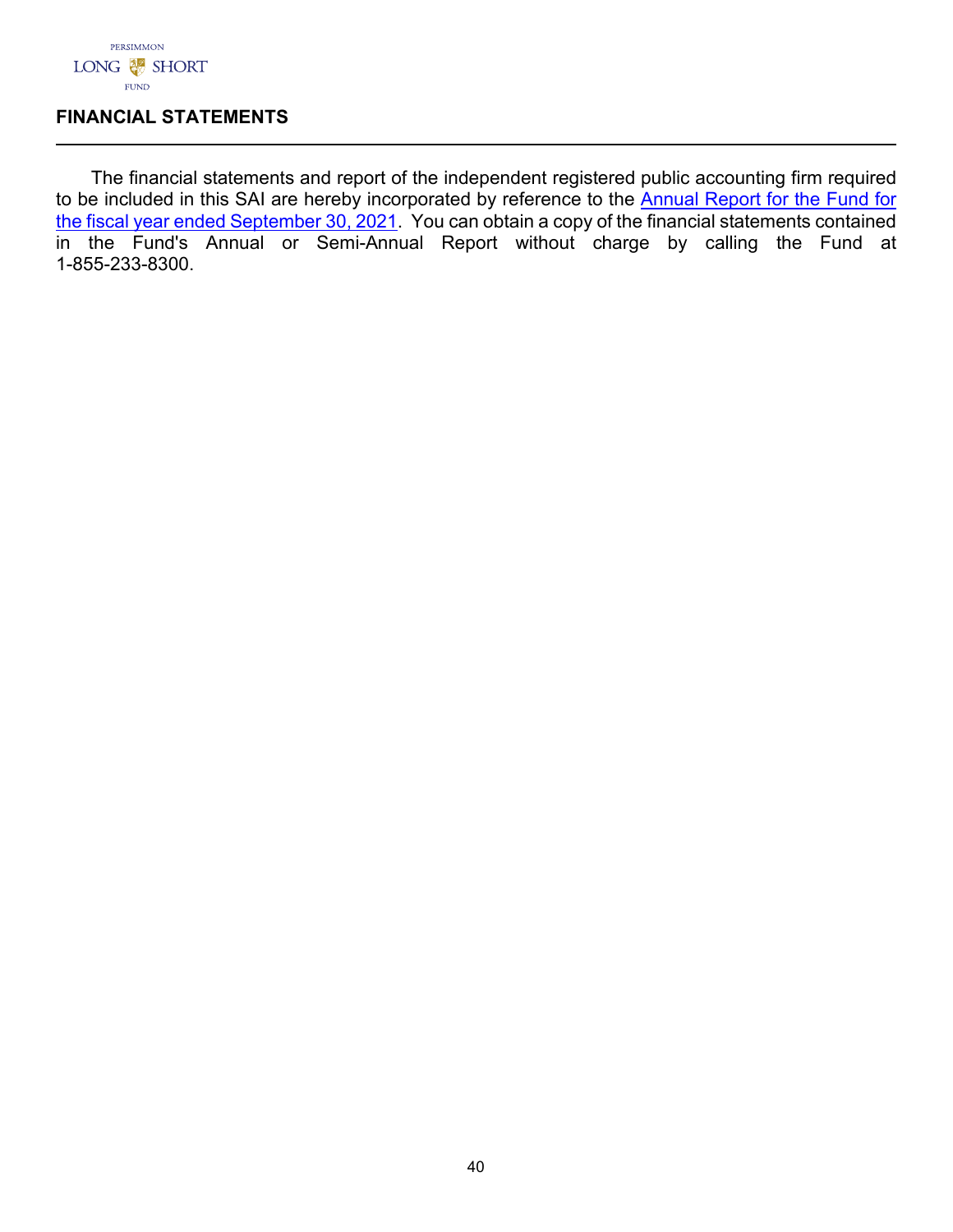

## **FINANCIAL STATEMENTS**

The financial statements and report of the independent registered public accounting firm required to be included in this SAI are hereby incorporated by reference to the Annual Report for the Fund for [the fiscal year ended September 30, 2021.](https://www.sec.gov/Archives/edgar/data/1537140/000158064221005756/persimmon_ncsr.htm) You can obtain a copy of the financial statements contained in the Fund's Annual or Semi-Annual Report without charge by calling the Fund at 1-855-233-8300.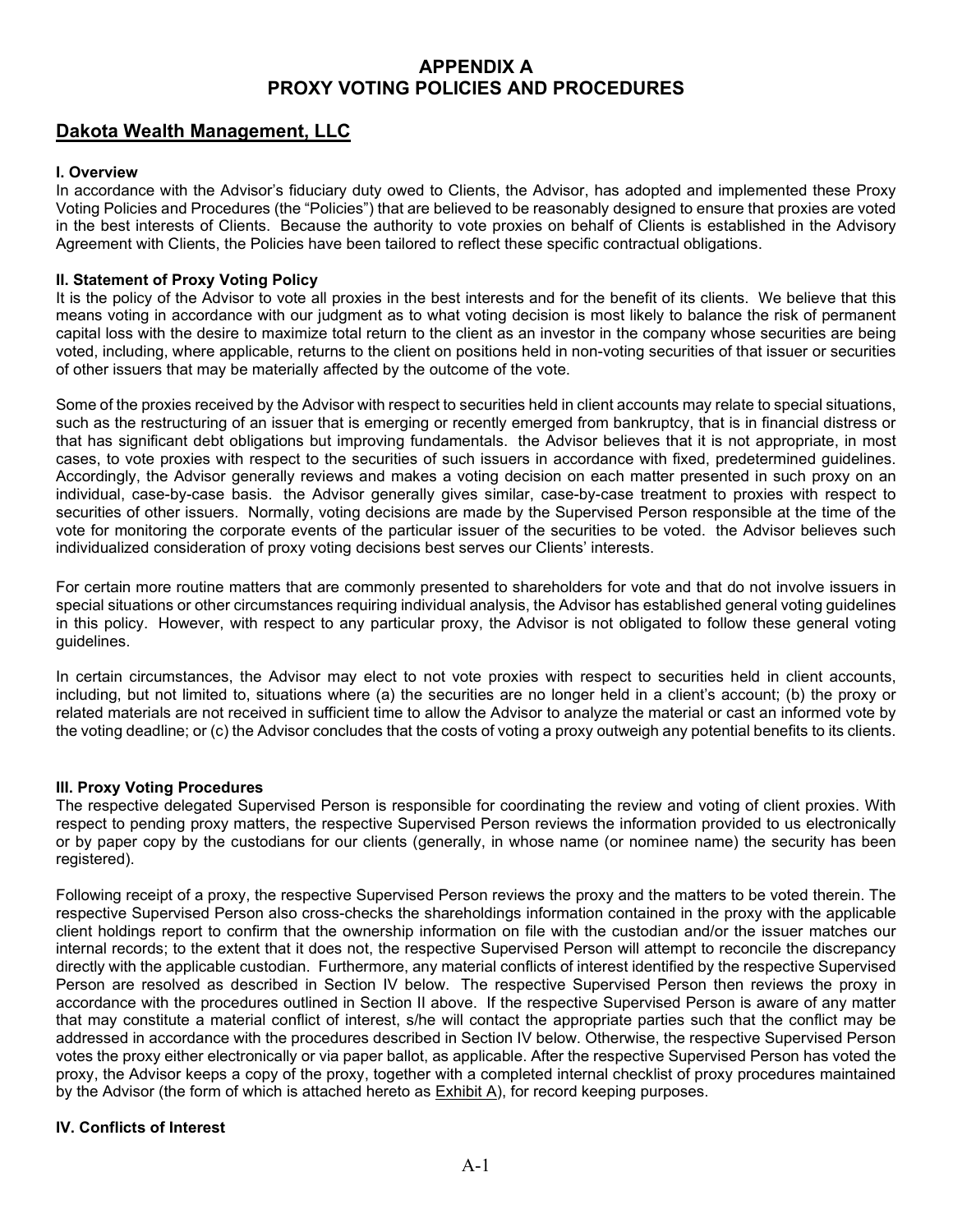# **APPENDIX A PROXY VOTING POLICIES AND PROCEDURES**

## <span id="page-42-0"></span>**Dakota Wealth Management, LLC**

#### **I. Overview**

In accordance with the Advisor's fiduciary duty owed to Clients, the Advisor, has adopted and implemented these Proxy Voting Policies and Procedures (the "Policies") that are believed to be reasonably designed to ensure that proxies are voted in the best interests of Clients. Because the authority to vote proxies on behalf of Clients is established in the Advisory Agreement with Clients, the Policies have been tailored to reflect these specific contractual obligations.

#### **II. Statement of Proxy Voting Policy**

It is the policy of the Advisor to vote all proxies in the best interests and for the benefit of its clients. We believe that this means voting in accordance with our judgment as to what voting decision is most likely to balance the risk of permanent capital loss with the desire to maximize total return to the client as an investor in the company whose securities are being voted, including, where applicable, returns to the client on positions held in non-voting securities of that issuer or securities of other issuers that may be materially affected by the outcome of the vote.

Some of the proxies received by the Advisor with respect to securities held in client accounts may relate to special situations, such as the restructuring of an issuer that is emerging or recently emerged from bankruptcy, that is in financial distress or that has significant debt obligations but improving fundamentals. the Advisor believes that it is not appropriate, in most cases, to vote proxies with respect to the securities of such issuers in accordance with fixed, predetermined guidelines. Accordingly, the Advisor generally reviews and makes a voting decision on each matter presented in such proxy on an individual, case-by-case basis. the Advisor generally gives similar, case-by-case treatment to proxies with respect to securities of other issuers. Normally, voting decisions are made by the Supervised Person responsible at the time of the vote for monitoring the corporate events of the particular issuer of the securities to be voted. the Advisor believes such individualized consideration of proxy voting decisions best serves our Clients' interests.

For certain more routine matters that are commonly presented to shareholders for vote and that do not involve issuers in special situations or other circumstances requiring individual analysis, the Advisor has established general voting guidelines in this policy. However, with respect to any particular proxy, the Advisor is not obligated to follow these general voting guidelines.

In certain circumstances, the Advisor may elect to not vote proxies with respect to securities held in client accounts, including, but not limited to, situations where (a) the securities are no longer held in a client's account; (b) the proxy or related materials are not received in sufficient time to allow the Advisor to analyze the material or cast an informed vote by the voting deadline; or (c) the Advisor concludes that the costs of voting a proxy outweigh any potential benefits to its clients.

#### **III. Proxy Voting Procedures**

The respective delegated Supervised Person is responsible for coordinating the review and voting of client proxies. With respect to pending proxy matters, the respective Supervised Person reviews the information provided to us electronically or by paper copy by the custodians for our clients (generally, in whose name (or nominee name) the security has been registered).

Following receipt of a proxy, the respective Supervised Person reviews the proxy and the matters to be voted therein. The respective Supervised Person also cross-checks the shareholdings information contained in the proxy with the applicable client holdings report to confirm that the ownership information on file with the custodian and/or the issuer matches our internal records; to the extent that it does not, the respective Supervised Person will attempt to reconcile the discrepancy directly with the applicable custodian. Furthermore, any material conflicts of interest identified by the respective Supervised Person are resolved as described in Section IV below. The respective Supervised Person then reviews the proxy in accordance with the procedures outlined in Section II above. If the respective Supervised Person is aware of any matter that may constitute a material conflict of interest, s/he will contact the appropriate parties such that the conflict may be addressed in accordance with the procedures described in Section IV below. Otherwise, the respective Supervised Person votes the proxy either electronically or via paper ballot, as applicable. After the respective Supervised Person has voted the proxy, the Advisor keeps a copy of the proxy, together with a completed internal checklist of proxy procedures maintained by the Advisor (the form of which is attached hereto as Exhibit A), for record keeping purposes.

#### **IV. Conflicts of Interest**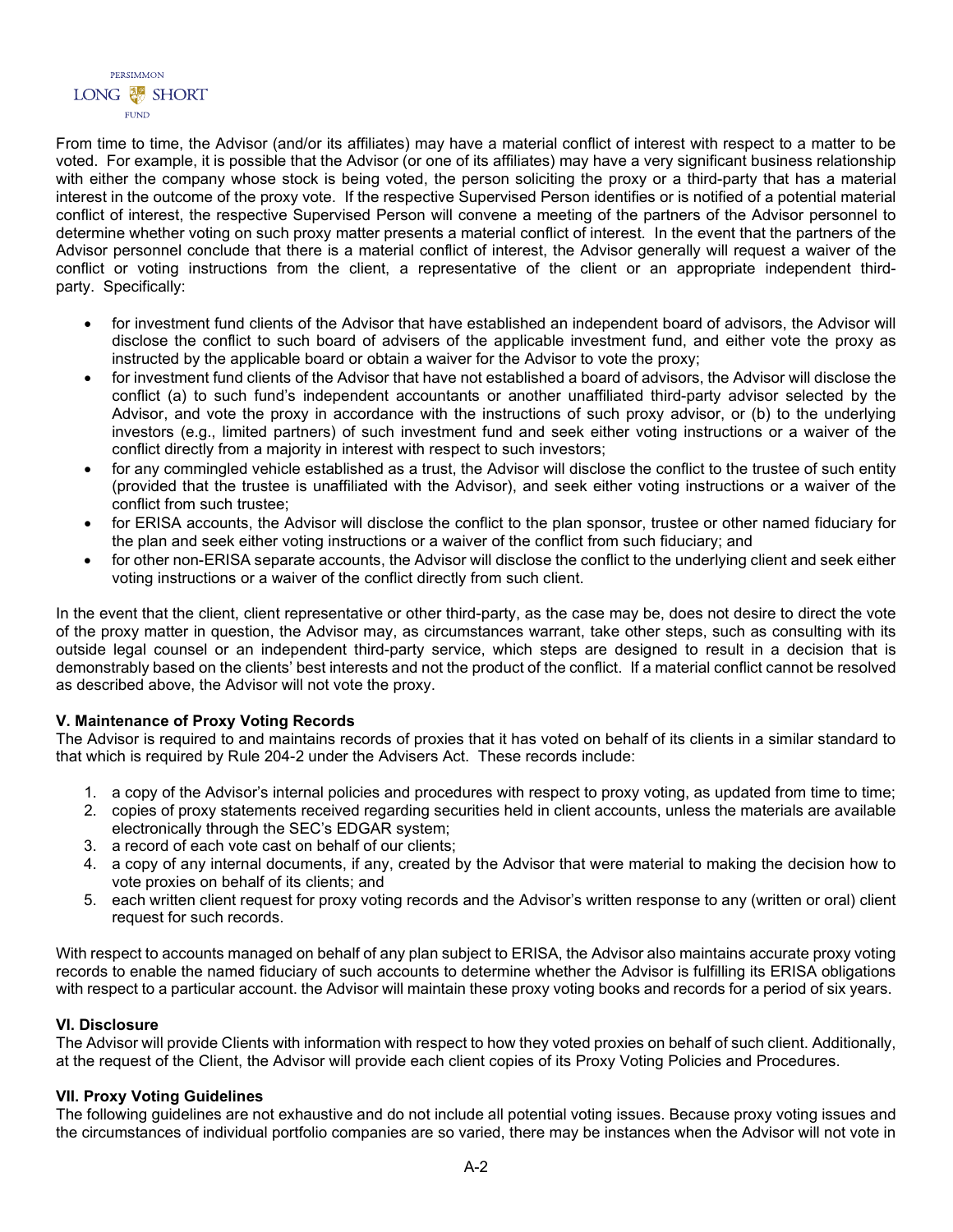From time to time, the Advisor (and/or its affiliates) may have a material conflict of interest with respect to a matter to be voted. For example, it is possible that the Advisor (or one of its affiliates) may have a very significant business relationship with either the company whose stock is being voted, the person soliciting the proxy or a third-party that has a material interest in the outcome of the proxy vote. If the respective Supervised Person identifies or is notified of a potential material conflict of interest, the respective Supervised Person will convene a meeting of the partners of the Advisor personnel to determine whether voting on such proxy matter presents a material conflict of interest. In the event that the partners of the Advisor personnel conclude that there is a material conflict of interest, the Advisor generally will request a waiver of the conflict or voting instructions from the client, a representative of the client or an appropriate independent thirdparty. Specifically:

- for investment fund clients of the Advisor that have established an independent board of advisors, the Advisor will disclose the conflict to such board of advisers of the applicable investment fund, and either vote the proxy as instructed by the applicable board or obtain a waiver for the Advisor to vote the proxy;
- for investment fund clients of the Advisor that have not established a board of advisors, the Advisor will disclose the conflict (a) to such fund's independent accountants or another unaffiliated third-party advisor selected by the Advisor, and vote the proxy in accordance with the instructions of such proxy advisor, or (b) to the underlying investors (e.g., limited partners) of such investment fund and seek either voting instructions or a waiver of the conflict directly from a majority in interest with respect to such investors;
- for any commingled vehicle established as a trust, the Advisor will disclose the conflict to the trustee of such entity (provided that the trustee is unaffiliated with the Advisor), and seek either voting instructions or a waiver of the conflict from such trustee;
- for ERISA accounts, the Advisor will disclose the conflict to the plan sponsor, trustee or other named fiduciary for the plan and seek either voting instructions or a waiver of the conflict from such fiduciary; and
- for other non-ERISA separate accounts, the Advisor will disclose the conflict to the underlying client and seek either voting instructions or a waiver of the conflict directly from such client.

In the event that the client, client representative or other third-party, as the case may be, does not desire to direct the vote of the proxy matter in question, the Advisor may, as circumstances warrant, take other steps, such as consulting with its outside legal counsel or an independent third-party service, which steps are designed to result in a decision that is demonstrably based on the clients' best interests and not the product of the conflict. If a material conflict cannot be resolved as described above, the Advisor will not vote the proxy.

#### **V. Maintenance of Proxy Voting Records**

The Advisor is required to and maintains records of proxies that it has voted on behalf of its clients in a similar standard to that which is required by Rule 204-2 under the Advisers Act. These records include:

- 1. a copy of the Advisor's internal policies and procedures with respect to proxy voting, as updated from time to time;
- 2. copies of proxy statements received regarding securities held in client accounts, unless the materials are available electronically through the SEC's EDGAR system;
- 3. a record of each vote cast on behalf of our clients;
- 4. a copy of any internal documents, if any, created by the Advisor that were material to making the decision how to vote proxies on behalf of its clients; and
- 5. each written client request for proxy voting records and the Advisor's written response to any (written or oral) client request for such records.

With respect to accounts managed on behalf of any plan subject to ERISA, the Advisor also maintains accurate proxy voting records to enable the named fiduciary of such accounts to determine whether the Advisor is fulfilling its ERISA obligations with respect to a particular account. the Advisor will maintain these proxy voting books and records for a period of six years.

#### **VI. Disclosure**

The Advisor will provide Clients with information with respect to how they voted proxies on behalf of such client. Additionally, at the request of the Client, the Advisor will provide each client copies of its Proxy Voting Policies and Procedures.

#### **VII. Proxy Voting Guidelines**

The following guidelines are not exhaustive and do not include all potential voting issues. Because proxy voting issues and the circumstances of individual portfolio companies are so varied, there may be instances when the Advisor will not vote in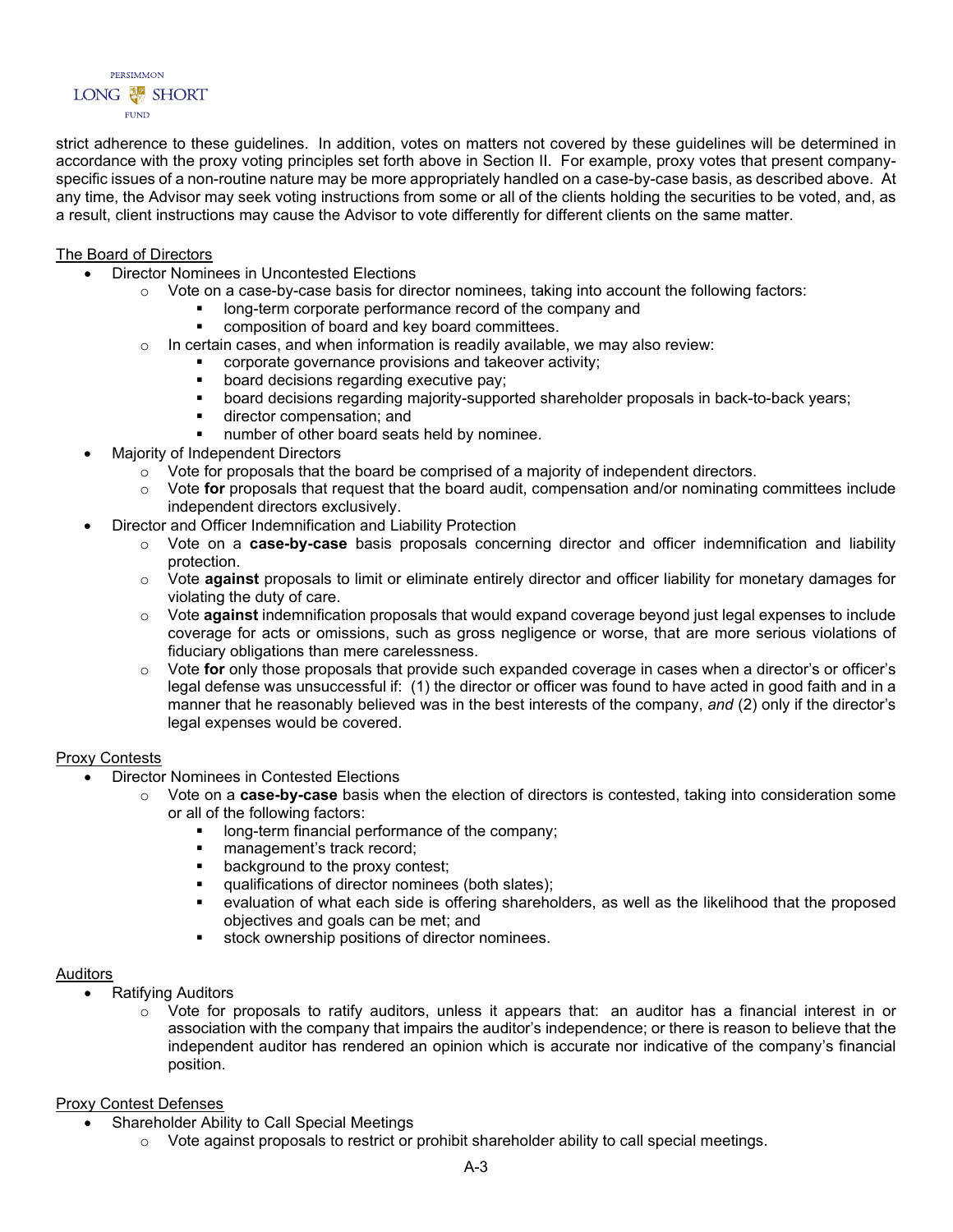strict adherence to these guidelines. In addition, votes on matters not covered by these guidelines will be determined in accordance with the proxy voting principles set forth above in Section II. For example, proxy votes that present companyspecific issues of a non-routine nature may be more appropriately handled on a case-by-case basis, as described above. At any time, the Advisor may seek voting instructions from some or all of the clients holding the securities to be voted, and, as a result, client instructions may cause the Advisor to vote differently for different clients on the same matter.

#### The Board of Directors

- Director Nominees in Uncontested Elections
	- $\circ$  Vote on a case-by-case basis for director nominees, taking into account the following factors:
		- long-term corporate performance record of the company and
		- composition of board and key board committees.
	- $\circ$  In certain cases, and when information is readily available, we may also review:
		- **COPPORATEM** corporate governance provisions and takeover activity;
		- **board decisions regarding executive pay;**
		- board decisions regarding majority-supported shareholder proposals in back-to-back years;
		- **director compensation; and**
		- number of other board seats held by nominee.
- Majority of Independent Directors
	- $\circ$  Vote for proposals that the board be comprised of a majority of independent directors.
	- o Vote **for** proposals that request that the board audit, compensation and/or nominating committees include independent directors exclusively.
- Director and Officer Indemnification and Liability Protection
	- o Vote on a **case-by-case** basis proposals concerning director and officer indemnification and liability protection.
	- o Vote **against** proposals to limit or eliminate entirely director and officer liability for monetary damages for violating the duty of care.
	- o Vote **against** indemnification proposals that would expand coverage beyond just legal expenses to include coverage for acts or omissions, such as gross negligence or worse, that are more serious violations of fiduciary obligations than mere carelessness.
	- o Vote **for** only those proposals that provide such expanded coverage in cases when a director's or officer's legal defense was unsuccessful if: (1) the director or officer was found to have acted in good faith and in a manner that he reasonably believed was in the best interests of the company, *and* (2) only if the director's legal expenses would be covered.

#### Proxy Contests

- Director Nominees in Contested Elections
	- Vote on a **case-by-case** basis when the election of directors is contested, taking into consideration some or all of the following factors:
		- **If** long-term financial performance of the company;
		- **nanagement's track record;**<br>**background to the proxy con**
		- background to the proxy contest;
		- **qualifications of director nominees (both slates);**
		- evaluation of what each side is offering shareholders, as well as the likelihood that the proposed objectives and goals can be met; and
		- stock ownership positions of director nominees.

#### Auditors

- Ratifying Auditors
	- $\circ$  Vote for proposals to ratify auditors, unless it appears that: an auditor has a financial interest in or association with the company that impairs the auditor's independence; or there is reason to believe that the independent auditor has rendered an opinion which is accurate nor indicative of the company's financial position.

#### Proxy Contest Defenses

- Shareholder Ability to Call Special Meetings
	- $\circ$  Vote against proposals to restrict or prohibit shareholder ability to call special meetings.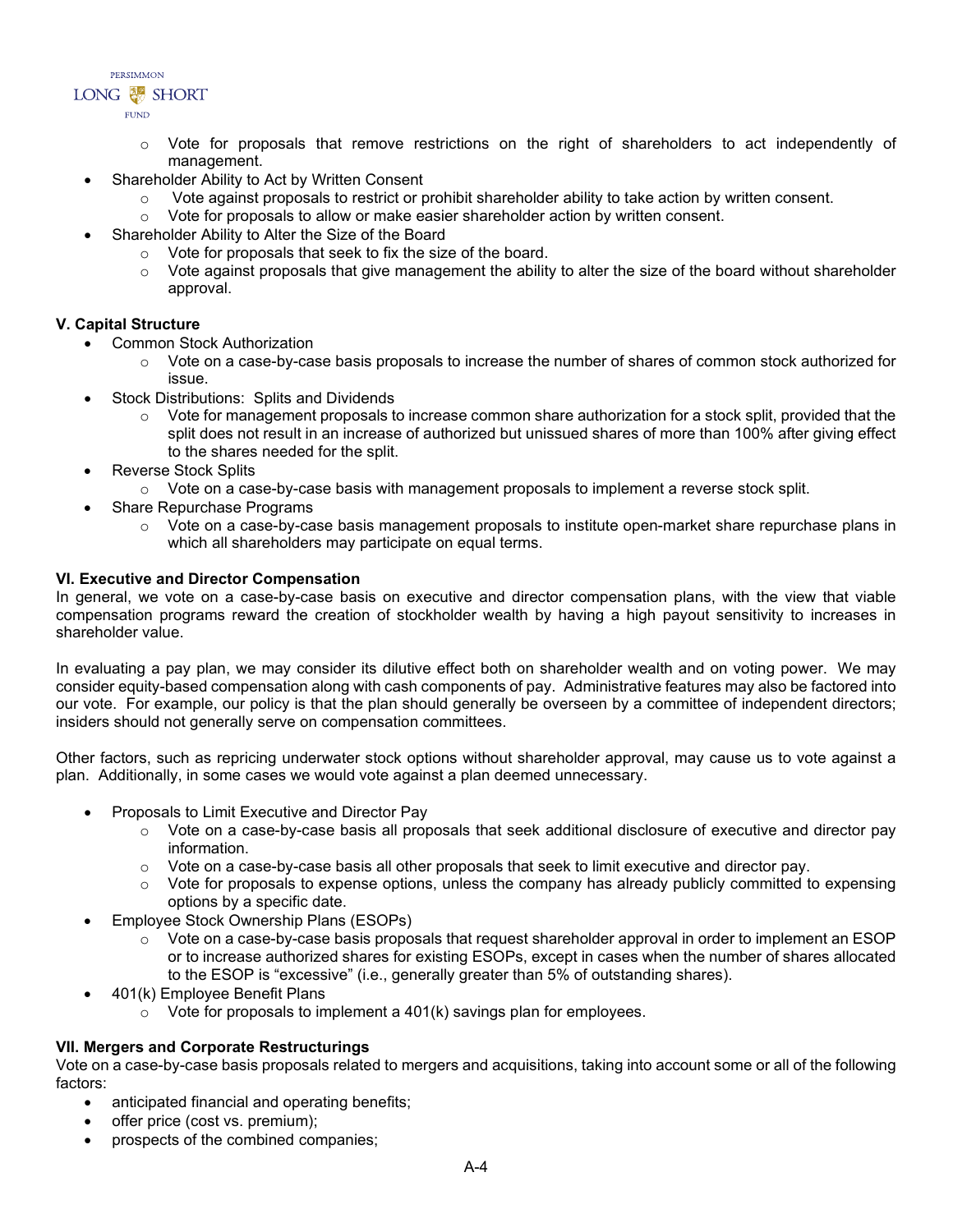- o Vote for proposals that remove restrictions on the right of shareholders to act independently of management.
- Shareholder Ability to Act by Written Consent
	- $\circ$  Vote against proposals to restrict or prohibit shareholder ability to take action by written consent.
	- $\circ$  Vote for proposals to allow or make easier shareholder action by written consent.
- Shareholder Ability to Alter the Size of the Board
	- o Vote for proposals that seek to fix the size of the board.
	- $\circ$  Vote against proposals that give management the ability to alter the size of the board without shareholder approval.

#### **V. Capital Structure**

- Common Stock Authorization
	- $\circ$  Vote on a case-by-case basis proposals to increase the number of shares of common stock authorized for issue.
- Stock Distributions: Splits and Dividends
	- $\circ$  Vote for management proposals to increase common share authorization for a stock split, provided that the split does not result in an increase of authorized but unissued shares of more than 100% after giving effect to the shares needed for the split.
- Reverse Stock Splits
	- $\circ$  Vote on a case-by-case basis with management proposals to implement a reverse stock split.
- Share Repurchase Programs
	- $\circ$  Vote on a case-by-case basis management proposals to institute open-market share repurchase plans in which all shareholders may participate on equal terms.

#### **VI. Executive and Director Compensation**

In general, we vote on a case-by-case basis on executive and director compensation plans, with the view that viable compensation programs reward the creation of stockholder wealth by having a high payout sensitivity to increases in shareholder value.

In evaluating a pay plan, we may consider its dilutive effect both on shareholder wealth and on voting power. We may consider equity-based compensation along with cash components of pay. Administrative features may also be factored into our vote. For example, our policy is that the plan should generally be overseen by a committee of independent directors; insiders should not generally serve on compensation committees.

Other factors, such as repricing underwater stock options without shareholder approval, may cause us to vote against a plan. Additionally, in some cases we would vote against a plan deemed unnecessary.

- Proposals to Limit Executive and Director Pay
	- $\circ$  Vote on a case-by-case basis all proposals that seek additional disclosure of executive and director pay information.
	- $\circ$  Vote on a case-by-case basis all other proposals that seek to limit executive and director pay.
	- $\circ$  Vote for proposals to expense options, unless the company has already publicly committed to expensing options by a specific date.
- Employee Stock Ownership Plans (ESOPs)
	- $\circ$  Vote on a case-by-case basis proposals that request shareholder approval in order to implement an ESOP or to increase authorized shares for existing ESOPs, except in cases when the number of shares allocated to the ESOP is "excessive" (i.e., generally greater than 5% of outstanding shares).
- 401(k) Employee Benefit Plans
	- $\circ$  Vote for proposals to implement a 401(k) savings plan for employees.

#### **VII. Mergers and Corporate Restructurings**

Vote on a case-by-case basis proposals related to mergers and acquisitions, taking into account some or all of the following factors:

- anticipated financial and operating benefits;
- offer price (cost vs. premium);
- prospects of the combined companies;